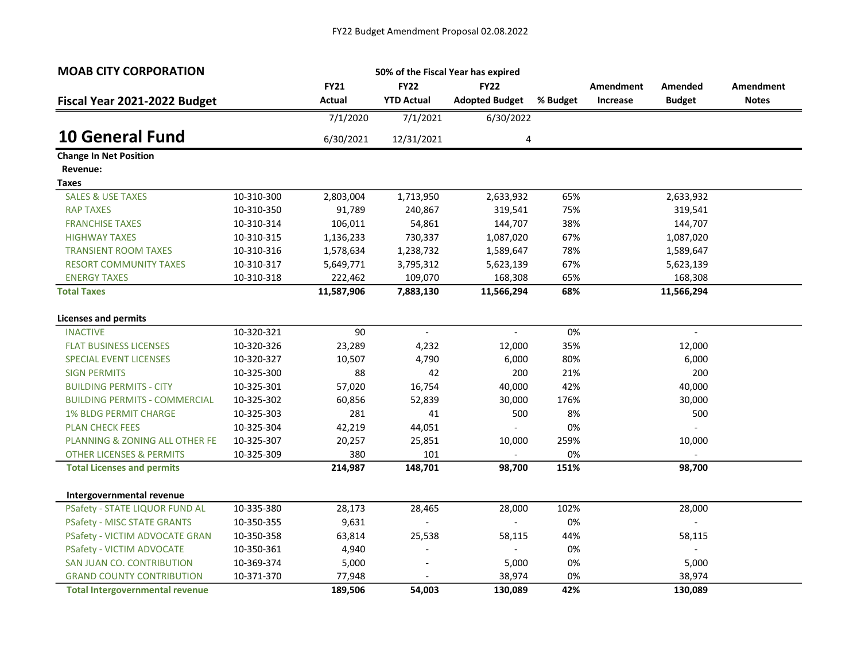| <b>MOAB CITY CORPORATION</b>           |            |             |                   | 50% of the Fiscal Year has expired |          |           |                     |              |
|----------------------------------------|------------|-------------|-------------------|------------------------------------|----------|-----------|---------------------|--------------|
|                                        |            | <b>FY21</b> | <b>FY22</b>       | <b>FY22</b>                        |          | Amendment | Amended             | Amendment    |
| Fiscal Year 2021-2022 Budget           |            | Actual      | <b>YTD Actual</b> | <b>Adopted Budget</b>              | % Budget | Increase  | <b>Budget</b>       | <b>Notes</b> |
|                                        |            | 7/1/2020    | 7/1/2021          | 6/30/2022                          |          |           |                     |              |
| <b>10 General Fund</b>                 |            | 6/30/2021   | 12/31/2021        | 4                                  |          |           |                     |              |
| <b>Change In Net Position</b>          |            |             |                   |                                    |          |           |                     |              |
| Revenue:                               |            |             |                   |                                    |          |           |                     |              |
| Taxes                                  |            |             |                   |                                    |          |           |                     |              |
| <b>SALES &amp; USE TAXES</b>           | 10-310-300 | 2,803,004   | 1,713,950         | 2,633,932                          | 65%      |           | 2,633,932           |              |
| <b>RAP TAXES</b>                       | 10-310-350 | 91,789      | 240,867           | 319,541                            | 75%      |           | 319,541             |              |
| <b>FRANCHISE TAXES</b>                 | 10-310-314 | 106,011     | 54,861            | 144,707                            | 38%      |           | 144,707             |              |
| <b>HIGHWAY TAXES</b>                   | 10-310-315 | 1,136,233   | 730,337           | 1,087,020                          | 67%      |           | 1,087,020           |              |
| <b>TRANSIENT ROOM TAXES</b>            | 10-310-316 | 1,578,634   | 1,238,732         | 1,589,647                          | 78%      |           | 1,589,647           |              |
| <b>RESORT COMMUNITY TAXES</b>          | 10-310-317 | 5,649,771   | 3,795,312         | 5,623,139                          | 67%      |           | 5,623,139           |              |
| <b>ENERGY TAXES</b>                    | 10-310-318 | 222,462     | 109,070           | 168,308                            | 65%      |           | 168,308             |              |
| <b>Total Taxes</b>                     |            | 11,587,906  | 7,883,130         | 11,566,294                         | 68%      |           | 11,566,294          |              |
| <b>Licenses and permits</b>            |            |             |                   |                                    |          |           |                     |              |
| <b>INACTIVE</b>                        | 10-320-321 | 90          | $\mathbb{L}$      | $\mathbb{L}^{\mathbb{N}}$          | 0%       |           | $\mathcal{L}^{\pm}$ |              |
| <b>FLAT BUSINESS LICENSES</b>          | 10-320-326 | 23,289      | 4,232             | 12,000                             | 35%      |           | 12,000              |              |
| <b>SPECIAL EVENT LICENSES</b>          | 10-320-327 | 10,507      | 4,790             | 6,000                              | 80%      |           | 6,000               |              |
| <b>SIGN PERMITS</b>                    | 10-325-300 | 88          | 42                | 200                                | 21%      |           | 200                 |              |
| <b>BUILDING PERMITS - CITY</b>         | 10-325-301 | 57,020      | 16,754            | 40,000                             | 42%      |           | 40,000              |              |
| <b>BUILDING PERMITS - COMMERCIAL</b>   | 10-325-302 | 60,856      | 52,839            | 30,000                             | 176%     |           | 30,000              |              |
| <b>1% BLDG PERMIT CHARGE</b>           | 10-325-303 | 281         | 41                | 500                                | 8%       |           | 500                 |              |
| <b>PLAN CHECK FEES</b>                 | 10-325-304 | 42,219      | 44,051            |                                    | 0%       |           | $\overline{a}$      |              |
| PLANNING & ZONING ALL OTHER FE         | 10-325-307 | 20,257      | 25,851            | 10,000                             | 259%     |           | 10,000              |              |
| <b>OTHER LICENSES &amp; PERMITS</b>    | 10-325-309 | 380         | 101               |                                    | 0%       |           |                     |              |
| <b>Total Licenses and permits</b>      |            | 214,987     | 148,701           | 98,700                             | 151%     |           | 98,700              |              |
| Intergovernmental revenue              |            |             |                   |                                    |          |           |                     |              |
| PSafety - STATE LIQUOR FUND AL         | 10-335-380 | 28,173      | 28,465            | 28,000                             | 102%     |           | 28,000              |              |
| <b>PSafety - MISC STATE GRANTS</b>     | 10-350-355 | 9,631       |                   |                                    | 0%       |           |                     |              |
| PSafety - VICTIM ADVOCATE GRAN         | 10-350-358 | 63,814      | 25,538            | 58,115                             | 44%      |           | 58,115              |              |
| PSafety - VICTIM ADVOCATE              | 10-350-361 | 4,940       |                   |                                    | 0%       |           |                     |              |
| SAN JUAN CO. CONTRIBUTION              | 10-369-374 | 5,000       | $\blacksquare$    | 5,000                              | 0%       |           | 5,000               |              |
| <b>GRAND COUNTY CONTRIBUTION</b>       | 10-371-370 | 77,948      |                   | 38,974                             | 0%       |           | 38,974              |              |
| <b>Total Intergovernmental revenue</b> |            | 189,506     | 54,003            | 130,089                            | 42%      |           | 130,089             |              |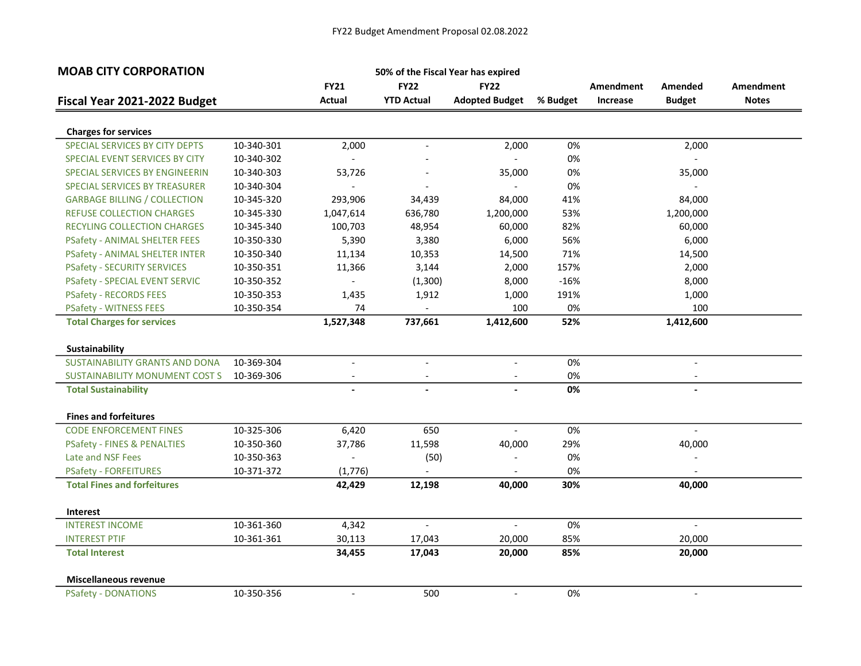| <b>MOAB CITY CORPORATION</b>           |            |                           | 50% of the Fiscal Year has expired |                          |          |                  |                          |                  |
|----------------------------------------|------------|---------------------------|------------------------------------|--------------------------|----------|------------------|--------------------------|------------------|
|                                        |            | <b>FY21</b>               | <b>FY22</b>                        | <b>FY22</b>              |          | <b>Amendment</b> | Amended                  | <b>Amendment</b> |
| Fiscal Year 2021-2022 Budget           |            | <b>Actual</b>             | <b>YTD Actual</b>                  | <b>Adopted Budget</b>    | % Budget | Increase         | <b>Budget</b>            | <b>Notes</b>     |
|                                        |            |                           |                                    |                          |          |                  |                          |                  |
| <b>Charges for services</b>            |            |                           |                                    |                          |          |                  |                          |                  |
| SPECIAL SERVICES BY CITY DEPTS         | 10-340-301 | 2,000                     |                                    | 2,000                    | 0%       |                  | 2,000                    |                  |
| SPECIAL EVENT SERVICES BY CITY         | 10-340-302 | $\mathbb{L}^{\mathbb{N}}$ |                                    | $\mathbf{r}$             | 0%       |                  | $\overline{\phantom{a}}$ |                  |
| SPECIAL SERVICES BY ENGINEERIN         | 10-340-303 | 53,726                    |                                    | 35,000                   | 0%       |                  | 35,000                   |                  |
| SPECIAL SERVICES BY TREASURER          | 10-340-304 | $\blacksquare$            |                                    | $\overline{\phantom{a}}$ | 0%       |                  | $\overline{\phantom{a}}$ |                  |
| <b>GARBAGE BILLING / COLLECTION</b>    | 10-345-320 | 293,906                   | 34,439                             | 84,000                   | 41%      |                  | 84,000                   |                  |
| <b>REFUSE COLLECTION CHARGES</b>       | 10-345-330 | 1,047,614                 | 636,780                            | 1,200,000                | 53%      |                  | 1,200,000                |                  |
| RECYLING COLLECTION CHARGES            | 10-345-340 | 100,703                   | 48,954                             | 60,000                   | 82%      |                  | 60,000                   |                  |
| <b>PSafety - ANIMAL SHELTER FEES</b>   | 10-350-330 | 5,390                     | 3,380                              | 6,000                    | 56%      |                  | 6,000                    |                  |
| <b>PSafety - ANIMAL SHELTER INTER</b>  | 10-350-340 | 11,134                    | 10,353                             | 14,500                   | 71%      |                  | 14,500                   |                  |
| <b>PSafety - SECURITY SERVICES</b>     | 10-350-351 | 11,366                    | 3,144                              | 2,000                    | 157%     |                  | 2,000                    |                  |
| <b>PSafety - SPECIAL EVENT SERVIC</b>  | 10-350-352 | $\overline{\phantom{a}}$  | (1,300)                            | 8,000                    | $-16%$   |                  | 8,000                    |                  |
| <b>PSafety - RECORDS FEES</b>          | 10-350-353 | 1,435                     | 1,912                              | 1,000                    | 191%     |                  | 1,000                    |                  |
| <b>PSafety - WITNESS FEES</b>          | 10-350-354 | 74                        |                                    | 100                      | 0%       |                  | 100                      |                  |
| <b>Total Charges for services</b>      |            | 1,527,348                 | 737,661                            | 1,412,600                | 52%      |                  | 1,412,600                |                  |
| Sustainability                         |            |                           |                                    |                          |          |                  |                          |                  |
| <b>SUSTAINABILITY GRANTS AND DONA</b>  | 10-369-304 | $\overline{\phantom{a}}$  | $\blacksquare$                     | $\blacksquare$           | 0%       |                  | $\overline{\phantom{a}}$ |                  |
| <b>SUSTAINABILITY MONUMENT COST S</b>  | 10-369-306 |                           |                                    |                          | 0%       |                  |                          |                  |
| <b>Total Sustainability</b>            |            |                           |                                    |                          | 0%       |                  |                          |                  |
|                                        |            |                           |                                    |                          |          |                  |                          |                  |
| <b>Fines and forfeitures</b>           |            |                           |                                    |                          |          |                  |                          |                  |
| <b>CODE ENFORCEMENT FINES</b>          | 10-325-306 | 6,420                     | 650                                | $\equiv$                 | 0%       |                  | $\mathbb{L}$             |                  |
| <b>PSafety - FINES &amp; PENALTIES</b> | 10-350-360 | 37,786                    | 11,598                             | 40,000                   | 29%      |                  | 40,000                   |                  |
| Late and NSF Fees                      | 10-350-363 |                           | (50)                               |                          | 0%       |                  |                          |                  |
| <b>PSafety - FORFEITURES</b>           | 10-371-372 | (1,776)                   |                                    |                          | 0%       |                  |                          |                  |
| <b>Total Fines and forfeitures</b>     |            | 42,429                    | 12,198                             | 40,000                   | 30%      |                  | 40,000                   |                  |
| Interest                               |            |                           |                                    |                          |          |                  |                          |                  |
| <b>INTEREST INCOME</b>                 | 10-361-360 | 4,342                     | $\overline{a}$                     |                          | 0%       |                  |                          |                  |
| <b>INTEREST PTIF</b>                   | 10-361-361 | 30,113                    | 17,043                             | 20,000                   | 85%      |                  | 20,000                   |                  |
| <b>Total Interest</b>                  |            | 34,455                    | 17,043                             | 20,000                   | 85%      |                  | 20,000                   |                  |
| <b>Miscellaneous revenue</b>           |            |                           |                                    |                          |          |                  |                          |                  |
| <b>PSafety - DONATIONS</b>             | 10-350-356 | $\overline{\phantom{a}}$  | 500                                | $\overline{\phantom{a}}$ | 0%       |                  | $\blacksquare$           |                  |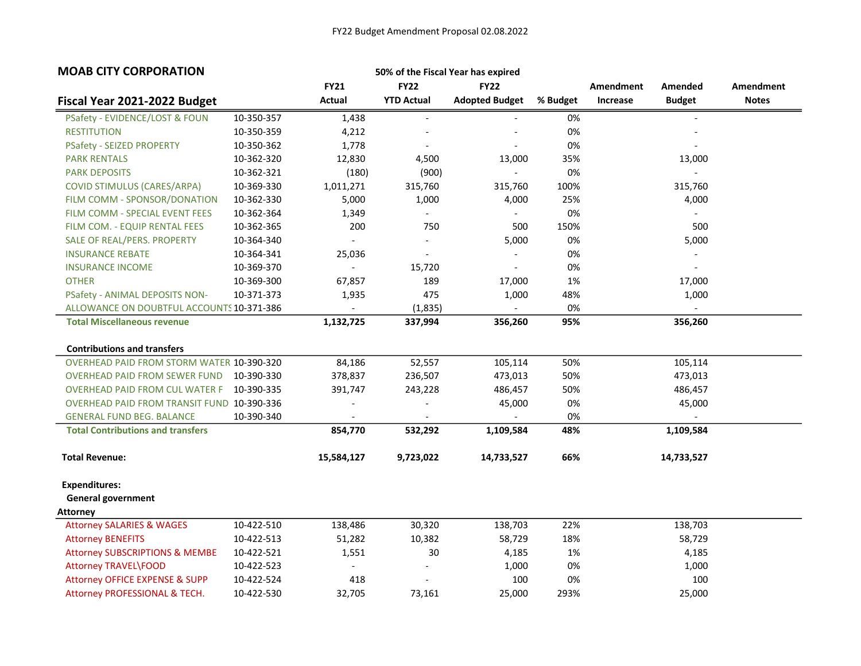| <b>MOAB CITY CORPORATION</b>                     |            |                          |                          | 50% of the Fiscal Year has expired |          |           |                          |                  |
|--------------------------------------------------|------------|--------------------------|--------------------------|------------------------------------|----------|-----------|--------------------------|------------------|
|                                                  |            | <b>FY21</b>              | <b>FY22</b>              | <b>FY22</b>                        |          | Amendment | Amended                  | <b>Amendment</b> |
| Fiscal Year 2021-2022 Budget                     |            | <b>Actual</b>            | <b>YTD Actual</b>        | <b>Adopted Budget</b>              | % Budget | Increase  | <b>Budget</b>            | <b>Notes</b>     |
| PSafety - EVIDENCE/LOST & FOUN                   | 10-350-357 | 1,438                    |                          |                                    | 0%       |           |                          |                  |
| <b>RESTITUTION</b>                               | 10-350-359 | 4,212                    |                          |                                    | 0%       |           |                          |                  |
| <b>PSafety - SEIZED PROPERTY</b>                 | 10-350-362 | 1,778                    | $\overline{a}$           |                                    | 0%       |           |                          |                  |
| <b>PARK RENTALS</b>                              | 10-362-320 | 12,830                   | 4,500                    | 13,000                             | 35%      |           | 13,000                   |                  |
| <b>PARK DEPOSITS</b>                             | 10-362-321 | (180)                    | (900)                    | $\blacksquare$                     | 0%       |           | $\blacksquare$           |                  |
| COVID STIMULUS (CARES/ARPA)                      | 10-369-330 | 1,011,271                | 315,760                  | 315,760                            | 100%     |           | 315,760                  |                  |
| FILM COMM - SPONSOR/DONATION                     | 10-362-330 | 5,000                    | 1,000                    | 4,000                              | 25%      |           | 4,000                    |                  |
| FILM COMM - SPECIAL EVENT FEES                   | 10-362-364 | 1,349                    | $\blacksquare$           | $\overline{\phantom{a}}$           | 0%       |           | $\overline{\phantom{a}}$ |                  |
| FILM COM. - EQUIP RENTAL FEES                    | 10-362-365 | 200                      | 750                      | 500                                | 150%     |           | 500                      |                  |
| SALE OF REAL/PERS. PROPERTY                      | 10-364-340 | $\overline{\phantom{a}}$ | $\overline{\phantom{a}}$ | 5,000                              | 0%       |           | 5,000                    |                  |
| <b>INSURANCE REBATE</b>                          | 10-364-341 | 25,036                   |                          |                                    | 0%       |           |                          |                  |
| <b>INSURANCE INCOME</b>                          | 10-369-370 | $\overline{\phantom{a}}$ | 15,720                   |                                    | 0%       |           |                          |                  |
| <b>OTHER</b>                                     | 10-369-300 | 67,857                   | 189                      | 17,000                             | 1%       |           | 17,000                   |                  |
| PSafety - ANIMAL DEPOSITS NON-                   | 10-371-373 | 1,935                    | 475                      | 1,000                              | 48%      |           | 1,000                    |                  |
| ALLOWANCE ON DOUBTFUL ACCOUNTS 10-371-386        |            | $\overline{\phantom{a}}$ | (1,835)                  | $\overline{\phantom{a}}$           | 0%       |           |                          |                  |
| <b>Total Miscellaneous revenue</b>               |            | 1,132,725                | 337,994                  | 356,260                            | 95%      |           | 356,260                  |                  |
| <b>Contributions and transfers</b>               |            |                          |                          |                                    |          |           |                          |                  |
| <b>OVERHEAD PAID FROM STORM WATER 10-390-320</b> |            | 84,186                   | 52,557                   | 105,114                            | 50%      |           | 105,114                  |                  |
| <b>OVERHEAD PAID FROM SEWER FUND</b>             | 10-390-330 | 378,837                  | 236,507                  | 473,013                            | 50%      |           | 473,013                  |                  |
| <b>OVERHEAD PAID FROM CUL WATER F</b>            | 10-390-335 | 391,747                  | 243,228                  | 486,457                            | 50%      |           | 486,457                  |                  |
| OVERHEAD PAID FROM TRANSIT FUND 10-390-336       |            |                          | $\overline{a}$           | 45,000                             | 0%       |           | 45,000                   |                  |
| <b>GENERAL FUND BEG. BALANCE</b>                 | 10-390-340 |                          |                          |                                    | 0%       |           | $\blacksquare$           |                  |
| <b>Total Contributions and transfers</b>         |            | 854,770                  | 532,292                  | 1,109,584                          | 48%      |           | 1,109,584                |                  |
| <b>Total Revenue:</b>                            |            | 15,584,127               | 9,723,022                | 14,733,527                         | 66%      |           | 14,733,527               |                  |
| <b>Expenditures:</b>                             |            |                          |                          |                                    |          |           |                          |                  |
| <b>General government</b>                        |            |                          |                          |                                    |          |           |                          |                  |
| <b>Attorney</b>                                  |            |                          |                          |                                    |          |           |                          |                  |
| <b>Attorney SALARIES &amp; WAGES</b>             | 10-422-510 | 138,486                  | 30,320                   | 138,703                            | 22%      |           | 138,703                  |                  |
| <b>Attorney BENEFITS</b>                         | 10-422-513 | 51,282                   | 10,382                   | 58,729                             | 18%      |           | 58,729                   |                  |
| <b>Attorney SUBSCRIPTIONS &amp; MEMBE</b>        | 10-422-521 | 1,551                    | 30                       | 4,185                              | 1%       |           | 4,185                    |                  |
| Attorney TRAVEL\FOOD                             | 10-422-523 | $\blacksquare$           |                          | 1,000                              | 0%       |           | 1,000                    |                  |
| <b>Attorney OFFICE EXPENSE &amp; SUPP</b>        | 10-422-524 | 418                      | $\overline{a}$           | 100                                | 0%       |           | 100                      |                  |
| Attorney PROFESSIONAL & TECH.                    | 10-422-530 | 32,705                   | 73,161                   | 25,000                             | 293%     |           | 25,000                   |                  |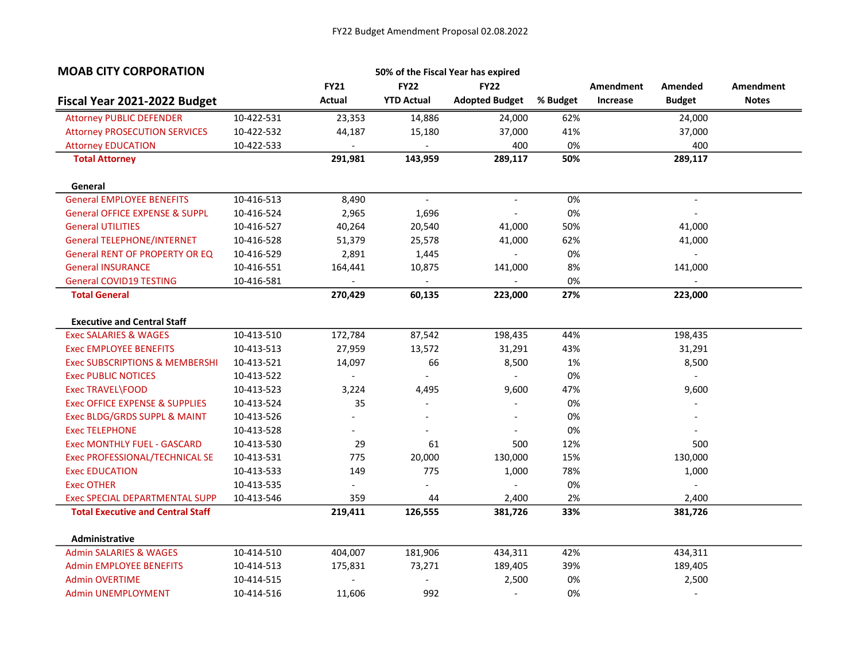| <b>MOAB CITY CORPORATION</b>              |            |                |                   | 50% of the Fiscal Year has expired |          |           |                          |                  |
|-------------------------------------------|------------|----------------|-------------------|------------------------------------|----------|-----------|--------------------------|------------------|
|                                           |            | <b>FY21</b>    | <b>FY22</b>       | <b>FY22</b>                        |          | Amendment | Amended                  | <b>Amendment</b> |
| Fiscal Year 2021-2022 Budget              |            | <b>Actual</b>  | <b>YTD Actual</b> | <b>Adopted Budget</b>              | % Budget | Increase  | <b>Budget</b>            | <b>Notes</b>     |
| <b>Attorney PUBLIC DEFENDER</b>           | 10-422-531 | 23,353         | 14,886            | 24,000                             | 62%      |           | 24,000                   |                  |
| <b>Attorney PROSECUTION SERVICES</b>      | 10-422-532 | 44,187         | 15,180            | 37,000                             | 41%      |           | 37,000                   |                  |
| <b>Attorney EDUCATION</b>                 | 10-422-533 |                |                   | 400                                | 0%       |           | 400                      |                  |
| <b>Total Attorney</b>                     |            | 291,981        | 143,959           | 289,117                            | 50%      |           | 289,117                  |                  |
| General                                   |            |                |                   |                                    |          |           |                          |                  |
| <b>General EMPLOYEE BENEFITS</b>          | 10-416-513 | 8,490          | $\mathbb{L}$      | $\blacksquare$                     | 0%       |           | $\overline{\phantom{a}}$ |                  |
| <b>General OFFICE EXPENSE &amp; SUPPL</b> | 10-416-524 | 2,965          | 1,696             |                                    | 0%       |           |                          |                  |
| <b>General UTILITIES</b>                  | 10-416-527 | 40,264         | 20,540            | 41,000                             | 50%      |           | 41,000                   |                  |
| <b>General TELEPHONE/INTERNET</b>         | 10-416-528 | 51,379         | 25,578            | 41,000                             | 62%      |           | 41,000                   |                  |
| <b>General RENT OF PROPERTY OR EQ</b>     | 10-416-529 | 2,891          | 1,445             |                                    | 0%       |           |                          |                  |
| <b>General INSURANCE</b>                  | 10-416-551 | 164,441        | 10,875            | 141,000                            | 8%       |           | 141,000                  |                  |
| <b>General COVID19 TESTING</b>            | 10-416-581 |                | $\blacksquare$    |                                    | 0%       |           |                          |                  |
| <b>Total General</b>                      |            | 270,429        | 60,135            | 223,000                            | 27%      |           | 223,000                  |                  |
| <b>Executive and Central Staff</b>        |            |                |                   |                                    |          |           |                          |                  |
| <b>Exec SALARIES &amp; WAGES</b>          | 10-413-510 | 172,784        | 87,542            | 198,435                            | 44%      |           | 198,435                  |                  |
| <b>Exec EMPLOYEE BENEFITS</b>             | 10-413-513 | 27,959         | 13,572            | 31,291                             | 43%      |           | 31,291                   |                  |
| <b>Exec SUBSCRIPTIONS &amp; MEMBERSHI</b> | 10-413-521 | 14,097         | 66                | 8,500                              | 1%       |           | 8,500                    |                  |
| <b>Exec PUBLIC NOTICES</b>                | 10-413-522 |                | $\blacksquare$    |                                    | 0%       |           | $\overline{\phantom{a}}$ |                  |
| Exec TRAVEL\FOOD                          | 10-413-523 | 3,224          | 4,495             | 9,600                              | 47%      |           | 9,600                    |                  |
| Exec OFFICE EXPENSE & SUPPLIES            | 10-413-524 | 35             | $\overline{a}$    |                                    | 0%       |           |                          |                  |
| Exec BLDG/GRDS SUPPL & MAINT              | 10-413-526 |                |                   |                                    | 0%       |           |                          |                  |
| <b>Exec TELEPHONE</b>                     | 10-413-528 |                |                   |                                    | 0%       |           |                          |                  |
| <b>Exec MONTHLY FUEL - GASCARD</b>        | 10-413-530 | 29             | 61                | 500                                | 12%      |           | 500                      |                  |
| Exec PROFESSIONAL/TECHNICAL SE            | 10-413-531 | 775            | 20,000            | 130,000                            | 15%      |           | 130,000                  |                  |
| <b>Exec EDUCATION</b>                     | 10-413-533 | 149            | 775               | 1,000                              | 78%      |           | 1,000                    |                  |
| <b>Exec OTHER</b>                         | 10-413-535 | $\overline{a}$ | $\overline{a}$    |                                    | 0%       |           | $\overline{a}$           |                  |
| Exec SPECIAL DEPARTMENTAL SUPP            | 10-413-546 | 359            | 44                | 2,400                              | 2%       |           | 2,400                    |                  |
| <b>Total Executive and Central Staff</b>  |            | 219,411        | 126,555           | 381,726                            | 33%      |           | 381,726                  |                  |
| Administrative                            |            |                |                   |                                    |          |           |                          |                  |
| <b>Admin SALARIES &amp; WAGES</b>         | 10-414-510 | 404,007        | 181,906           | 434,311                            | 42%      |           | 434,311                  |                  |
| <b>Admin EMPLOYEE BENEFITS</b>            | 10-414-513 | 175,831        | 73,271            | 189,405                            | 39%      |           | 189,405                  |                  |
| <b>Admin OVERTIME</b>                     | 10-414-515 |                | $\overline{a}$    | 2,500                              | 0%       |           | 2,500                    |                  |
| <b>Admin UNEMPLOYMENT</b>                 | 10-414-516 | 11,606         | 992               |                                    | 0%       |           | $\overline{\phantom{a}}$ |                  |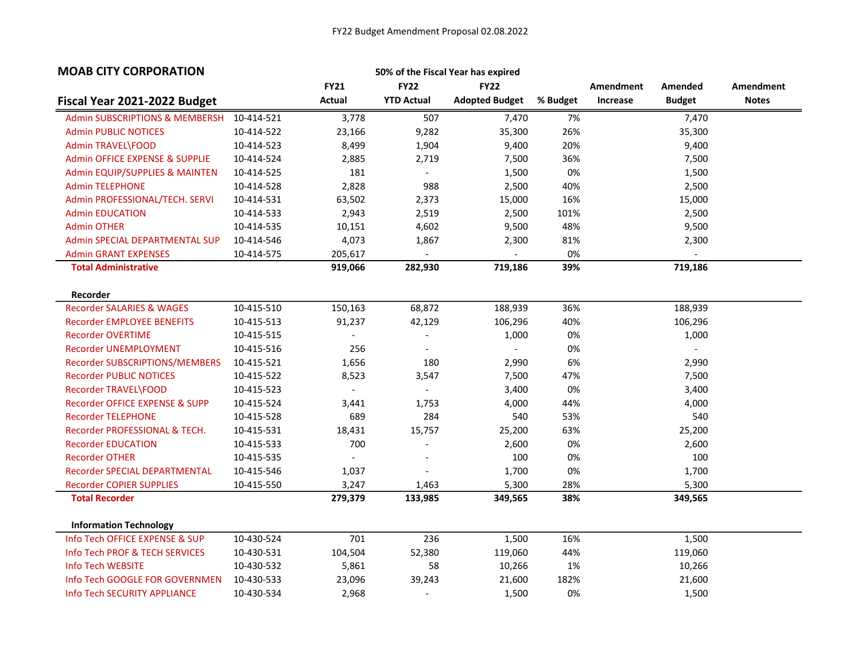| <b>MOAB CITY CORPORATION</b>              |            |                |                          | 50% of the Fiscal Year has expired |          |           |                          |                  |
|-------------------------------------------|------------|----------------|--------------------------|------------------------------------|----------|-----------|--------------------------|------------------|
|                                           |            | <b>FY21</b>    | <b>FY22</b>              | <b>FY22</b>                        |          | Amendment | Amended                  | <b>Amendment</b> |
| Fiscal Year 2021-2022 Budget              |            | <b>Actual</b>  | <b>YTD Actual</b>        | <b>Adopted Budget</b>              | % Budget | Increase  | <b>Budget</b>            | <b>Notes</b>     |
| <b>Admin SUBSCRIPTIONS &amp; MEMBERSH</b> | 10-414-521 | 3,778          | 507                      | 7,470                              | 7%       |           | 7,470                    |                  |
| <b>Admin PUBLIC NOTICES</b>               | 10-414-522 | 23,166         | 9,282                    | 35,300                             | 26%      |           | 35,300                   |                  |
| <b>Admin TRAVEL\FOOD</b>                  | 10-414-523 | 8,499          | 1,904                    | 9,400                              | 20%      |           | 9,400                    |                  |
| Admin OFFICE EXPENSE & SUPPLIE            | 10-414-524 | 2,885          | 2,719                    | 7,500                              | 36%      |           | 7,500                    |                  |
| Admin EQUIP/SUPPLIES & MAINTEN            | 10-414-525 | 181            | $\blacksquare$           | 1,500                              | 0%       |           | 1,500                    |                  |
| <b>Admin TELEPHONE</b>                    | 10-414-528 | 2,828          | 988                      | 2,500                              | 40%      |           | 2,500                    |                  |
| Admin PROFESSIONAL/TECH. SERVI            | 10-414-531 | 63,502         | 2,373                    | 15,000                             | 16%      |           | 15,000                   |                  |
| <b>Admin EDUCATION</b>                    | 10-414-533 | 2,943          | 2,519                    | 2,500                              | 101%     |           | 2,500                    |                  |
| <b>Admin OTHER</b>                        | 10-414-535 | 10,151         | 4,602                    | 9,500                              | 48%      |           | 9,500                    |                  |
| <b>Admin SPECIAL DEPARTMENTAL SUP</b>     | 10-414-546 | 4,073          | 1,867                    | 2,300                              | 81%      |           | 2,300                    |                  |
| <b>Admin GRANT EXPENSES</b>               | 10-414-575 | 205,617        | $\blacksquare$           |                                    | 0%       |           | $\overline{\phantom{0}}$ |                  |
| <b>Total Administrative</b>               |            | 919,066        | 282,930                  | 719,186                            | 39%      |           | 719,186                  |                  |
|                                           |            |                |                          |                                    |          |           |                          |                  |
| Recorder                                  |            |                |                          |                                    |          |           |                          |                  |
| <b>Recorder SALARIES &amp; WAGES</b>      | 10-415-510 | 150,163        | 68,872                   | 188,939                            | 36%      |           | 188,939                  |                  |
| <b>Recorder EMPLOYEE BENEFITS</b>         | 10-415-513 | 91,237         | 42,129                   | 106,296                            | 40%      |           | 106,296                  |                  |
| <b>Recorder OVERTIME</b>                  | 10-415-515 |                | $\blacksquare$           | 1,000                              | 0%       |           | 1,000                    |                  |
| <b>Recorder UNEMPLOYMENT</b>              | 10-415-516 | 256            | $\overline{a}$           |                                    | 0%       |           | $\overline{\phantom{a}}$ |                  |
| Recorder SUBSCRIPTIONS/MEMBERS            | 10-415-521 | 1,656          | 180                      | 2,990                              | 6%       |           | 2,990                    |                  |
| <b>Recorder PUBLIC NOTICES</b>            | 10-415-522 | 8,523          | 3,547                    | 7,500                              | 47%      |           | 7,500                    |                  |
| Recorder TRAVEL\FOOD                      | 10-415-523 |                |                          | 3,400                              | 0%       |           | 3,400                    |                  |
| Recorder OFFICE EXPENSE & SUPP            | 10-415-524 | 3,441          | 1,753                    | 4,000                              | 44%      |           | 4,000                    |                  |
| <b>Recorder TELEPHONE</b>                 | 10-415-528 | 689            | 284                      | 540                                | 53%      |           | 540                      |                  |
| Recorder PROFESSIONAL & TECH.             | 10-415-531 | 18,431         | 15,757                   | 25,200                             | 63%      |           | 25,200                   |                  |
| <b>Recorder EDUCATION</b>                 | 10-415-533 | 700            | $\overline{a}$           | 2,600                              | 0%       |           | 2,600                    |                  |
| <b>Recorder OTHER</b>                     | 10-415-535 | $\blacksquare$ | $\overline{\phantom{a}}$ | 100                                | 0%       |           | 100                      |                  |
| Recorder SPECIAL DEPARTMENTAL             | 10-415-546 | 1,037          |                          | 1,700                              | 0%       |           | 1,700                    |                  |
| <b>Recorder COPIER SUPPLIES</b>           | 10-415-550 | 3,247          | 1,463                    | 5,300                              | 28%      |           | 5,300                    |                  |
| <b>Total Recorder</b>                     |            | 279,379        | 133,985                  | 349,565                            | 38%      |           | 349,565                  |                  |
|                                           |            |                |                          |                                    |          |           |                          |                  |
| <b>Information Technology</b>             |            |                |                          |                                    |          |           |                          |                  |
| Info Tech OFFICE EXPENSE & SUP            | 10-430-524 | 701            | 236                      | 1,500                              | 16%      |           | 1,500                    |                  |
| Info Tech PROF & TECH SERVICES            | 10-430-531 | 104,504        | 52,380                   | 119,060                            | 44%      |           | 119,060                  |                  |
| Info Tech WEBSITE                         | 10-430-532 | 5,861          | 58                       | 10,266                             | 1%       |           | 10,266                   |                  |
| Info Tech GOOGLE FOR GOVERNMEN            | 10-430-533 | 23,096         | 39,243                   | 21,600                             | 182%     |           | 21,600                   |                  |
| Info Tech SECURITY APPLIANCE              | 10-430-534 | 2,968          | $\overline{a}$           | 1,500                              | 0%       |           | 1,500                    |                  |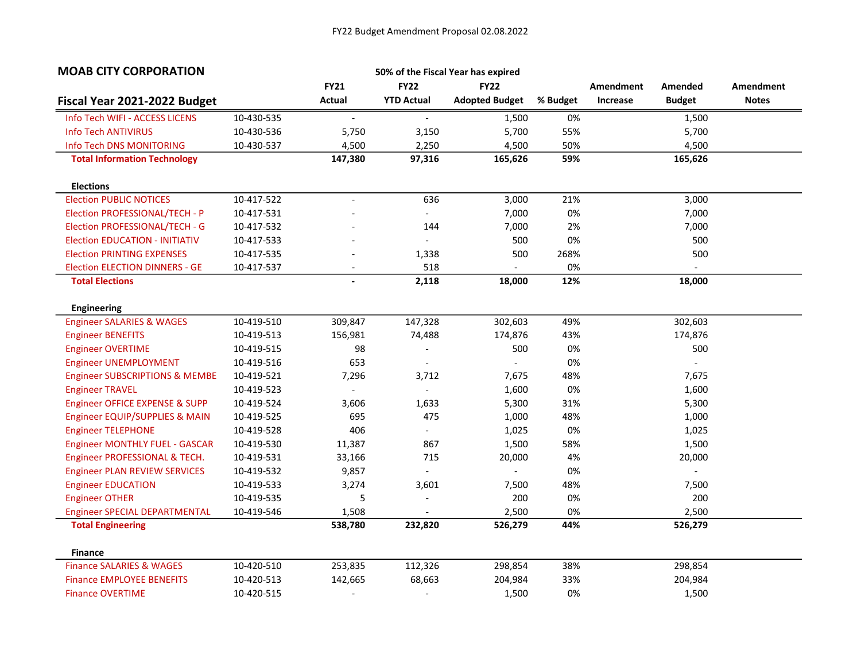| <b>MOAB CITY CORPORATION</b>              |            |                          |                           | 50% of the Fiscal Year has expired |          |                  |                |                  |
|-------------------------------------------|------------|--------------------------|---------------------------|------------------------------------|----------|------------------|----------------|------------------|
|                                           |            | <b>FY21</b>              | <b>FY22</b>               | <b>FY22</b>                        |          | <b>Amendment</b> | Amended        | <b>Amendment</b> |
| Fiscal Year 2021-2022 Budget              |            | Actual                   | <b>YTD Actual</b>         | <b>Adopted Budget</b>              | % Budget | Increase         | <b>Budget</b>  | <b>Notes</b>     |
| Info Tech WIFI - ACCESS LICENS            | 10-430-535 | $\overline{\phantom{a}}$ | $\blacksquare$            | 1,500                              | 0%       |                  | 1,500          |                  |
| <b>Info Tech ANTIVIRUS</b>                | 10-430-536 | 5,750                    | 3,150                     | 5,700                              | 55%      |                  | 5,700          |                  |
| Info Tech DNS MONITORING                  | 10-430-537 | 4,500                    | 2,250                     | 4,500                              | 50%      |                  | 4,500          |                  |
| <b>Total Information Technology</b>       |            | 147,380                  | 97,316                    | 165,626                            | 59%      |                  | 165,626        |                  |
| <b>Elections</b>                          |            |                          |                           |                                    |          |                  |                |                  |
| <b>Election PUBLIC NOTICES</b>            | 10-417-522 | $\blacksquare$           | 636                       | 3,000                              | 21%      |                  | 3,000          |                  |
| Election PROFESSIONAL/TECH - P            | 10-417-531 |                          | $\mathbb{Z}^{\mathbb{Z}}$ | 7,000                              | 0%       |                  | 7,000          |                  |
| Election PROFESSIONAL/TECH - G            | 10-417-532 |                          | 144                       | 7,000                              | 2%       |                  | 7,000          |                  |
| <b>Election EDUCATION - INITIATIV</b>     | 10-417-533 |                          | $\overline{a}$            | 500                                | 0%       |                  | 500            |                  |
| <b>Election PRINTING EXPENSES</b>         | 10-417-535 |                          | 1,338                     | 500                                | 268%     |                  | 500            |                  |
| <b>Election ELECTION DINNERS - GE</b>     | 10-417-537 |                          | 518                       |                                    | 0%       |                  |                |                  |
| <b>Total Elections</b>                    |            | $\overline{\phantom{a}}$ | 2,118                     | 18,000                             | 12%      |                  | 18,000         |                  |
| <b>Engineering</b>                        |            |                          |                           |                                    |          |                  |                |                  |
| <b>Engineer SALARIES &amp; WAGES</b>      | 10-419-510 | 309,847                  | 147,328                   | 302,603                            | 49%      |                  | 302,603        |                  |
| <b>Engineer BENEFITS</b>                  | 10-419-513 | 156,981                  | 74,488                    | 174,876                            | 43%      |                  | 174,876        |                  |
| <b>Engineer OVERTIME</b>                  | 10-419-515 | 98                       | $\overline{a}$            | 500                                | 0%       |                  | 500            |                  |
| <b>Engineer UNEMPLOYMENT</b>              | 10-419-516 | 653                      | $\blacksquare$            |                                    | 0%       |                  | $\overline{a}$ |                  |
| <b>Engineer SUBSCRIPTIONS &amp; MEMBE</b> | 10-419-521 | 7,296                    | 3,712                     | 7,675                              | 48%      |                  | 7,675          |                  |
| <b>Engineer TRAVEL</b>                    | 10-419-523 |                          |                           | 1,600                              | 0%       |                  | 1,600          |                  |
| Engineer OFFICE EXPENSE & SUPP            | 10-419-524 | 3,606                    | 1,633                     | 5,300                              | 31%      |                  | 5,300          |                  |
| Engineer EQUIP/SUPPLIES & MAIN            | 10-419-525 | 695                      | 475                       | 1,000                              | 48%      |                  | 1,000          |                  |
| <b>Engineer TELEPHONE</b>                 | 10-419-528 | 406                      | $\overline{a}$            | 1,025                              | 0%       |                  | 1,025          |                  |
| <b>Engineer MONTHLY FUEL - GASCAR</b>     | 10-419-530 | 11,387                   | 867                       | 1,500                              | 58%      |                  | 1,500          |                  |
| Engineer PROFESSIONAL & TECH.             | 10-419-531 | 33,166                   | 715                       | 20,000                             | 4%       |                  | 20,000         |                  |
| <b>Engineer PLAN REVIEW SERVICES</b>      | 10-419-532 | 9,857                    | $\blacksquare$            |                                    | 0%       |                  |                |                  |
| <b>Engineer EDUCATION</b>                 | 10-419-533 | 3,274                    | 3,601                     | 7,500                              | 48%      |                  | 7,500          |                  |
| <b>Engineer OTHER</b>                     | 10-419-535 | 5                        | $\overline{\phantom{a}}$  | 200                                | 0%       |                  | 200            |                  |
| <b>Engineer SPECIAL DEPARTMENTAL</b>      | 10-419-546 | 1,508                    |                           | 2,500                              | 0%       |                  | 2,500          |                  |
| <b>Total Engineering</b>                  |            | 538,780                  | 232,820                   | 526,279                            | 44%      |                  | 526,279        |                  |
| <b>Finance</b>                            |            |                          |                           |                                    |          |                  |                |                  |
| <b>Finance SALARIES &amp; WAGES</b>       | 10-420-510 | 253,835                  | 112,326                   | 298,854                            | 38%      |                  | 298,854        |                  |
| <b>Finance EMPLOYEE BENEFITS</b>          | 10-420-513 | 142,665                  | 68,663                    | 204,984                            | 33%      |                  | 204,984        |                  |
| <b>Finance OVERTIME</b>                   | 10-420-515 | $\overline{a}$           | $\overline{a}$            | 1,500                              | 0%       |                  | 1,500          |                  |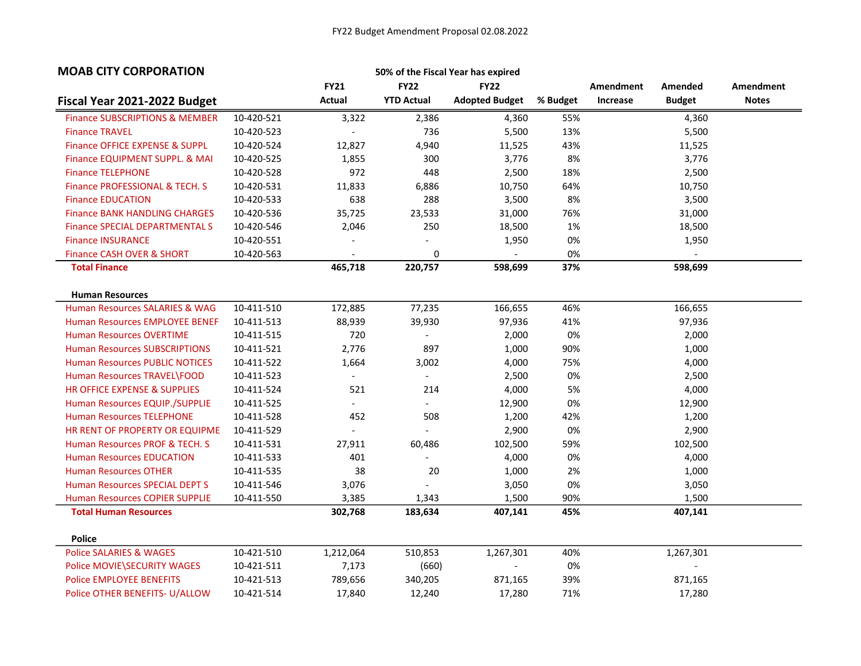| <b>FY22</b><br><b>FY22</b><br><b>FY21</b><br><b>Amendment</b><br>Amendment<br>Amended<br>Actual<br><b>YTD Actual</b><br><b>Adopted Budget</b><br><b>Notes</b><br>Fiscal Year 2021-2022 Budget<br>% Budget<br>Increase<br><b>Budget</b><br><b>Finance SUBSCRIPTIONS &amp; MEMBER</b><br>10-420-521<br>3,322<br>2,386<br>4,360<br>55%<br>4,360<br><b>Finance TRAVEL</b><br>10-420-523<br>736<br>5,500<br>13%<br>5,500<br><b>Finance OFFICE EXPENSE &amp; SUPPL</b><br>10-420-524<br>12,827<br>4,940<br>43%<br>11,525<br>11,525<br>8%<br>300<br>3,776<br>3,776<br>Finance EQUIPMENT SUPPL. & MAI<br>10-420-525<br>1,855<br><b>Finance TELEPHONE</b><br>972<br>448<br>2,500<br>18%<br>2,500<br>10-420-528<br>Finance PROFESSIONAL & TECH. S<br>64%<br>10,750<br>10-420-531<br>11,833<br>6,886<br>10,750<br>8%<br><b>Finance EDUCATION</b><br>638<br>288<br>3,500<br>3,500<br>10-420-533<br>35,725<br><b>Finance BANK HANDLING CHARGES</b><br>23,533<br>31,000<br>76%<br>31,000<br>10-420-536 | <b>MOAB CITY CORPORATION</b>          |            |       |     | 50% of the Fiscal Year has expired |    |        |  |
|------------------------------------------------------------------------------------------------------------------------------------------------------------------------------------------------------------------------------------------------------------------------------------------------------------------------------------------------------------------------------------------------------------------------------------------------------------------------------------------------------------------------------------------------------------------------------------------------------------------------------------------------------------------------------------------------------------------------------------------------------------------------------------------------------------------------------------------------------------------------------------------------------------------------------------------------------------------------------------------|---------------------------------------|------------|-------|-----|------------------------------------|----|--------|--|
|                                                                                                                                                                                                                                                                                                                                                                                                                                                                                                                                                                                                                                                                                                                                                                                                                                                                                                                                                                                          |                                       |            |       |     |                                    |    |        |  |
|                                                                                                                                                                                                                                                                                                                                                                                                                                                                                                                                                                                                                                                                                                                                                                                                                                                                                                                                                                                          |                                       |            |       |     |                                    |    |        |  |
|                                                                                                                                                                                                                                                                                                                                                                                                                                                                                                                                                                                                                                                                                                                                                                                                                                                                                                                                                                                          |                                       |            |       |     |                                    |    |        |  |
|                                                                                                                                                                                                                                                                                                                                                                                                                                                                                                                                                                                                                                                                                                                                                                                                                                                                                                                                                                                          |                                       |            |       |     |                                    |    |        |  |
|                                                                                                                                                                                                                                                                                                                                                                                                                                                                                                                                                                                                                                                                                                                                                                                                                                                                                                                                                                                          |                                       |            |       |     |                                    |    |        |  |
|                                                                                                                                                                                                                                                                                                                                                                                                                                                                                                                                                                                                                                                                                                                                                                                                                                                                                                                                                                                          |                                       |            |       |     |                                    |    |        |  |
|                                                                                                                                                                                                                                                                                                                                                                                                                                                                                                                                                                                                                                                                                                                                                                                                                                                                                                                                                                                          |                                       |            |       |     |                                    |    |        |  |
|                                                                                                                                                                                                                                                                                                                                                                                                                                                                                                                                                                                                                                                                                                                                                                                                                                                                                                                                                                                          |                                       |            |       |     |                                    |    |        |  |
|                                                                                                                                                                                                                                                                                                                                                                                                                                                                                                                                                                                                                                                                                                                                                                                                                                                                                                                                                                                          |                                       |            |       |     |                                    |    |        |  |
|                                                                                                                                                                                                                                                                                                                                                                                                                                                                                                                                                                                                                                                                                                                                                                                                                                                                                                                                                                                          |                                       |            |       |     |                                    |    |        |  |
|                                                                                                                                                                                                                                                                                                                                                                                                                                                                                                                                                                                                                                                                                                                                                                                                                                                                                                                                                                                          | <b>Finance SPECIAL DEPARTMENTAL S</b> | 10-420-546 | 2,046 | 250 | 18,500                             | 1% | 18,500 |  |
| <b>Finance INSURANCE</b><br>10-420-551<br>0%<br>1,950<br>1,950<br>$\overline{a}$<br>$\overline{\phantom{a}}$                                                                                                                                                                                                                                                                                                                                                                                                                                                                                                                                                                                                                                                                                                                                                                                                                                                                             |                                       |            |       |     |                                    |    |        |  |
| Finance CASH OVER & SHORT<br>0<br>0%<br>10-420-563                                                                                                                                                                                                                                                                                                                                                                                                                                                                                                                                                                                                                                                                                                                                                                                                                                                                                                                                       |                                       |            |       |     |                                    |    |        |  |
| 220,757<br>37%<br><b>Total Finance</b><br>465,718<br>598,699<br>598,699                                                                                                                                                                                                                                                                                                                                                                                                                                                                                                                                                                                                                                                                                                                                                                                                                                                                                                                  |                                       |            |       |     |                                    |    |        |  |
|                                                                                                                                                                                                                                                                                                                                                                                                                                                                                                                                                                                                                                                                                                                                                                                                                                                                                                                                                                                          |                                       |            |       |     |                                    |    |        |  |
| <b>Human Resources</b>                                                                                                                                                                                                                                                                                                                                                                                                                                                                                                                                                                                                                                                                                                                                                                                                                                                                                                                                                                   |                                       |            |       |     |                                    |    |        |  |
| 10-411-510<br>77,235<br>46%<br><b>Human Resources SALARIES &amp; WAG</b><br>172,885<br>166,655<br>166,655                                                                                                                                                                                                                                                                                                                                                                                                                                                                                                                                                                                                                                                                                                                                                                                                                                                                                |                                       |            |       |     |                                    |    |        |  |
| 88,939<br>39,930<br>41%<br>97,936<br><b>Human Resources EMPLOYEE BENEF</b><br>97,936<br>10-411-513                                                                                                                                                                                                                                                                                                                                                                                                                                                                                                                                                                                                                                                                                                                                                                                                                                                                                       |                                       |            |       |     |                                    |    |        |  |
| 720<br>0%<br>2,000<br><b>Human Resources OVERTIME</b><br>2,000<br>10-411-515<br>$\overline{\phantom{a}}$                                                                                                                                                                                                                                                                                                                                                                                                                                                                                                                                                                                                                                                                                                                                                                                                                                                                                 |                                       |            |       |     |                                    |    |        |  |
| 2,776<br><b>Human Resources SUBSCRIPTIONS</b><br>897<br>1,000<br>90%<br>1,000<br>10-411-521                                                                                                                                                                                                                                                                                                                                                                                                                                                                                                                                                                                                                                                                                                                                                                                                                                                                                              |                                       |            |       |     |                                    |    |        |  |
| <b>Human Resources PUBLIC NOTICES</b><br>1,664<br>3,002<br>4,000<br>75%<br>4,000<br>10-411-522                                                                                                                                                                                                                                                                                                                                                                                                                                                                                                                                                                                                                                                                                                                                                                                                                                                                                           |                                       |            |       |     |                                    |    |        |  |
| Human Resources TRAVEL\FOOD<br>10-411-523<br>2,500<br>0%<br>2,500<br>$\overline{a}$<br>$\overline{\phantom{0}}$                                                                                                                                                                                                                                                                                                                                                                                                                                                                                                                                                                                                                                                                                                                                                                                                                                                                          |                                       |            |       |     |                                    |    |        |  |
| HR OFFICE EXPENSE & SUPPLIES<br>10-411-524<br>4,000<br>5%<br>4,000<br>521<br>214                                                                                                                                                                                                                                                                                                                                                                                                                                                                                                                                                                                                                                                                                                                                                                                                                                                                                                         |                                       |            |       |     |                                    |    |        |  |
| 12,900<br>0%<br>12,900<br><b>Human Resources EQUIP./SUPPLIE</b><br>10-411-525<br>$\mathbb{Z}^{\mathbb{Z}}$<br>$\overline{a}$                                                                                                                                                                                                                                                                                                                                                                                                                                                                                                                                                                                                                                                                                                                                                                                                                                                             |                                       |            |       |     |                                    |    |        |  |
| 452<br><b>Human Resources TELEPHONE</b><br>10-411-528<br>508<br>1,200<br>42%<br>1,200                                                                                                                                                                                                                                                                                                                                                                                                                                                                                                                                                                                                                                                                                                                                                                                                                                                                                                    |                                       |            |       |     |                                    |    |        |  |
| HR RENT OF PROPERTY OR EQUIPME<br>2,900<br>0%<br>2,900<br>10-411-529                                                                                                                                                                                                                                                                                                                                                                                                                                                                                                                                                                                                                                                                                                                                                                                                                                                                                                                     |                                       |            |       |     |                                    |    |        |  |
| 59%<br>Human Resources PROF & TECH. S<br>10-411-531<br>27,911<br>60,486<br>102,500<br>102,500                                                                                                                                                                                                                                                                                                                                                                                                                                                                                                                                                                                                                                                                                                                                                                                                                                                                                            |                                       |            |       |     |                                    |    |        |  |
| 0%<br><b>Human Resources EDUCATION</b><br>401<br>4,000<br>4,000<br>10-411-533                                                                                                                                                                                                                                                                                                                                                                                                                                                                                                                                                                                                                                                                                                                                                                                                                                                                                                            |                                       |            |       |     |                                    |    |        |  |
| 38<br>2%<br><b>Human Resources OTHER</b><br>20<br>1,000<br>1,000<br>10-411-535                                                                                                                                                                                                                                                                                                                                                                                                                                                                                                                                                                                                                                                                                                                                                                                                                                                                                                           |                                       |            |       |     |                                    |    |        |  |
| <b>Human Resources SPECIAL DEPT S</b><br>3,076<br>0%<br>3,050<br>10-411-546<br>3,050                                                                                                                                                                                                                                                                                                                                                                                                                                                                                                                                                                                                                                                                                                                                                                                                                                                                                                     |                                       |            |       |     |                                    |    |        |  |
| 90%<br><b>Human Resources COPIER SUPPLIE</b><br>3,385<br>1,500<br>1,500<br>10-411-550<br>1,343                                                                                                                                                                                                                                                                                                                                                                                                                                                                                                                                                                                                                                                                                                                                                                                                                                                                                           |                                       |            |       |     |                                    |    |        |  |
| 302,768<br>45%<br>407,141<br><b>Total Human Resources</b><br>183,634<br>407,141                                                                                                                                                                                                                                                                                                                                                                                                                                                                                                                                                                                                                                                                                                                                                                                                                                                                                                          |                                       |            |       |     |                                    |    |        |  |
| <b>Police</b>                                                                                                                                                                                                                                                                                                                                                                                                                                                                                                                                                                                                                                                                                                                                                                                                                                                                                                                                                                            |                                       |            |       |     |                                    |    |        |  |
| <b>Police SALARIES &amp; WAGES</b><br>10-421-510<br>1,212,064<br>510,853<br>1,267,301<br>40%<br>1,267,301                                                                                                                                                                                                                                                                                                                                                                                                                                                                                                                                                                                                                                                                                                                                                                                                                                                                                |                                       |            |       |     |                                    |    |        |  |
| 0%<br>Police MOVIE\SECURITY WAGES<br>7,173<br>(660)<br>10-421-511                                                                                                                                                                                                                                                                                                                                                                                                                                                                                                                                                                                                                                                                                                                                                                                                                                                                                                                        |                                       |            |       |     |                                    |    |        |  |
| <b>Police EMPLOYEE BENEFITS</b><br>10-421-513<br>789,656<br>340,205<br>871,165<br>39%<br>871,165                                                                                                                                                                                                                                                                                                                                                                                                                                                                                                                                                                                                                                                                                                                                                                                                                                                                                         |                                       |            |       |     |                                    |    |        |  |
| Police OTHER BENEFITS- U/ALLOW<br>17,840<br>12,240<br>17,280<br>71%<br>17,280<br>10-421-514                                                                                                                                                                                                                                                                                                                                                                                                                                                                                                                                                                                                                                                                                                                                                                                                                                                                                              |                                       |            |       |     |                                    |    |        |  |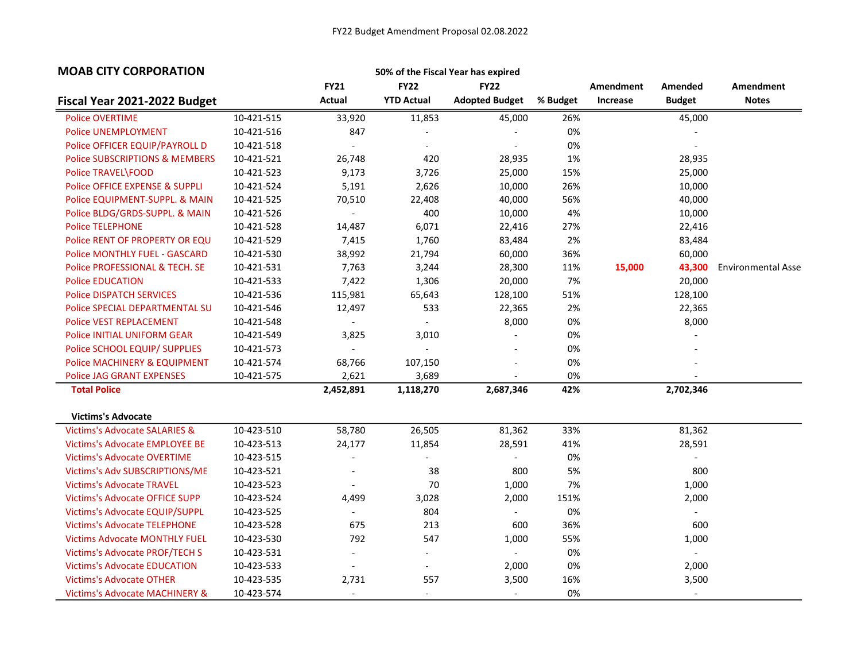| <b>MOAB CITY CORPORATION</b>              |            |                          |                             | 50% of the Fiscal Year has expired |          |           |                          |                           |
|-------------------------------------------|------------|--------------------------|-----------------------------|------------------------------------|----------|-----------|--------------------------|---------------------------|
|                                           |            | <b>FY21</b>              | <b>FY22</b>                 | <b>FY22</b>                        |          | Amendment | Amended                  | <b>Amendment</b>          |
| Fiscal Year 2021-2022 Budget              |            | <b>Actual</b>            | <b>YTD Actual</b>           | <b>Adopted Budget</b>              | % Budget | Increase  | <b>Budget</b>            | <b>Notes</b>              |
| <b>Police OVERTIME</b>                    | 10-421-515 | 33,920                   | 11,853                      | 45,000                             | 26%      |           | 45,000                   |                           |
| <b>Police UNEMPLOYMENT</b>                | 10-421-516 | 847                      |                             | $\overline{\phantom{a}}$           | 0%       |           |                          |                           |
| Police OFFICER EQUIP/PAYROLL D            | 10-421-518 |                          |                             |                                    | 0%       |           |                          |                           |
| <b>Police SUBSCRIPTIONS &amp; MEMBERS</b> | 10-421-521 | 26,748                   | 420                         | 28,935                             | 1%       |           | 28,935                   |                           |
| <b>Police TRAVEL\FOOD</b>                 | 10-421-523 | 9,173                    | 3,726                       | 25,000                             | 15%      |           | 25,000                   |                           |
| <b>Police OFFICE EXPENSE &amp; SUPPLI</b> | 10-421-524 | 5,191                    | 2,626                       | 10,000                             | 26%      |           | 10,000                   |                           |
| Police EQUIPMENT-SUPPL. & MAIN            | 10-421-525 | 70,510                   | 22,408                      | 40,000                             | 56%      |           | 40,000                   |                           |
| Police BLDG/GRDS-SUPPL. & MAIN            | 10-421-526 | $\mathbb{L}$             | 400                         | 10,000                             | 4%       |           | 10,000                   |                           |
| <b>Police TELEPHONE</b>                   | 10-421-528 | 14,487                   | 6,071                       | 22,416                             | 27%      |           | 22,416                   |                           |
| Police RENT OF PROPERTY OR EQU            | 10-421-529 | 7,415                    | 1,760                       | 83,484                             | 2%       |           | 83,484                   |                           |
| <b>Police MONTHLY FUEL - GASCARD</b>      | 10-421-530 | 38,992                   | 21,794                      | 60,000                             | 36%      |           | 60,000                   |                           |
| Police PROFESSIONAL & TECH. SE            | 10-421-531 | 7,763                    | 3,244                       | 28,300                             | 11%      | 15,000    | 43,300                   | <b>Environmental Asse</b> |
| <b>Police EDUCATION</b>                   | 10-421-533 | 7,422                    | 1,306                       | 20,000                             | 7%       |           | 20,000                   |                           |
| <b>Police DISPATCH SERVICES</b>           | 10-421-536 | 115,981                  | 65,643                      | 128,100                            | 51%      |           | 128,100                  |                           |
| Police SPECIAL DEPARTMENTAL SU            | 10-421-546 | 12,497                   | 533                         | 22,365                             | 2%       |           | 22,365                   |                           |
| <b>Police VEST REPLACEMENT</b>            | 10-421-548 | $\blacksquare$           | $\mathcal{L}_{\mathcal{A}}$ | 8,000                              | 0%       |           | 8,000                    |                           |
| Police INITIAL UNIFORM GEAR               | 10-421-549 | 3,825                    | 3,010                       | $\overline{\phantom{a}}$           | 0%       |           |                          |                           |
| Police SCHOOL EQUIP/ SUPPLIES             | 10-421-573 | $\overline{\phantom{a}}$ |                             | $\overline{a}$                     | 0%       |           |                          |                           |
| Police MACHINERY & EQUIPMENT              | 10-421-574 | 68,766                   | 107,150                     | $\overline{\phantom{a}}$           | 0%       |           |                          |                           |
| <b>Police JAG GRANT EXPENSES</b>          | 10-421-575 | 2,621                    | 3,689                       | $\blacksquare$                     | 0%       |           |                          |                           |
| <b>Total Police</b>                       |            | 2,452,891                | 1,118,270                   | 2,687,346                          | 42%      |           | 2,702,346                |                           |
| <b>Victims's Advocate</b>                 |            |                          |                             |                                    |          |           |                          |                           |
| <b>Victims's Advocate SALARIES &amp;</b>  | 10-423-510 | 58,780                   | 26,505                      | 81,362                             | 33%      |           | 81,362                   |                           |
| <b>Victims's Advocate EMPLOYEE BE</b>     | 10-423-513 | 24,177                   | 11,854                      | 28,591                             | 41%      |           | 28,591                   |                           |
| <b>Victims's Advocate OVERTIME</b>        | 10-423-515 |                          |                             |                                    | 0%       |           |                          |                           |
| Victims's Adv SUBSCRIPTIONS/ME            | 10-423-521 | $\overline{\phantom{a}}$ | 38                          | 800                                | 5%       |           | 800                      |                           |
| <b>Victims's Advocate TRAVEL</b>          | 10-423-523 | $\overline{\phantom{a}}$ | 70                          | 1,000                              | 7%       |           | 1,000                    |                           |
| Victims's Advocate OFFICE SUPP            | 10-423-524 | 4,499                    | 3,028                       | 2,000                              | 151%     |           | 2,000                    |                           |
| Victims's Advocate EQUIP/SUPPL            | 10-423-525 | $\blacksquare$           | 804                         | $\overline{\phantom{a}}$           | 0%       |           | $\overline{\phantom{a}}$ |                           |
| <b>Victims's Advocate TELEPHONE</b>       | 10-423-528 | 675                      | 213                         | 600                                | 36%      |           | 600                      |                           |
| <b>Victims Advocate MONTHLY FUEL</b>      | 10-423-530 | 792                      | 547                         | 1,000                              | 55%      |           | 1,000                    |                           |
| Victims's Advocate PROF/TECH S            | 10-423-531 | $\blacksquare$           | $\overline{\phantom{a}}$    | $\blacksquare$                     | 0%       |           | $\overline{\phantom{a}}$ |                           |
| <b>Victims's Advocate EDUCATION</b>       | 10-423-533 | $\sim$                   |                             | 2,000                              | 0%       |           | 2,000                    |                           |
| <b>Victims's Advocate OTHER</b>           | 10-423-535 | 2,731                    | 557                         | 3,500                              | 16%      |           | 3,500                    |                           |
| Victims's Advocate MACHINERY &            | 10-423-574 | $\overline{a}$           | $\blacksquare$              | $\overline{\phantom{a}}$           | 0%       |           | $\overline{\phantom{a}}$ |                           |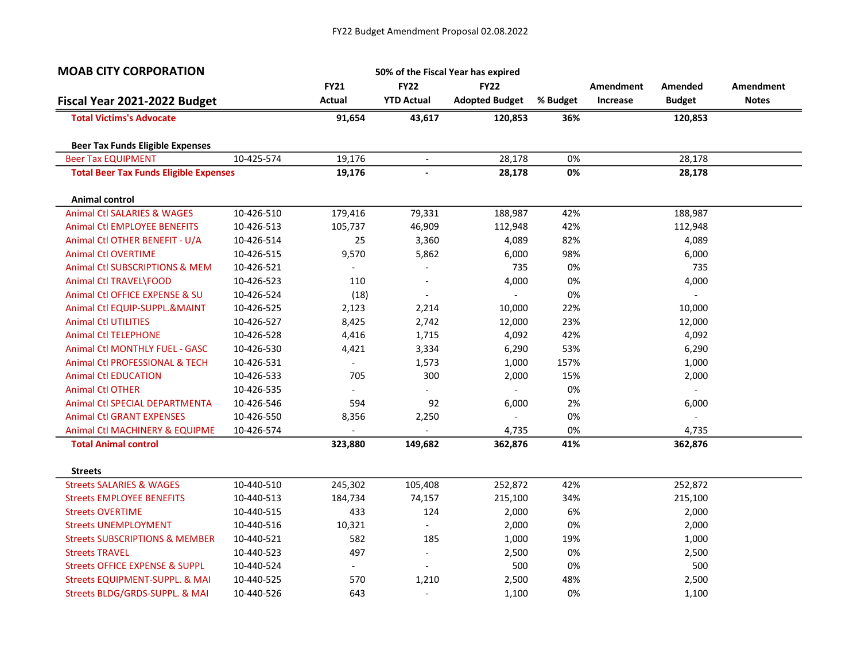| <b>FY21</b><br><b>FY22</b><br><b>FY22</b><br><b>Amendment</b><br>Amendment<br>Amended<br>Actual<br><b>YTD Actual</b><br><b>Adopted Budget</b><br><b>Notes</b><br>Fiscal Year 2021-2022 Budget<br>% Budget<br>Increase<br><b>Budget</b><br><b>Total Victims's Advocate</b><br>91,654<br>43,617<br>120,853<br>120,853<br>36%<br><b>Beer Tax Funds Eligible Expenses</b><br>10-425-574<br>19,176<br><b>Beer Tax EQUIPMENT</b><br>28,178<br>0%<br>28,178<br>$\overline{\phantom{a}}$<br><b>Total Beer Tax Funds Eligible Expenses</b><br>0%<br>19,176<br>28,178<br>28,178<br><b>Animal control</b><br><b>Animal Ctl SALARIES &amp; WAGES</b><br>10-426-510<br>42%<br>179,416<br>79,331<br>188,987<br>188,987<br><b>Animal Ctl EMPLOYEE BENEFITS</b><br>105,737<br>112,948<br>42%<br>112,948<br>10-426-513<br>46,909<br>Animal Ctl OTHER BENEFIT - U/A<br>82%<br>10-426-514<br>25<br>3,360<br>4,089<br>4,089<br><b>Animal Ctl OVERTIME</b><br>98%<br>10-426-515<br>9,570<br>5,862<br>6,000<br>6,000<br>Animal Ctl SUBSCRIPTIONS & MEM<br>735<br>0%<br>735<br>10-426-521<br>$\overline{\phantom{0}}$<br>110<br>4,000<br>0%<br>Animal Ctl TRAVEL\FOOD<br>4,000<br>10-426-523<br>$\overline{\phantom{a}}$<br>Animal Ctl OFFICE EXPENSE & SU<br>(18)<br>0%<br>10-426-524<br>$\overline{\phantom{a}}$<br>$\sim$<br>$\overline{\phantom{0}}$ |
|-----------------------------------------------------------------------------------------------------------------------------------------------------------------------------------------------------------------------------------------------------------------------------------------------------------------------------------------------------------------------------------------------------------------------------------------------------------------------------------------------------------------------------------------------------------------------------------------------------------------------------------------------------------------------------------------------------------------------------------------------------------------------------------------------------------------------------------------------------------------------------------------------------------------------------------------------------------------------------------------------------------------------------------------------------------------------------------------------------------------------------------------------------------------------------------------------------------------------------------------------------------------------------------------------------------------------------------|
|                                                                                                                                                                                                                                                                                                                                                                                                                                                                                                                                                                                                                                                                                                                                                                                                                                                                                                                                                                                                                                                                                                                                                                                                                                                                                                                                   |
|                                                                                                                                                                                                                                                                                                                                                                                                                                                                                                                                                                                                                                                                                                                                                                                                                                                                                                                                                                                                                                                                                                                                                                                                                                                                                                                                   |
|                                                                                                                                                                                                                                                                                                                                                                                                                                                                                                                                                                                                                                                                                                                                                                                                                                                                                                                                                                                                                                                                                                                                                                                                                                                                                                                                   |
|                                                                                                                                                                                                                                                                                                                                                                                                                                                                                                                                                                                                                                                                                                                                                                                                                                                                                                                                                                                                                                                                                                                                                                                                                                                                                                                                   |
|                                                                                                                                                                                                                                                                                                                                                                                                                                                                                                                                                                                                                                                                                                                                                                                                                                                                                                                                                                                                                                                                                                                                                                                                                                                                                                                                   |
|                                                                                                                                                                                                                                                                                                                                                                                                                                                                                                                                                                                                                                                                                                                                                                                                                                                                                                                                                                                                                                                                                                                                                                                                                                                                                                                                   |
|                                                                                                                                                                                                                                                                                                                                                                                                                                                                                                                                                                                                                                                                                                                                                                                                                                                                                                                                                                                                                                                                                                                                                                                                                                                                                                                                   |
|                                                                                                                                                                                                                                                                                                                                                                                                                                                                                                                                                                                                                                                                                                                                                                                                                                                                                                                                                                                                                                                                                                                                                                                                                                                                                                                                   |
|                                                                                                                                                                                                                                                                                                                                                                                                                                                                                                                                                                                                                                                                                                                                                                                                                                                                                                                                                                                                                                                                                                                                                                                                                                                                                                                                   |
|                                                                                                                                                                                                                                                                                                                                                                                                                                                                                                                                                                                                                                                                                                                                                                                                                                                                                                                                                                                                                                                                                                                                                                                                                                                                                                                                   |
|                                                                                                                                                                                                                                                                                                                                                                                                                                                                                                                                                                                                                                                                                                                                                                                                                                                                                                                                                                                                                                                                                                                                                                                                                                                                                                                                   |
|                                                                                                                                                                                                                                                                                                                                                                                                                                                                                                                                                                                                                                                                                                                                                                                                                                                                                                                                                                                                                                                                                                                                                                                                                                                                                                                                   |
|                                                                                                                                                                                                                                                                                                                                                                                                                                                                                                                                                                                                                                                                                                                                                                                                                                                                                                                                                                                                                                                                                                                                                                                                                                                                                                                                   |
|                                                                                                                                                                                                                                                                                                                                                                                                                                                                                                                                                                                                                                                                                                                                                                                                                                                                                                                                                                                                                                                                                                                                                                                                                                                                                                                                   |
| 2,123<br>10,000<br>22%<br>10,000<br>Animal Ctl EQUIP-SUPPL.&MAINT<br>10-426-525<br>2,214                                                                                                                                                                                                                                                                                                                                                                                                                                                                                                                                                                                                                                                                                                                                                                                                                                                                                                                                                                                                                                                                                                                                                                                                                                          |
| 8,425<br>23%<br><b>Animal Ctl UTILITIES</b><br>2,742<br>12,000<br>12,000<br>10-426-527                                                                                                                                                                                                                                                                                                                                                                                                                                                                                                                                                                                                                                                                                                                                                                                                                                                                                                                                                                                                                                                                                                                                                                                                                                            |
| <b>Animal Ctl TELEPHONE</b><br>10-426-528<br>4,416<br>1,715<br>4,092<br>42%<br>4,092                                                                                                                                                                                                                                                                                                                                                                                                                                                                                                                                                                                                                                                                                                                                                                                                                                                                                                                                                                                                                                                                                                                                                                                                                                              |
| 53%<br><b>Animal Ctl MONTHLY FUEL - GASC</b><br>10-426-530<br>4,421<br>3,334<br>6,290<br>6,290                                                                                                                                                                                                                                                                                                                                                                                                                                                                                                                                                                                                                                                                                                                                                                                                                                                                                                                                                                                                                                                                                                                                                                                                                                    |
| Animal Ctl PROFESSIONAL & TECH<br>10-426-531<br>1,000<br>157%<br>1,000<br>$\blacksquare$<br>1,573                                                                                                                                                                                                                                                                                                                                                                                                                                                                                                                                                                                                                                                                                                                                                                                                                                                                                                                                                                                                                                                                                                                                                                                                                                 |
| <b>Animal Ctl EDUCATION</b><br>705<br>300<br>2,000<br>15%<br>2,000<br>10-426-533                                                                                                                                                                                                                                                                                                                                                                                                                                                                                                                                                                                                                                                                                                                                                                                                                                                                                                                                                                                                                                                                                                                                                                                                                                                  |
| 0%<br><b>Animal Ctl OTHER</b><br>10-426-535<br>$\overline{\phantom{0}}$                                                                                                                                                                                                                                                                                                                                                                                                                                                                                                                                                                                                                                                                                                                                                                                                                                                                                                                                                                                                                                                                                                                                                                                                                                                           |
| 92<br>2%<br>Animal Ctl SPECIAL DEPARTMENTA<br>10-426-546<br>594<br>6,000<br>6,000                                                                                                                                                                                                                                                                                                                                                                                                                                                                                                                                                                                                                                                                                                                                                                                                                                                                                                                                                                                                                                                                                                                                                                                                                                                 |
| 8,356<br>2,250<br>0%<br><b>Animal Ctl GRANT EXPENSES</b><br>10-426-550                                                                                                                                                                                                                                                                                                                                                                                                                                                                                                                                                                                                                                                                                                                                                                                                                                                                                                                                                                                                                                                                                                                                                                                                                                                            |
| 4,735<br>0%<br>4,735<br>Animal Ctl MACHINERY & EQUIPME<br>10-426-574                                                                                                                                                                                                                                                                                                                                                                                                                                                                                                                                                                                                                                                                                                                                                                                                                                                                                                                                                                                                                                                                                                                                                                                                                                                              |
| <b>Total Animal control</b><br>323,880<br>362,876<br>41%<br>362,876<br>149,682                                                                                                                                                                                                                                                                                                                                                                                                                                                                                                                                                                                                                                                                                                                                                                                                                                                                                                                                                                                                                                                                                                                                                                                                                                                    |
| <b>Streets</b>                                                                                                                                                                                                                                                                                                                                                                                                                                                                                                                                                                                                                                                                                                                                                                                                                                                                                                                                                                                                                                                                                                                                                                                                                                                                                                                    |
| <b>Streets SALARIES &amp; WAGES</b><br>10-440-510<br>42%<br>245,302<br>105,408<br>252,872<br>252,872                                                                                                                                                                                                                                                                                                                                                                                                                                                                                                                                                                                                                                                                                                                                                                                                                                                                                                                                                                                                                                                                                                                                                                                                                              |
| <b>Streets EMPLOYEE BENEFITS</b><br>10-440-513<br>184,734<br>74,157<br>215,100<br>34%<br>215,100                                                                                                                                                                                                                                                                                                                                                                                                                                                                                                                                                                                                                                                                                                                                                                                                                                                                                                                                                                                                                                                                                                                                                                                                                                  |
| <b>Streets OVERTIME</b><br>124<br>2,000<br>6%<br>2,000<br>10-440-515<br>433                                                                                                                                                                                                                                                                                                                                                                                                                                                                                                                                                                                                                                                                                                                                                                                                                                                                                                                                                                                                                                                                                                                                                                                                                                                       |
| <b>Streets UNEMPLOYMENT</b><br>10,321<br>2,000<br>0%<br>2,000<br>10-440-516<br>$\blacksquare$                                                                                                                                                                                                                                                                                                                                                                                                                                                                                                                                                                                                                                                                                                                                                                                                                                                                                                                                                                                                                                                                                                                                                                                                                                     |
| <b>Streets SUBSCRIPTIONS &amp; MEMBER</b><br>10-440-521<br>582<br>185<br>1,000<br>19%<br>1,000                                                                                                                                                                                                                                                                                                                                                                                                                                                                                                                                                                                                                                                                                                                                                                                                                                                                                                                                                                                                                                                                                                                                                                                                                                    |
| 497<br>0%<br><b>Streets TRAVEL</b><br>2,500<br>2,500<br>10-440-523<br>$\overline{\phantom{a}}$                                                                                                                                                                                                                                                                                                                                                                                                                                                                                                                                                                                                                                                                                                                                                                                                                                                                                                                                                                                                                                                                                                                                                                                                                                    |
| 500<br><b>Streets OFFICE EXPENSE &amp; SUPPL</b><br>500<br>0%<br>10-440-524<br>$\overline{\phantom{a}}$<br>$\overline{\phantom{a}}$                                                                                                                                                                                                                                                                                                                                                                                                                                                                                                                                                                                                                                                                                                                                                                                                                                                                                                                                                                                                                                                                                                                                                                                               |
| <b>Streets EQUIPMENT-SUPPL. &amp; MAI</b><br>570<br>2,500<br>48%<br>2,500<br>10-440-525<br>1,210                                                                                                                                                                                                                                                                                                                                                                                                                                                                                                                                                                                                                                                                                                                                                                                                                                                                                                                                                                                                                                                                                                                                                                                                                                  |
| Streets BLDG/GRDS-SUPPL. & MAI<br>643<br>1,100<br>0%<br>1,100<br>10-440-526<br>$\overline{a}$                                                                                                                                                                                                                                                                                                                                                                                                                                                                                                                                                                                                                                                                                                                                                                                                                                                                                                                                                                                                                                                                                                                                                                                                                                     |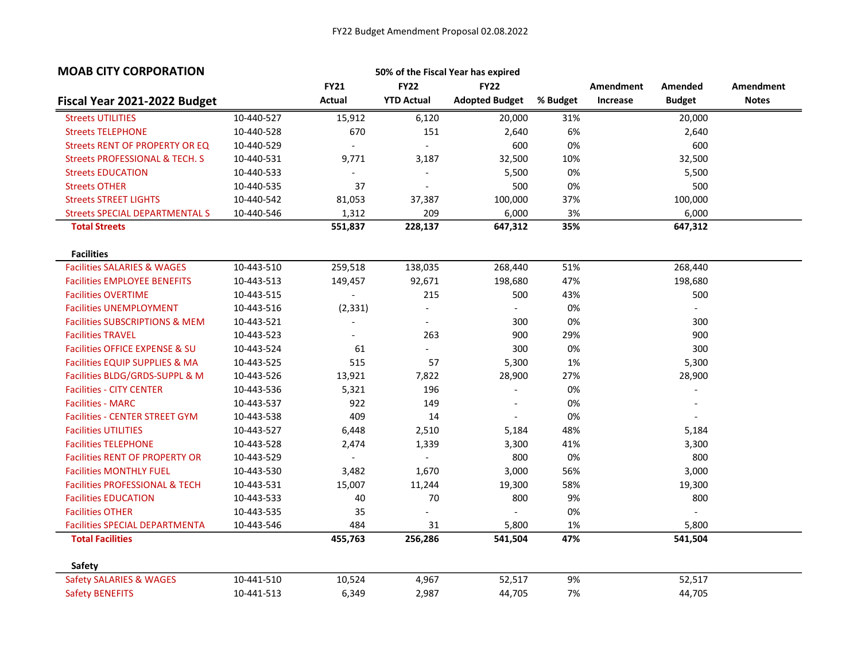| <b>MOAB CITY CORPORATION</b>              |            |                          |                           | 50% of the Fiscal Year has expired |          |           |                          |              |
|-------------------------------------------|------------|--------------------------|---------------------------|------------------------------------|----------|-----------|--------------------------|--------------|
|                                           |            | <b>FY21</b>              | <b>FY22</b>               | <b>FY22</b>                        |          | Amendment | Amended                  | Amendment    |
| Fiscal Year 2021-2022 Budget              |            | Actual                   | <b>YTD Actual</b>         | <b>Adopted Budget</b>              | % Budget | Increase  | <b>Budget</b>            | <b>Notes</b> |
| <b>Streets UTILITIES</b>                  | 10-440-527 | 15,912                   | 6,120                     | 20,000                             | 31%      |           | 20,000                   |              |
| <b>Streets TELEPHONE</b>                  | 10-440-528 | 670                      | 151                       | 2,640                              | 6%       |           | 2,640                    |              |
| Streets RENT OF PROPERTY OR EQ            | 10-440-529 |                          | $\overline{\phantom{a}}$  | 600                                | 0%       |           | 600                      |              |
| <b>Streets PROFESSIONAL &amp; TECH. S</b> | 10-440-531 | 9,771                    | 3,187                     | 32,500                             | 10%      |           | 32,500                   |              |
| <b>Streets EDUCATION</b>                  | 10-440-533 |                          | $\overline{\phantom{a}}$  | 5,500                              | 0%       |           | 5,500                    |              |
| <b>Streets OTHER</b>                      | 10-440-535 | 37                       | $\mathbf{r}$              | 500                                | 0%       |           | 500                      |              |
| <b>Streets STREET LIGHTS</b>              | 10-440-542 | 81,053                   | 37,387                    | 100,000                            | 37%      |           | 100,000                  |              |
| <b>Streets SPECIAL DEPARTMENTAL S</b>     | 10-440-546 | 1,312                    | 209                       | 6,000                              | 3%       |           | 6,000                    |              |
| <b>Total Streets</b>                      |            | 551,837                  | 228,137                   | 647,312                            | 35%      |           | 647,312                  |              |
| <b>Facilities</b>                         |            |                          |                           |                                    |          |           |                          |              |
| <b>Facilities SALARIES &amp; WAGES</b>    | 10-443-510 | 259,518                  | 138,035                   | 268,440                            | 51%      |           | 268,440                  |              |
| <b>Facilities EMPLOYEE BENEFITS</b>       | 10-443-513 | 149,457                  | 92,671                    | 198,680                            | 47%      |           | 198,680                  |              |
| <b>Facilities OVERTIME</b>                | 10-443-515 |                          | 215                       | 500                                | 43%      |           | 500                      |              |
| <b>Facilities UNEMPLOYMENT</b>            | 10-443-516 | (2, 331)                 | $\overline{\phantom{a}}$  | $\sim$                             | 0%       |           | $\overline{\phantom{a}}$ |              |
| <b>Facilities SUBSCRIPTIONS &amp; MEM</b> | 10-443-521 |                          | $\blacksquare$            | 300                                | 0%       |           | 300                      |              |
| <b>Facilities TRAVEL</b>                  | 10-443-523 |                          | 263                       | 900                                | 29%      |           | 900                      |              |
| <b>Facilities OFFICE EXPENSE &amp; SU</b> | 10-443-524 | 61                       | $\mathbb{Z}^{\mathbb{Z}}$ | 300                                | 0%       |           | 300                      |              |
| Facilities EQUIP SUPPLIES & MA            | 10-443-525 | 515                      | 57                        | 5,300                              | 1%       |           | 5,300                    |              |
| Facilities BLDG/GRDS-SUPPL & M            | 10-443-526 | 13,921                   | 7,822                     | 28,900                             | 27%      |           | 28,900                   |              |
| <b>Facilities - CITY CENTER</b>           | 10-443-536 | 5,321                    | 196                       | $\overline{\phantom{a}}$           | 0%       |           | $\overline{a}$           |              |
| <b>Facilities - MARC</b>                  | 10-443-537 | 922                      | 149                       | $\overline{\phantom{a}}$           | 0%       |           |                          |              |
| <b>Facilities - CENTER STREET GYM</b>     | 10-443-538 | 409                      | 14                        |                                    | 0%       |           |                          |              |
| <b>Facilities UTILITIES</b>               | 10-443-527 | 6,448                    | 2,510                     | 5,184                              | 48%      |           | 5,184                    |              |
| <b>Facilities TELEPHONE</b>               | 10-443-528 | 2,474                    | 1,339                     | 3,300                              | 41%      |           | 3,300                    |              |
| <b>Facilities RENT OF PROPERTY OR</b>     | 10-443-529 | $\overline{\phantom{a}}$ | $\blacksquare$            | 800                                | 0%       |           | 800                      |              |
| <b>Facilities MONTHLY FUEL</b>            | 10-443-530 | 3,482                    | 1,670                     | 3,000                              | 56%      |           | 3,000                    |              |
| <b>Facilities PROFESSIONAL &amp; TECH</b> | 10-443-531 | 15,007                   | 11,244                    | 19,300                             | 58%      |           | 19,300                   |              |
| <b>Facilities EDUCATION</b>               | 10-443-533 | 40                       | 70                        | 800                                | 9%       |           | 800                      |              |
| <b>Facilities OTHER</b>                   | 10-443-535 | 35                       | $\overline{a}$            | $\overline{\phantom{a}}$           | 0%       |           | $\blacksquare$           |              |
| <b>Facilities SPECIAL DEPARTMENTA</b>     | 10-443-546 | 484                      | 31                        | 5,800                              | 1%       |           | 5,800                    |              |
| <b>Total Facilities</b>                   |            | 455,763                  | 256,286                   | 541,504                            | 47%      |           | 541,504                  |              |
| <b>Safety</b>                             |            |                          |                           |                                    |          |           |                          |              |
| <b>Safety SALARIES &amp; WAGES</b>        | 10-441-510 | 10,524                   | 4,967                     | 52,517                             | 9%       |           | 52,517                   |              |
| <b>Safety BENEFITS</b>                    | 10-441-513 | 6,349                    | 2,987                     | 44,705                             | 7%       |           | 44,705                   |              |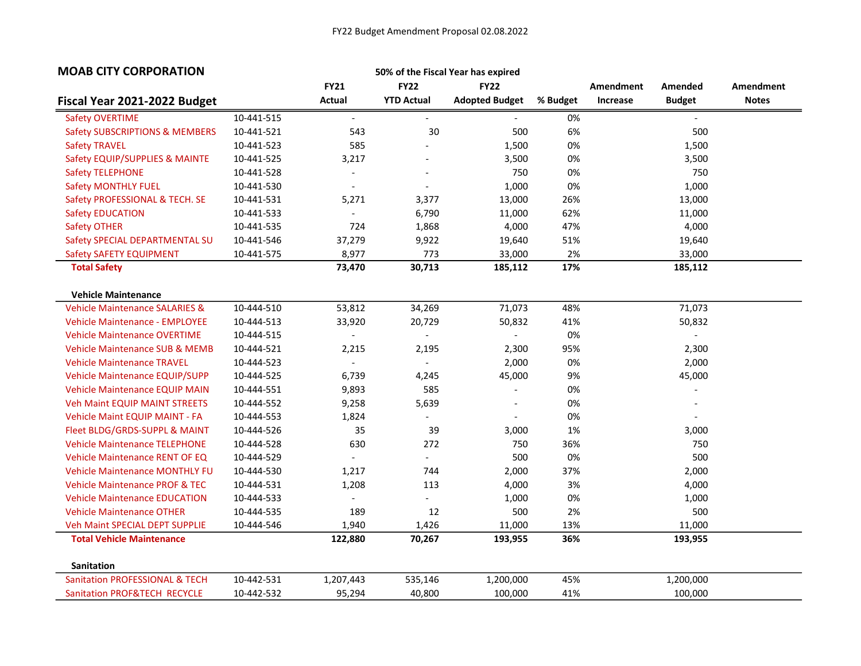| <b>MOAB CITY CORPORATION</b>              |            |                          |                           | 50% of the Fiscal Year has expired |          |           |               |              |
|-------------------------------------------|------------|--------------------------|---------------------------|------------------------------------|----------|-----------|---------------|--------------|
|                                           |            | <b>FY21</b>              | <b>FY22</b>               | <b>FY22</b>                        |          | Amendment | Amended       | Amendment    |
| Fiscal Year 2021-2022 Budget              |            | Actual                   | <b>YTD Actual</b>         | <b>Adopted Budget</b>              | % Budget | Increase  | <b>Budget</b> | <b>Notes</b> |
| <b>Safety OVERTIME</b>                    | 10-441-515 | $\overline{\phantom{a}}$ |                           |                                    | 0%       |           |               |              |
| <b>Safety SUBSCRIPTIONS &amp; MEMBERS</b> | 10-441-521 | 543                      | 30                        | 500                                | 6%       |           | 500           |              |
| <b>Safety TRAVEL</b>                      | 10-441-523 | 585                      |                           | 1,500                              | 0%       |           | 1,500         |              |
| Safety EQUIP/SUPPLIES & MAINTE            | 10-441-525 | 3,217                    |                           | 3,500                              | 0%       |           | 3,500         |              |
| <b>Safety TELEPHONE</b>                   | 10-441-528 | $\overline{a}$           |                           | 750                                | 0%       |           | 750           |              |
| <b>Safety MONTHLY FUEL</b>                | 10-441-530 | $\overline{a}$           | $\overline{\phantom{a}}$  | 1,000                              | 0%       |           | 1,000         |              |
| Safety PROFESSIONAL & TECH. SE            | 10-441-531 | 5,271                    | 3,377                     | 13,000                             | 26%      |           | 13,000        |              |
| <b>Safety EDUCATION</b>                   | 10-441-533 | $\overline{a}$           | 6,790                     | 11,000                             | 62%      |           | 11,000        |              |
| <b>Safety OTHER</b>                       | 10-441-535 | 724                      | 1,868                     | 4,000                              | 47%      |           | 4,000         |              |
| Safety SPECIAL DEPARTMENTAL SU            | 10-441-546 | 37,279                   | 9,922                     | 19,640                             | 51%      |           | 19,640        |              |
| Safety SAFETY EQUIPMENT                   | 10-441-575 | 8,977                    | 773                       | 33,000                             | 2%       |           | 33,000        |              |
| <b>Total Safety</b>                       |            | 73,470                   | 30,713                    | 185,112                            | 17%      |           | 185,112       |              |
| <b>Vehicle Maintenance</b>                |            |                          |                           |                                    |          |           |               |              |
| <b>Vehicle Maintenance SALARIES &amp;</b> | 10-444-510 | 53,812                   | 34,269                    | 71,073                             | 48%      |           | 71,073        |              |
| <b>Vehicle Maintenance - EMPLOYEE</b>     | 10-444-513 | 33,920                   | 20,729                    | 50,832                             | 41%      |           | 50,832        |              |
| <b>Vehicle Maintenance OVERTIME</b>       | 10-444-515 |                          |                           |                                    | 0%       |           |               |              |
| <b>Vehicle Maintenance SUB &amp; MEMB</b> | 10-444-521 | 2,215                    | 2,195                     | 2,300                              | 95%      |           | 2,300         |              |
| <b>Vehicle Maintenance TRAVEL</b>         | 10-444-523 |                          |                           | 2,000                              | 0%       |           | 2,000         |              |
| <b>Vehicle Maintenance EQUIP/SUPP</b>     | 10-444-525 | 6,739                    | 4,245                     | 45,000                             | 9%       |           | 45,000        |              |
| <b>Vehicle Maintenance EQUIP MAIN</b>     | 10-444-551 | 9,893                    | 585                       |                                    | 0%       |           |               |              |
| <b>Veh Maint EQUIP MAINT STREETS</b>      | 10-444-552 | 9,258                    | 5,639                     |                                    | 0%       |           |               |              |
| <b>Vehicle Maint EQUIP MAINT - FA</b>     | 10-444-553 | 1,824                    |                           |                                    | 0%       |           |               |              |
| Fleet BLDG/GRDS-SUPPL & MAINT             | 10-444-526 | 35                       | 39                        | 3,000                              | 1%       |           | 3,000         |              |
| <b>Vehicle Maintenance TELEPHONE</b>      | 10-444-528 | 630                      | 272                       | 750                                | 36%      |           | 750           |              |
| <b>Vehicle Maintenance RENT OF EQ</b>     | 10-444-529 |                          | $\equiv$                  | 500                                | 0%       |           | 500           |              |
| <b>Vehicle Maintenance MONTHLY FU</b>     | 10-444-530 | 1,217                    | 744                       | 2,000                              | 37%      |           | 2,000         |              |
| <b>Vehicle Maintenance PROF &amp; TEC</b> | 10-444-531 | 1,208                    | 113                       | 4,000                              | 3%       |           | 4,000         |              |
| <b>Vehicle Maintenance EDUCATION</b>      | 10-444-533 | $\overline{\phantom{a}}$ | $\mathbb{Z}^{\mathbb{Z}}$ | 1,000                              | 0%       |           | 1,000         |              |
| <b>Vehicle Maintenance OTHER</b>          | 10-444-535 | 189                      | 12                        | 500                                | 2%       |           | 500           |              |
| <b>Veh Maint SPECIAL DEPT SUPPLIE</b>     | 10-444-546 | 1,940                    | 1,426                     | 11,000                             | 13%      |           | 11,000        |              |
| <b>Total Vehicle Maintenance</b>          |            | 122,880                  | 70,267                    | 193,955                            | 36%      |           | 193,955       |              |
| <b>Sanitation</b>                         |            |                          |                           |                                    |          |           |               |              |
| <b>Sanitation PROFESSIONAL &amp; TECH</b> | 10-442-531 | 1,207,443                | 535,146                   | 1,200,000                          | 45%      |           | 1,200,000     |              |
| Sanitation PROF&TECH RECYCLE              | 10-442-532 | 95,294                   | 40,800                    | 100,000                            | 41%      |           | 100,000       |              |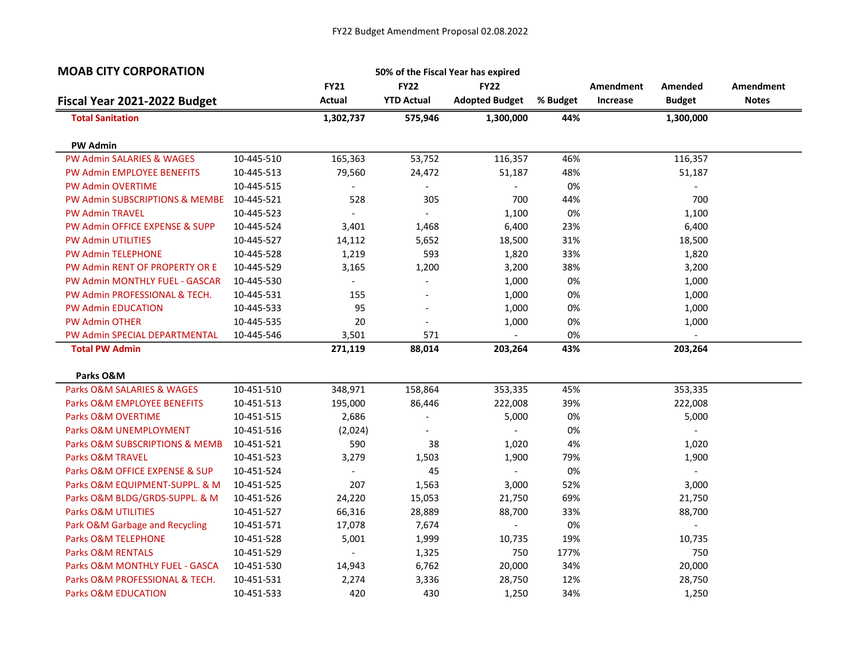| <b>MOAB CITY CORPORATION</b>            |            |                          |                          | 50% of the Fiscal Year has expired |          |           |                          |              |
|-----------------------------------------|------------|--------------------------|--------------------------|------------------------------------|----------|-----------|--------------------------|--------------|
|                                         |            | <b>FY21</b>              | <b>FY22</b>              | <b>FY22</b>                        |          | Amendment | Amended                  | Amendment    |
| Fiscal Year 2021-2022 Budget            |            | Actual                   | <b>YTD Actual</b>        | <b>Adopted Budget</b>              | % Budget | Increase  | <b>Budget</b>            | <b>Notes</b> |
| <b>Total Sanitation</b>                 |            | 1,302,737                | 575,946                  | 1,300,000                          | 44%      |           | 1,300,000                |              |
| <b>PW Admin</b>                         |            |                          |                          |                                    |          |           |                          |              |
| <b>PW Admin SALARIES &amp; WAGES</b>    | 10-445-510 | 165,363                  | 53,752                   | 116,357                            | 46%      |           | 116,357                  |              |
| <b>PW Admin EMPLOYEE BENEFITS</b>       | 10-445-513 | 79,560                   | 24,472                   | 51,187                             | 48%      |           | 51,187                   |              |
| <b>PW Admin OVERTIME</b>                | 10-445-515 | $\overline{\phantom{a}}$ | $\overline{\phantom{0}}$ | $\overline{\phantom{a}}$           | 0%       |           | $\overline{\phantom{a}}$ |              |
| PW Admin SUBSCRIPTIONS & MEMBE          | 10-445-521 | 528                      | 305                      | 700                                | 44%      |           | 700                      |              |
| <b>PW Admin TRAVEL</b>                  | 10-445-523 | $\overline{\phantom{a}}$ | $\overline{\phantom{a}}$ | 1,100                              | 0%       |           | 1,100                    |              |
| PW Admin OFFICE EXPENSE & SUPP          | 10-445-524 | 3,401                    | 1,468                    | 6,400                              | 23%      |           | 6,400                    |              |
| <b>PW Admin UTILITIES</b>               | 10-445-527 | 14,112                   | 5,652                    | 18,500                             | 31%      |           | 18,500                   |              |
| PW Admin TELEPHONE                      | 10-445-528 | 1,219                    | 593                      | 1,820                              | 33%      |           | 1,820                    |              |
| PW Admin RENT OF PROPERTY OR E          | 10-445-529 | 3,165                    | 1,200                    | 3,200                              | 38%      |           | 3,200                    |              |
| PW Admin MONTHLY FUEL - GASCAR          | 10-445-530 |                          | $\overline{a}$           | 1,000                              | 0%       |           | 1,000                    |              |
| PW Admin PROFESSIONAL & TECH.           | 10-445-531 | 155                      |                          | 1,000                              | 0%       |           | 1,000                    |              |
| <b>PW Admin EDUCATION</b>               | 10-445-533 | 95                       | $\overline{a}$           | 1,000                              | 0%       |           | 1,000                    |              |
| <b>PW Admin OTHER</b>                   | 10-445-535 | 20                       | $\overline{\phantom{0}}$ | 1,000                              | 0%       |           | 1,000                    |              |
| PW Admin SPECIAL DEPARTMENTAL           | 10-445-546 | 3,501                    | 571                      |                                    | 0%       |           |                          |              |
| <b>Total PW Admin</b>                   |            | 271,119                  | 88,014                   | 203,264                            | 43%      |           | 203,264                  |              |
|                                         |            |                          |                          |                                    |          |           |                          |              |
| Parks O&M<br>Parks O&M SALARIES & WAGES | 10-451-510 | 348,971                  | 158,864                  | 353,335                            | 45%      |           | 353,335                  |              |
| Parks O&M EMPLOYEE BENEFITS             | 10-451-513 | 195,000                  | 86,446                   | 222,008                            | 39%      |           | 222,008                  |              |
|                                         |            |                          |                          |                                    | 0%       |           |                          |              |
| Parks O&M OVERTIME                      | 10-451-515 | 2,686                    |                          | 5,000                              |          |           | 5,000                    |              |
| Parks O&M UNEMPLOYMENT                  | 10-451-516 | (2,024)                  |                          |                                    | 0%       |           |                          |              |
| Parks O&M SUBSCRIPTIONS & MEMB          | 10-451-521 | 590                      | 38                       | 1,020                              | 4%       |           | 1,020                    |              |
| Parks O&M TRAVEL                        | 10-451-523 | 3,279                    | 1,503<br>45              | 1,900                              | 79%      |           | 1,900                    |              |
| Parks O&M OFFICE EXPENSE & SUP          | 10-451-524 |                          |                          |                                    | 0%       |           |                          |              |
| Parks O&M EQUIPMENT-SUPPL. & M          | 10-451-525 | 207                      | 1,563                    | 3,000                              | 52%      |           | 3,000                    |              |
| Parks O&M BLDG/GRDS-SUPPL. & M          | 10-451-526 | 24,220                   | 15,053                   | 21,750                             | 69%      |           | 21,750                   |              |
| Parks O&M UTILITIES                     | 10-451-527 | 66,316                   | 28,889                   | 88,700                             | 33%      |           | 88,700                   |              |
| Park O&M Garbage and Recycling          | 10-451-571 | 17,078                   | 7,674                    |                                    | 0%       |           |                          |              |
| Parks O&M TELEPHONE                     | 10-451-528 | 5,001                    | 1,999                    | 10,735                             | 19%      |           | 10,735                   |              |
| <b>Parks O&amp;M RENTALS</b>            | 10-451-529 | $\overline{\phantom{a}}$ | 1,325                    | 750                                | 177%     |           | 750                      |              |
| Parks O&M MONTHLY FUEL - GASCA          | 10-451-530 | 14,943                   | 6,762                    | 20,000                             | 34%      |           | 20,000                   |              |
| Parks O&M PROFESSIONAL & TECH.          | 10-451-531 | 2,274                    | 3,336                    | 28,750                             | 12%      |           | 28,750                   |              |
| <b>Parks O&amp;M EDUCATION</b>          | 10-451-533 | 420                      | 430                      | 1,250                              | 34%      |           | 1,250                    |              |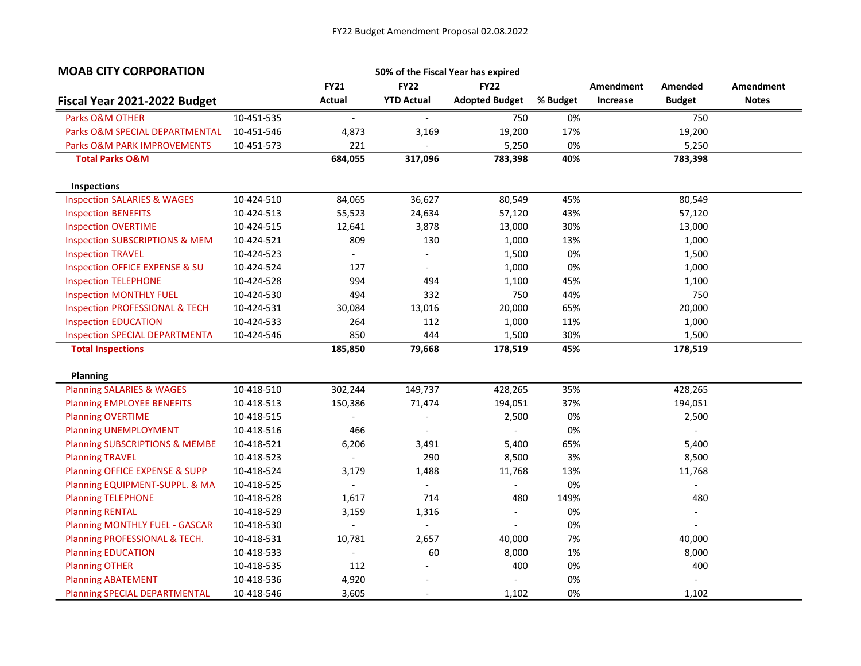| <b>MOAB CITY CORPORATION</b>              |            |                          |                          | 50% of the Fiscal Year has expired |          |           |                          |              |
|-------------------------------------------|------------|--------------------------|--------------------------|------------------------------------|----------|-----------|--------------------------|--------------|
|                                           |            | <b>FY21</b>              | <b>FY22</b>              | <b>FY22</b>                        |          | Amendment | Amended                  | Amendment    |
| Fiscal Year 2021-2022 Budget              |            | Actual                   | <b>YTD Actual</b>        | <b>Adopted Budget</b>              | % Budget | Increase  | <b>Budget</b>            | <b>Notes</b> |
| Parks O&M OTHER                           | 10-451-535 | $\overline{\phantom{a}}$ | $\overline{\phantom{a}}$ | 750                                | 0%       |           | 750                      |              |
| Parks O&M SPECIAL DEPARTMENTAL            | 10-451-546 | 4,873                    | 3,169                    | 19,200                             | 17%      |           | 19,200                   |              |
| <b>Parks O&amp;M PARK IMPROVEMENTS</b>    | 10-451-573 | 221                      |                          | 5,250                              | 0%       |           | 5,250                    |              |
| <b>Total Parks O&amp;M</b>                |            | 684,055                  | 317,096                  | 783,398                            | 40%      |           | 783,398                  |              |
| Inspections                               |            |                          |                          |                                    |          |           |                          |              |
| <b>Inspection SALARIES &amp; WAGES</b>    | 10-424-510 | 84,065                   | 36,627                   | 80,549                             | 45%      |           | 80,549                   |              |
| <b>Inspection BENEFITS</b>                | 10-424-513 | 55,523                   | 24,634                   | 57,120                             | 43%      |           | 57,120                   |              |
| <b>Inspection OVERTIME</b>                | 10-424-515 | 12,641                   | 3,878                    | 13,000                             | 30%      |           | 13,000                   |              |
| <b>Inspection SUBSCRIPTIONS &amp; MEM</b> | 10-424-521 | 809                      | 130                      | 1,000                              | 13%      |           | 1,000                    |              |
| <b>Inspection TRAVEL</b>                  | 10-424-523 | $\blacksquare$           | $\overline{\phantom{a}}$ | 1,500                              | 0%       |           | 1,500                    |              |
| Inspection OFFICE EXPENSE & SU            | 10-424-524 | 127                      | $\overline{\phantom{a}}$ | 1,000                              | 0%       |           | 1,000                    |              |
| <b>Inspection TELEPHONE</b>               | 10-424-528 | 994                      | 494                      | 1,100                              | 45%      |           | 1,100                    |              |
| <b>Inspection MONTHLY FUEL</b>            | 10-424-530 | 494                      | 332                      | 750                                | 44%      |           | 750                      |              |
| <b>Inspection PROFESSIONAL &amp; TECH</b> | 10-424-531 | 30,084                   | 13,016                   | 20,000                             | 65%      |           | 20,000                   |              |
| <b>Inspection EDUCATION</b>               | 10-424-533 | 264                      | 112                      | 1,000                              | 11%      |           | 1,000                    |              |
| <b>Inspection SPECIAL DEPARTMENTA</b>     | 10-424-546 | 850                      | 444                      | 1,500                              | 30%      |           | 1,500                    |              |
| <b>Total Inspections</b>                  |            | 185,850                  | 79,668                   | 178,519                            | 45%      |           | 178,519                  |              |
|                                           |            |                          |                          |                                    |          |           |                          |              |
| <b>Planning</b>                           |            |                          |                          |                                    |          |           |                          |              |
| <b>Planning SALARIES &amp; WAGES</b>      | 10-418-510 | 302,244                  | 149,737                  | 428,265                            | 35%      |           | 428,265                  |              |
| <b>Planning EMPLOYEE BENEFITS</b>         | 10-418-513 | 150,386                  | 71,474                   | 194,051                            | 37%      |           | 194,051                  |              |
| <b>Planning OVERTIME</b>                  | 10-418-515 |                          |                          | 2,500                              | 0%       |           | 2,500                    |              |
| <b>Planning UNEMPLOYMENT</b>              | 10-418-516 | 466                      |                          |                                    | 0%       |           |                          |              |
| <b>Planning SUBSCRIPTIONS &amp; MEMBE</b> | 10-418-521 | 6,206                    | 3,491                    | 5,400                              | 65%      |           | 5,400                    |              |
| <b>Planning TRAVEL</b>                    | 10-418-523 | $\sim$                   | 290                      | 8,500                              | 3%       |           | 8,500                    |              |
| Planning OFFICE EXPENSE & SUPP            | 10-418-524 | 3,179                    | 1,488                    | 11,768                             | 13%      |           | 11,768                   |              |
| Planning EQUIPMENT-SUPPL. & MA            | 10-418-525 | $\sim$                   | $\mathbf{r}$             |                                    | 0%       |           |                          |              |
| <b>Planning TELEPHONE</b>                 | 10-418-528 | 1,617                    | 714                      | 480                                | 149%     |           | 480                      |              |
| <b>Planning RENTAL</b>                    | 10-418-529 | 3,159                    | 1,316                    | $\overline{\phantom{0}}$           | 0%       |           | $\overline{\phantom{a}}$ |              |
| <b>Planning MONTHLY FUEL - GASCAR</b>     | 10-418-530 | $\overline{\phantom{a}}$ | $\overline{\phantom{a}}$ | $\overline{\phantom{0}}$           | 0%       |           |                          |              |
| Planning PROFESSIONAL & TECH.             | 10-418-531 | 10,781                   | 2,657                    | 40,000                             | 7%       |           | 40,000                   |              |
| <b>Planning EDUCATION</b>                 | 10-418-533 | $\overline{\phantom{a}}$ | 60                       | 8,000                              | 1%       |           | 8,000                    |              |
| <b>Planning OTHER</b>                     | 10-418-535 | 112                      |                          | 400                                | 0%       |           | 400                      |              |
| <b>Planning ABATEMENT</b>                 | 10-418-536 | 4,920                    |                          |                                    | 0%       |           |                          |              |
| <b>Planning SPECIAL DEPARTMENTAL</b>      | 10-418-546 | 3,605                    | $\overline{\phantom{a}}$ | 1,102                              | 0%       |           | 1,102                    |              |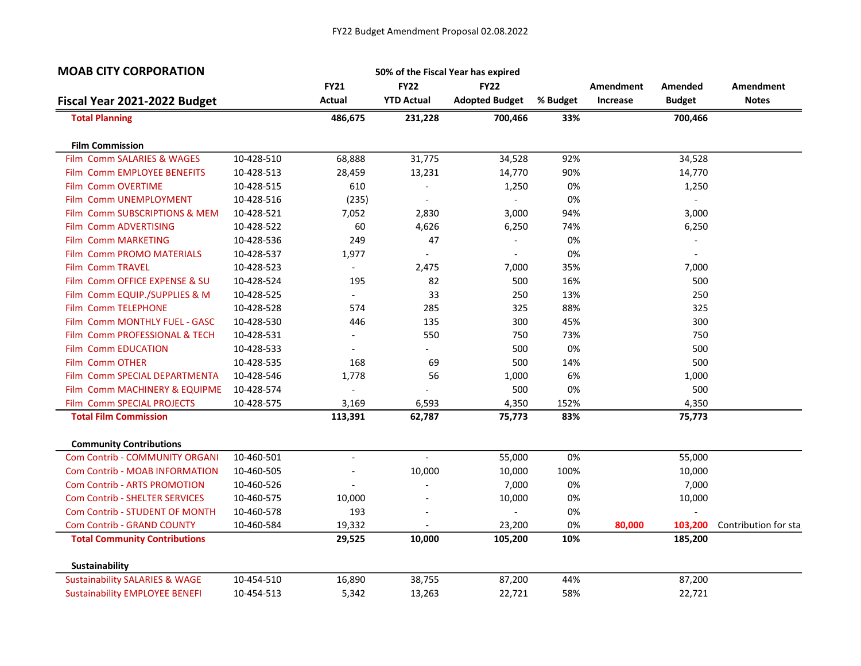| <b>MOAB CITY CORPORATION</b>                |            |                          |                   | 50% of the Fiscal Year has expired |          |           |                          |                      |
|---------------------------------------------|------------|--------------------------|-------------------|------------------------------------|----------|-----------|--------------------------|----------------------|
|                                             |            | <b>FY21</b>              | <b>FY22</b>       | <b>FY22</b>                        |          | Amendment | Amended                  | Amendment            |
| Fiscal Year 2021-2022 Budget                |            | Actual                   | <b>YTD Actual</b> | <b>Adopted Budget</b>              | % Budget | Increase  | <b>Budget</b>            | <b>Notes</b>         |
| <b>Total Planning</b>                       |            | 486,675                  | 231,228           | 700,466                            | 33%      |           | 700,466                  |                      |
| <b>Film Commission</b>                      |            |                          |                   |                                    |          |           |                          |                      |
| Film Comm SALARIES & WAGES                  | 10-428-510 | 68,888                   | 31,775            | 34,528                             | 92%      |           | 34,528                   |                      |
| Film Comm EMPLOYEE BENEFITS                 | 10-428-513 | 28,459                   | 13,231            | 14,770                             | 90%      |           | 14,770                   |                      |
| Film Comm OVERTIME                          | 10-428-515 | 610                      |                   | 1,250                              | 0%       |           | 1,250                    |                      |
| <b>Comm UNEMPLOYMENT</b><br>Film            | 10-428-516 | (235)                    | $\overline{a}$    | $\sim$                             | 0%       |           | $\overline{\phantom{a}}$ |                      |
| <b>Comm SUBSCRIPTIONS &amp; MEM</b><br>Film | 10-428-521 | 7,052                    | 2,830             | 3,000                              | 94%      |           | 3,000                    |                      |
| Film Comm ADVERTISING                       | 10-428-522 | 60                       | 4,626             | 6,250                              | 74%      |           | 6,250                    |                      |
| Film Comm MARKETING                         | 10-428-536 | 249                      | 47                |                                    | 0%       |           |                          |                      |
| <b>Film Comm PROMO MATERIALS</b>            | 10-428-537 | 1,977                    |                   | $\overline{\phantom{a}}$           | 0%       |           |                          |                      |
| Film Comm TRAVEL                            | 10-428-523 |                          | 2,475             | 7,000                              | 35%      |           | 7,000                    |                      |
| Comm OFFICE EXPENSE & SU<br>Film            | 10-428-524 | 195                      | 82                | 500                                | 16%      |           | 500                      |                      |
| Film Comm EQUIP./SUPPLIES & M               | 10-428-525 | $\overline{\phantom{a}}$ | 33                | 250                                | 13%      |           | 250                      |                      |
| Film Comm TELEPHONE                         | 10-428-528 | 574                      | 285               | 325                                | 88%      |           | 325                      |                      |
| <b>Comm MONTHLY FUEL - GASC</b><br>Film     | 10-428-530 | 446                      | 135               | 300                                | 45%      |           | 300                      |                      |
| <b>Comm PROFESSIONAL &amp; TECH</b><br>Film | 10-428-531 |                          | 550               | 750                                | 73%      |           | 750                      |                      |
| <b>Comm EDUCATION</b><br>Film               | 10-428-533 |                          |                   | 500                                | 0%       |           | 500                      |                      |
| Film Comm OTHER                             | 10-428-535 | 168                      | 69                | 500                                | 14%      |           | 500                      |                      |
| Film Comm SPECIAL DEPARTMENTA               | 10-428-546 | 1,778                    | 56                | 1,000                              | 6%       |           | 1,000                    |                      |
| Film Comm MACHINERY & EQUIPME               | 10-428-574 |                          |                   | 500                                | 0%       |           | 500                      |                      |
| Film Comm SPECIAL PROJECTS                  | 10-428-575 | 3,169                    | 6,593             | 4,350                              | 152%     |           | 4,350                    |                      |
| <b>Total Film Commission</b>                |            | 113,391                  | 62,787            | 75,773                             | 83%      |           | 75,773                   |                      |
| <b>Community Contributions</b>              |            |                          |                   |                                    |          |           |                          |                      |
| <b>Com Contrib - COMMUNITY ORGANI</b>       | 10-460-501 |                          |                   | 55,000                             | 0%       |           | 55,000                   |                      |
| <b>Com Contrib - MOAB INFORMATION</b>       | 10-460-505 |                          | 10,000            | 10,000                             | 100%     |           | 10,000                   |                      |
| <b>Com Contrib - ARTS PROMOTION</b>         | 10-460-526 |                          |                   | 7,000                              | 0%       |           | 7,000                    |                      |
| <b>Com Contrib - SHELTER SERVICES</b>       | 10-460-575 | 10,000                   |                   | 10,000                             | 0%       |           | 10,000                   |                      |
| Com Contrib - STUDENT OF MONTH              | 10-460-578 | 193                      |                   |                                    | 0%       |           |                          |                      |
| <b>Com Contrib - GRAND COUNTY</b>           | 10-460-584 | 19,332                   |                   | 23,200                             | 0%       | 80,000    | 103,200                  | Contribution for sta |
| <b>Total Community Contributions</b>        |            | 29,525                   | 10,000            | 105,200                            | 10%      |           | 185,200                  |                      |
| <b>Sustainability</b>                       |            |                          |                   |                                    |          |           |                          |                      |
| <b>Sustainability SALARIES &amp; WAGE</b>   | 10-454-510 | 16,890                   | 38,755            | 87,200                             | 44%      |           | 87,200                   |                      |
| <b>Sustainability EMPLOYEE BENEFI</b>       | 10-454-513 | 5,342                    | 13,263            | 22,721                             | 58%      |           | 22,721                   |                      |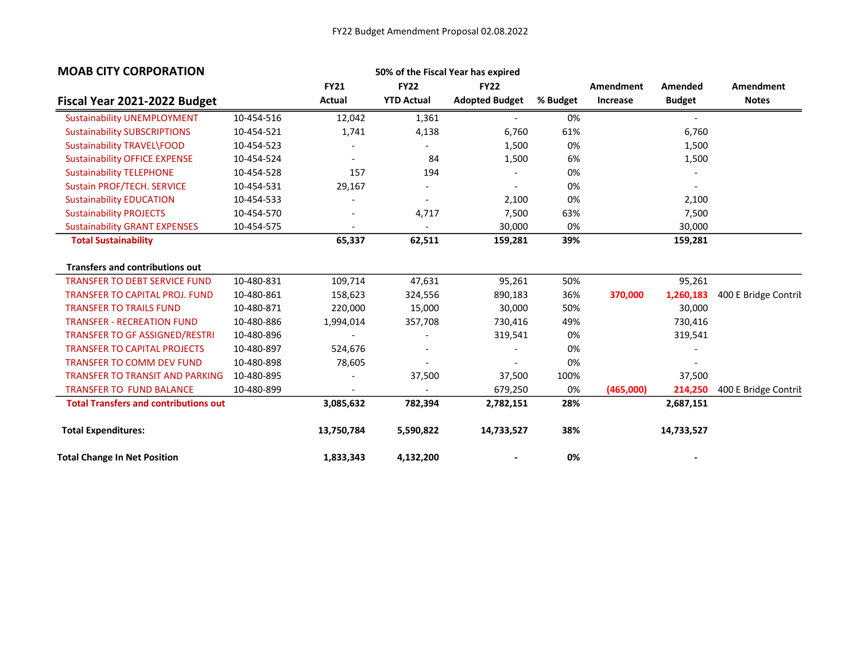| <b>MOAB CITY CORPORATION</b>                 |            |             | 50% of the Fiscal Year has expired |                       |          |           |               |                      |
|----------------------------------------------|------------|-------------|------------------------------------|-----------------------|----------|-----------|---------------|----------------------|
|                                              |            | <b>FY21</b> | <b>FY22</b>                        | <b>FY22</b>           |          | Amendment | Amended       | <b>Amendment</b>     |
| Fiscal Year 2021-2022 Budget                 |            | Actual      | <b>YTD Actual</b>                  | <b>Adopted Budget</b> | % Budget | Increase  | <b>Budget</b> | <b>Notes</b>         |
| <b>Sustainability UNEMPLOYMENT</b>           | 10-454-516 | 12,042      | 1,361                              |                       | 0%       |           |               |                      |
| <b>Sustainability SUBSCRIPTIONS</b>          | 10-454-521 | 1,741       | 4,138                              | 6,760                 | 61%      |           | 6,760         |                      |
| Sustainability TRAVEL\FOOD                   | 10-454-523 |             |                                    | 1,500                 | 0%       |           | 1,500         |                      |
| <b>Sustainability OFFICE EXPENSE</b>         | 10-454-524 |             | 84                                 | 1,500                 | 6%       |           | 1,500         |                      |
| <b>Sustainability TELEPHONE</b>              | 10-454-528 | 157         | 194                                |                       | 0%       |           |               |                      |
| <b>Sustain PROF/TECH. SERVICE</b>            | 10-454-531 | 29,167      | $\overline{\phantom{a}}$           |                       | 0%       |           |               |                      |
| <b>Sustainability EDUCATION</b>              | 10-454-533 |             |                                    | 2,100                 | 0%       |           | 2,100         |                      |
| <b>Sustainability PROJECTS</b>               | 10-454-570 |             | 4,717                              | 7,500                 | 63%      |           | 7,500         |                      |
| <b>Sustainability GRANT EXPENSES</b>         | 10-454-575 |             |                                    | 30,000                | 0%       |           | 30,000        |                      |
| <b>Total Sustainability</b>                  |            | 65,337      | 62,511                             | 159,281               | 39%      |           | 159,281       |                      |
| <b>Transfers and contributions out</b>       |            |             |                                    |                       |          |           |               |                      |
| <b>TRANSFER TO DEBT SERVICE FUND</b>         | 10-480-831 | 109,714     | 47,631                             | 95,261                | 50%      |           | 95,261        |                      |
| <b>TRANSFER TO CAPITAL PROJ. FUND</b>        | 10-480-861 | 158,623     | 324,556                            | 890,183               | 36%      | 370,000   | 1,260,183     | 400 E Bridge Contril |
| <b>TRANSFER TO TRAILS FUND</b>               | 10-480-871 | 220,000     | 15,000                             | 30,000                | 50%      |           | 30,000        |                      |
| <b>TRANSFER - RECREATION FUND</b>            | 10-480-886 | 1,994,014   | 357,708                            | 730,416               | 49%      |           | 730,416       |                      |
| <b>TRANSFER TO GF ASSIGNED/RESTRI</b>        | 10-480-896 |             |                                    | 319,541               | 0%       |           | 319,541       |                      |
| <b>TRANSFER TO CAPITAL PROJECTS</b>          | 10-480-897 | 524,676     |                                    |                       | 0%       |           |               |                      |
| <b>TRANSFER TO COMM DEV FUND</b>             | 10-480-898 | 78,605      |                                    |                       | 0%       |           |               |                      |
| <b>TRANSFER TO TRANSIT AND PARKING</b>       | 10-480-895 |             | 37,500                             | 37,500                | 100%     |           | 37,500        |                      |
| <b>TRANSFER TO FUND BALANCE</b>              | 10-480-899 |             |                                    | 679,250               | 0%       | (465,000) | 214,250       | 400 E Bridge Contril |
| <b>Total Transfers and contributions out</b> |            | 3,085,632   | 782,394                            | 2,782,151             | 28%      |           | 2,687,151     |                      |
| <b>Total Expenditures:</b>                   |            | 13,750,784  | 5,590,822                          | 14,733,527            | 38%      |           | 14,733,527    |                      |
| <b>Total Change In Net Position</b>          |            | 1,833,343   | 4,132,200                          |                       | 0%       |           |               |                      |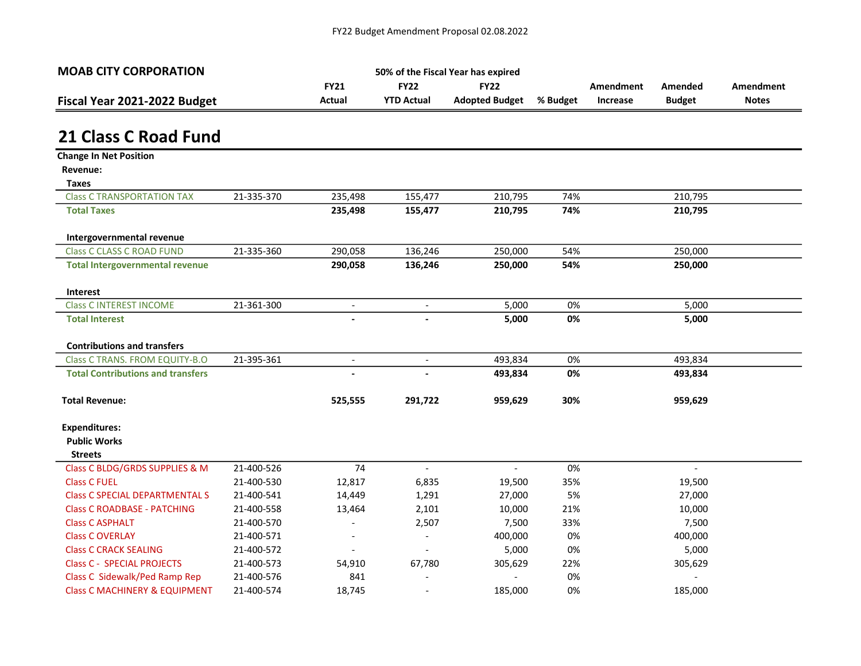| <b>MOAB CITY CORPORATION</b> | 50% of the Fiscal Year has expired |                   |                       |          |           |               |              |  |
|------------------------------|------------------------------------|-------------------|-----------------------|----------|-----------|---------------|--------------|--|
|                              | <b>FY21</b>                        | <b>FY22</b>       | <b>FY22</b>           |          | Amendment | Amended       | Amendment    |  |
| Fiscal Year 2021-2022 Budget | Actual                             | <b>YTD Actual</b> | <b>Adopted Budget</b> | % Budget | Increase  | <b>Budget</b> | <b>Notes</b> |  |
|                              |                                    |                   |                       |          |           |               |              |  |

# 21 Class C Road Fund

| <b>Change In Net Position</b>            |            |                          |                          |                |     |                |  |
|------------------------------------------|------------|--------------------------|--------------------------|----------------|-----|----------------|--|
| Revenue:                                 |            |                          |                          |                |     |                |  |
| <b>Taxes</b>                             |            |                          |                          |                |     |                |  |
| <b>Class C TRANSPORTATION TAX</b>        | 21-335-370 | 235,498                  | 155,477                  | 210,795        | 74% | 210,795        |  |
| <b>Total Taxes</b>                       |            | 235,498                  | 155,477                  | 210,795        | 74% | 210,795        |  |
| Intergovernmental revenue                |            |                          |                          |                |     |                |  |
| <b>Class C CLASS C ROAD FUND</b>         | 21-335-360 | 290,058                  | 136,246                  | 250,000        | 54% | 250,000        |  |
| <b>Total Intergovernmental revenue</b>   |            | 290,058                  | 136,246                  | 250,000        | 54% | 250,000        |  |
| Interest                                 |            |                          |                          |                |     |                |  |
| <b>Class C INTEREST INCOME</b>           | 21-361-300 | $\overline{\phantom{a}}$ | $\overline{\phantom{a}}$ | 5,000          | 0%  | 5,000          |  |
| <b>Total Interest</b>                    |            |                          |                          | 5,000          | 0%  | 5,000          |  |
| <b>Contributions and transfers</b>       |            |                          |                          |                |     |                |  |
| <b>Class C TRANS. FROM EQUITY-B.O</b>    | 21-395-361 | $\overline{\phantom{a}}$ | $\overline{\phantom{a}}$ | 493,834        | 0%  | 493,834        |  |
| <b>Total Contributions and transfers</b> |            |                          |                          | 493,834        | 0%  | 493,834        |  |
| <b>Total Revenue:</b>                    |            | 525,555                  | 291,722                  | 959,629        | 30% | 959,629        |  |
| <b>Expenditures:</b>                     |            |                          |                          |                |     |                |  |
| <b>Public Works</b>                      |            |                          |                          |                |     |                |  |
| <b>Streets</b>                           |            |                          |                          |                |     |                |  |
| Class C BLDG/GRDS SUPPLIES & M           | 21-400-526 | 74                       | $\overline{\phantom{a}}$ | $\blacksquare$ | 0%  | $\blacksquare$ |  |
| <b>Class C FUEL</b>                      | 21-400-530 | 12,817                   | 6,835                    | 19,500         | 35% | 19,500         |  |
| <b>Class C SPECIAL DEPARTMENTAL S</b>    | 21-400-541 | 14,449                   | 1,291                    | 27,000         | 5%  | 27,000         |  |
| <b>Class C ROADBASE - PATCHING</b>       | 21-400-558 | 13,464                   | 2,101                    | 10,000         | 21% | 10,000         |  |
| <b>Class C ASPHALT</b>                   | 21-400-570 |                          | 2,507                    | 7,500          | 33% | 7,500          |  |
| <b>Class C OVERLAY</b>                   | 21-400-571 | $\overline{\phantom{a}}$ | $\overline{\phantom{a}}$ | 400,000        | 0%  | 400,000        |  |
| <b>Class C CRACK SEALING</b>             | 21-400-572 |                          |                          | 5,000          | 0%  | 5,000          |  |
| <b>Class C - SPECIAL PROJECTS</b>        | 21-400-573 | 54,910                   | 67,780                   | 305,629        | 22% | 305,629        |  |
| Class C Sidewalk/Ped Ramp Rep            | 21-400-576 | 841                      |                          |                | 0%  |                |  |
| <b>Class C MACHINERY &amp; EQUIPMENT</b> | 21-400-574 | 18,745                   |                          | 185,000        | 0%  | 185,000        |  |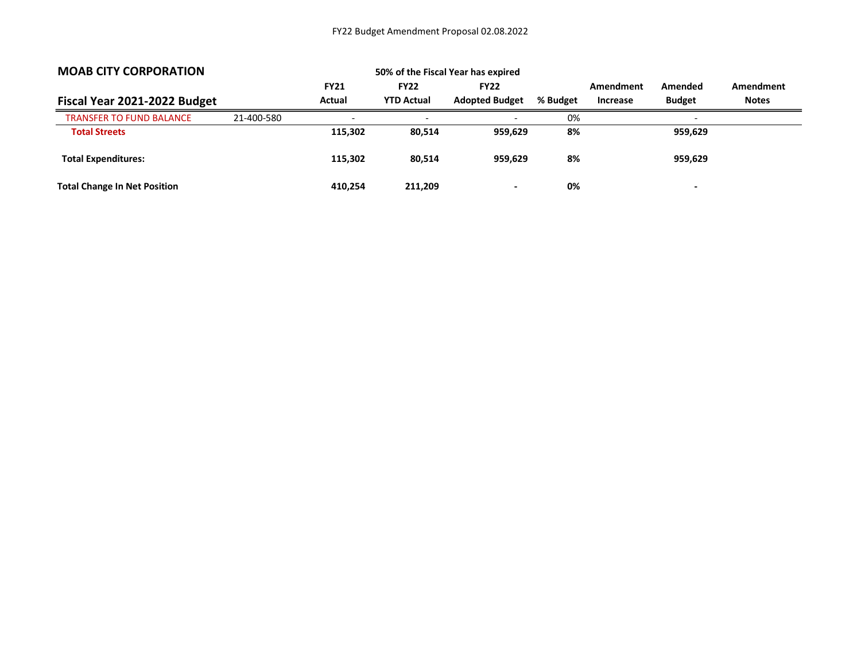| <b>MOAB CITY CORPORATION</b>        |            |             |                          | 50% of the Fiscal Year has expired |          |           |                          |                  |
|-------------------------------------|------------|-------------|--------------------------|------------------------------------|----------|-----------|--------------------------|------------------|
|                                     |            | <b>FY21</b> | <b>FY22</b>              | <b>FY22</b>                        |          | Amendment | Amended                  | <b>Amendment</b> |
| Fiscal Year 2021-2022 Budget        |            | Actual      | <b>YTD Actual</b>        | <b>Adopted Budget</b>              | % Budget | Increase  | <b>Budget</b>            | <b>Notes</b>     |
| <b>TRANSFER TO FUND BALANCE</b>     | 21-400-580 |             | $\overline{\phantom{0}}$ | $\overline{\phantom{0}}$           | 0%       |           | $\overline{\phantom{a}}$ |                  |
| <b>Total Streets</b>                |            | 115,302     | 80,514                   | 959,629                            | 8%       |           | 959,629                  |                  |
| <b>Total Expenditures:</b>          |            | 115,302     | 80,514                   | 959,629                            | 8%       |           | 959,629                  |                  |
| <b>Total Change In Net Position</b> |            | 410.254     | 211,209                  | $\blacksquare$                     | 0%       |           | $\overline{\phantom{0}}$ |                  |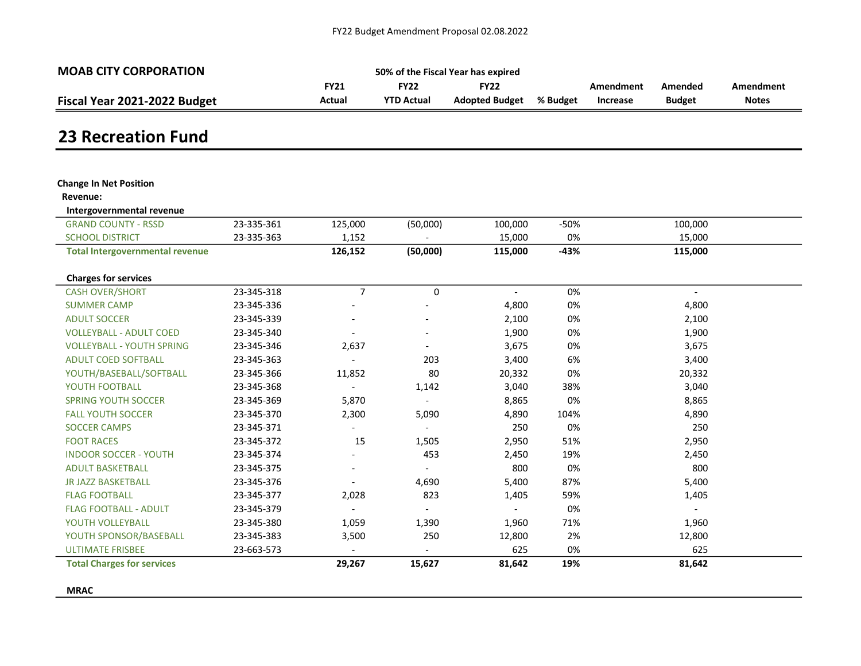| <b>MOAB CITY CORPORATION</b> |             |                   | 50% of the Fiscal Year has expired |          |           |               |              |
|------------------------------|-------------|-------------------|------------------------------------|----------|-----------|---------------|--------------|
|                              | <b>FY21</b> | <b>FY22</b>       | <b>FY22</b>                        |          | Amendment | Amended       | Amendment    |
| Fiscal Year 2021-2022 Budget | Actual      | <b>YTD Actual</b> | <b>Adopted Budget</b>              | % Budget | Increase  | <b>Budget</b> | <b>Notes</b> |

### 23 Recreation Fund

| <b>Change In Net Position</b>          |            |                |                |                          |        |                          |  |
|----------------------------------------|------------|----------------|----------------|--------------------------|--------|--------------------------|--|
| Revenue:                               |            |                |                |                          |        |                          |  |
| Intergovernmental revenue              |            |                |                |                          |        |                          |  |
| <b>GRAND COUNTY - RSSD</b>             | 23-335-361 | 125,000        | (50,000)       | 100,000                  | -50%   | 100,000                  |  |
| <b>SCHOOL DISTRICT</b>                 | 23-335-363 | 1,152          |                | 15,000                   | 0%     | 15,000                   |  |
| <b>Total Intergovernmental revenue</b> |            | 126,152        | (50,000)       | 115,000                  | $-43%$ | 115,000                  |  |
|                                        |            |                |                |                          |        |                          |  |
| <b>Charges for services</b>            |            |                |                |                          |        |                          |  |
| <b>CASH OVER/SHORT</b>                 | 23-345-318 | $\overline{7}$ | 0              | $\overline{\phantom{a}}$ | 0%     | $\overline{\phantom{a}}$ |  |
| <b>SUMMER CAMP</b>                     | 23-345-336 |                |                | 4,800                    | 0%     | 4,800                    |  |
| <b>ADULT SOCCER</b>                    | 23-345-339 |                |                | 2,100                    | 0%     | 2,100                    |  |
| <b>VOLLEYBALL - ADULT COED</b>         | 23-345-340 |                |                | 1,900                    | 0%     | 1,900                    |  |
| <b>VOLLEYBALL - YOUTH SPRING</b>       | 23-345-346 | 2,637          |                | 3,675                    | 0%     | 3,675                    |  |
| <b>ADULT COED SOFTBALL</b>             | 23-345-363 |                | 203            | 3,400                    | 6%     | 3,400                    |  |
| YOUTH/BASEBALL/SOFTBALL                | 23-345-366 | 11,852         | 80             | 20,332                   | 0%     | 20,332                   |  |
| YOUTH FOOTBALL                         | 23-345-368 |                | 1,142          | 3,040                    | 38%    | 3,040                    |  |
| <b>SPRING YOUTH SOCCER</b>             | 23-345-369 | 5,870          |                | 8,865                    | 0%     | 8,865                    |  |
| <b>FALL YOUTH SOCCER</b>               | 23-345-370 | 2,300          | 5,090          | 4,890                    | 104%   | 4,890                    |  |
| <b>SOCCER CAMPS</b>                    | 23-345-371 |                |                | 250                      | 0%     | 250                      |  |
| <b>FOOT RACES</b>                      | 23-345-372 | 15             | 1,505          | 2,950                    | 51%    | 2,950                    |  |
| <b>INDOOR SOCCER - YOUTH</b>           | 23-345-374 |                | 453            | 2,450                    | 19%    | 2,450                    |  |
| <b>ADULT BASKETBALL</b>                | 23-345-375 |                |                | 800                      | 0%     | 800                      |  |
| <b>JR JAZZ BASKETBALL</b>              | 23-345-376 |                | 4,690          | 5,400                    | 87%    | 5,400                    |  |
| <b>FLAG FOOTBALL</b>                   | 23-345-377 | 2,028          | 823            | 1,405                    | 59%    | 1,405                    |  |
| <b>FLAG FOOTBALL - ADULT</b>           | 23-345-379 |                |                |                          | 0%     |                          |  |
| YOUTH VOLLEYBALL                       | 23-345-380 | 1,059          | 1,390          | 1,960                    | 71%    | 1,960                    |  |
| YOUTH SPONSOR/BASEBALL                 | 23-345-383 | 3,500          | 250            | 12,800                   | 2%     | 12,800                   |  |
| <b>ULTIMATE FRISBEE</b>                | 23-663-573 |                | $\overline{a}$ | 625                      | 0%     | 625                      |  |
| <b>Total Charges for services</b>      |            | 29,267         | 15,627         | 81,642                   | 19%    | 81,642                   |  |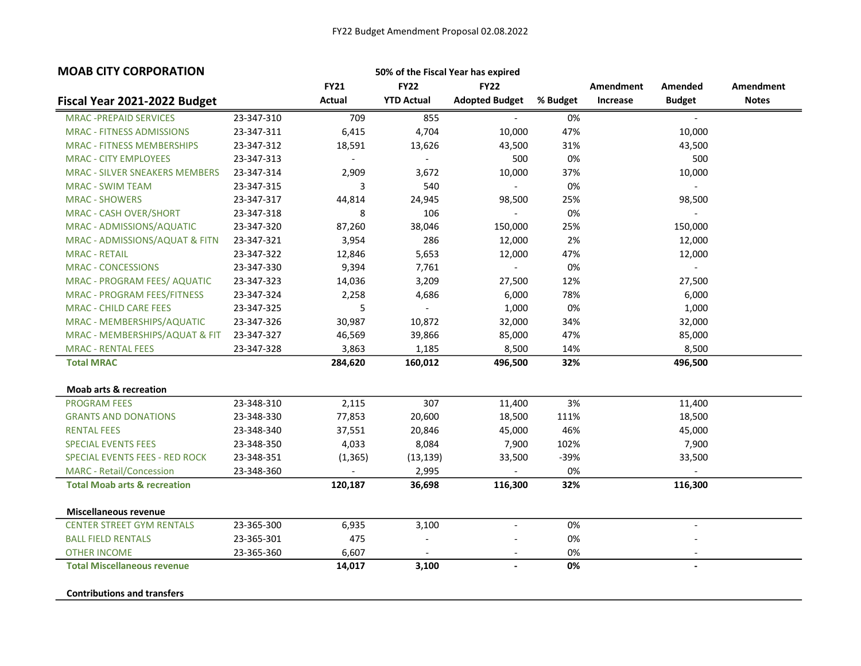| <b>MOAB CITY CORPORATION</b><br>50% of the Fiscal Year has expired |            |             |                          |                          |          |           |                |              |
|--------------------------------------------------------------------|------------|-------------|--------------------------|--------------------------|----------|-----------|----------------|--------------|
|                                                                    |            | <b>FY21</b> | <b>FY22</b>              | <b>FY22</b>              |          | Amendment | Amended        | Amendment    |
| Fiscal Year 2021-2022 Budget                                       |            | Actual      | <b>YTD Actual</b>        | <b>Adopted Budget</b>    | % Budget | Increase  | <b>Budget</b>  | <b>Notes</b> |
| <b>MRAC -PREPAID SERVICES</b>                                      | 23-347-310 | 709         | 855                      |                          | 0%       |           |                |              |
| <b>MRAC - FITNESS ADMISSIONS</b>                                   | 23-347-311 | 6,415       | 4,704                    | 10,000                   | 47%      |           | 10,000         |              |
| <b>MRAC - FITNESS MEMBERSHIPS</b>                                  | 23-347-312 | 18,591      | 13,626                   | 43,500                   | 31%      |           | 43,500         |              |
| <b>MRAC - CITY EMPLOYEES</b>                                       | 23-347-313 | $\sim$      | $\overline{\phantom{a}}$ | 500                      | 0%       |           | 500            |              |
| <b>MRAC - SILVER SNEAKERS MEMBERS</b>                              | 23-347-314 | 2,909       | 3,672                    | 10,000                   | 37%      |           | 10,000         |              |
| <b>MRAC - SWIM TEAM</b>                                            | 23-347-315 | 3           | 540                      | $\sim$                   | 0%       |           | $\sim$         |              |
| <b>MRAC - SHOWERS</b>                                              | 23-347-317 | 44,814      | 24,945                   | 98,500                   | 25%      |           | 98,500         |              |
| <b>MRAC - CASH OVER/SHORT</b>                                      | 23-347-318 | 8           | 106                      | $\overline{\phantom{a}}$ | 0%       |           | $ \,$          |              |
| MRAC - ADMISSIONS/AQUATIC                                          | 23-347-320 | 87,260      | 38,046                   | 150,000                  | 25%      |           | 150,000        |              |
| MRAC - ADMISSIONS/AQUAT & FITN                                     | 23-347-321 | 3,954       | 286                      | 12,000                   | 2%       |           | 12,000         |              |
| <b>MRAC - RETAIL</b>                                               | 23-347-322 | 12,846      | 5,653                    | 12,000                   | 47%      |           | 12,000         |              |
| <b>MRAC - CONCESSIONS</b>                                          | 23-347-330 | 9,394       | 7,761                    |                          | 0%       |           |                |              |
| MRAC - PROGRAM FEES/ AQUATIC                                       | 23-347-323 | 14,036      | 3,209                    | 27,500                   | 12%      |           | 27,500         |              |
| <b>MRAC - PROGRAM FEES/FITNESS</b>                                 | 23-347-324 | 2,258       | 4,686                    | 6,000                    | 78%      |           | 6,000          |              |
| <b>MRAC - CHILD CARE FEES</b>                                      | 23-347-325 | 5           | $\blacksquare$           | 1,000                    | 0%       |           | 1,000          |              |
| MRAC - MEMBERSHIPS/AQUATIC                                         | 23-347-326 | 30,987      | 10,872                   | 32,000                   | 34%      |           | 32,000         |              |
| MRAC - MEMBERSHIPS/AQUAT & FIT                                     | 23-347-327 | 46,569      | 39,866                   | 85,000                   | 47%      |           | 85,000         |              |
| <b>MRAC - RENTAL FEES</b>                                          | 23-347-328 | 3,863       | 1,185                    | 8,500                    | 14%      |           | 8,500          |              |
| <b>Total MRAC</b>                                                  |            | 284,620     | 160,012                  | 496,500                  | 32%      |           | 496,500        |              |
| <b>Moab arts &amp; recreation</b>                                  |            |             |                          |                          |          |           |                |              |
| <b>PROGRAM FEES</b>                                                | 23-348-310 | 2,115       | 307                      | 11,400                   | 3%       |           | 11,400         |              |
| <b>GRANTS AND DONATIONS</b>                                        | 23-348-330 | 77,853      | 20,600                   | 18,500                   | 111%     |           | 18,500         |              |
| <b>RENTAL FEES</b>                                                 | 23-348-340 | 37,551      | 20,846                   | 45,000                   | 46%      |           | 45,000         |              |
| <b>SPECIAL EVENTS FEES</b>                                         | 23-348-350 | 4,033       | 8,084                    | 7,900                    | 102%     |           | 7,900          |              |
| <b>SPECIAL EVENTS FEES - RED ROCK</b>                              | 23-348-351 | (1, 365)    | (13, 139)                | 33,500                   | -39%     |           | 33,500         |              |
| <b>MARC</b> - Retail/Concession                                    | 23-348-360 | $\sim$      | 2,995                    |                          | 0%       |           |                |              |
| <b>Total Moab arts &amp; recreation</b>                            |            | 120,187     | 36,698                   | 116,300                  | 32%      |           | 116,300        |              |
|                                                                    |            |             |                          |                          |          |           |                |              |
| Miscellaneous revenue                                              |            |             |                          |                          |          |           |                |              |
| <b>CENTER STREET GYM RENTALS</b>                                   | 23-365-300 | 6,935       | 3,100                    | $\overline{a}$           | 0%       |           | $\blacksquare$ |              |
| <b>BALL FIELD RENTALS</b>                                          | 23-365-301 | 475         | $\overline{\phantom{a}}$ |                          | 0%       |           |                |              |
| <b>OTHER INCOME</b>                                                | 23-365-360 | 6,607       |                          | $\overline{\phantom{a}}$ | 0%       |           |                |              |
| <b>Total Miscellaneous revenue</b>                                 |            | 14,017      | 3,100                    | $\blacksquare$           | 0%       |           | $\blacksquare$ |              |
| <b>Contributions and transfers</b>                                 |            |             |                          |                          |          |           |                |              |
|                                                                    |            |             |                          |                          |          |           |                |              |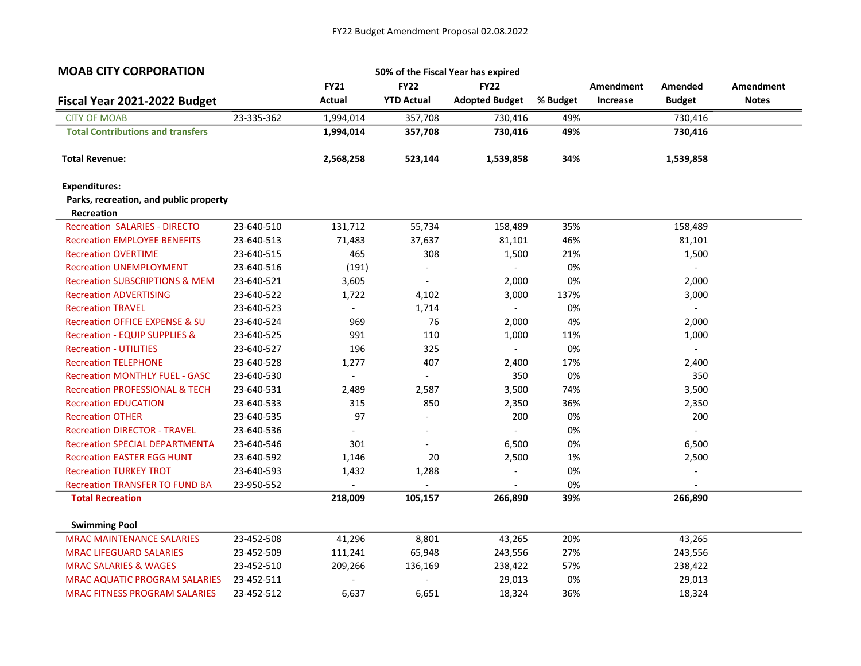| <b>MOAB CITY CORPORATION</b>                                |            |                          |                          | 50% of the Fiscal Year has expired |          |           |                          |                  |
|-------------------------------------------------------------|------------|--------------------------|--------------------------|------------------------------------|----------|-----------|--------------------------|------------------|
|                                                             |            | <b>FY21</b>              | <b>FY22</b>              | <b>FY22</b>                        |          | Amendment | Amended                  | <b>Amendment</b> |
| Fiscal Year 2021-2022 Budget                                |            | Actual                   | <b>YTD Actual</b>        | <b>Adopted Budget</b>              | % Budget | Increase  | <b>Budget</b>            | <b>Notes</b>     |
| <b>CITY OF MOAB</b>                                         | 23-335-362 | 1,994,014                | 357,708                  | 730,416                            | 49%      |           | 730,416                  |                  |
| <b>Total Contributions and transfers</b>                    |            | 1,994,014                | 357,708                  | 730,416                            | 49%      |           | 730,416                  |                  |
| <b>Total Revenue:</b>                                       |            | 2,568,258                | 523,144                  | 1,539,858                          | 34%      |           | 1,539,858                |                  |
| <b>Expenditures:</b>                                        |            |                          |                          |                                    |          |           |                          |                  |
| Parks, recreation, and public property<br><b>Recreation</b> |            |                          |                          |                                    |          |           |                          |                  |
| <b>Recreation SALARIES - DIRECTO</b>                        | 23-640-510 | 131,712                  | 55,734                   | 158,489                            | 35%      |           | 158,489                  |                  |
| <b>Recreation EMPLOYEE BENEFITS</b>                         | 23-640-513 | 71,483                   | 37,637                   | 81,101                             | 46%      |           | 81,101                   |                  |
| <b>Recreation OVERTIME</b>                                  | 23-640-515 | 465                      | 308                      | 1,500                              | 21%      |           | 1,500                    |                  |
| <b>Recreation UNEMPLOYMENT</b>                              | 23-640-516 | (191)                    | $\overline{a}$           |                                    | 0%       |           | $\overline{\phantom{m}}$ |                  |
| <b>Recreation SUBSCRIPTIONS &amp; MEM</b>                   | 23-640-521 | 3,605                    | $\overline{\phantom{a}}$ | 2,000                              | 0%       |           | 2,000                    |                  |
| <b>Recreation ADVERTISING</b>                               | 23-640-522 | 1,722                    | 4,102                    | 3,000                              | 137%     |           | 3,000                    |                  |
| <b>Recreation TRAVEL</b>                                    | 23-640-523 | $\overline{\phantom{a}}$ | 1,714                    | $\overline{\phantom{a}}$           | 0%       |           | $\overline{\phantom{a}}$ |                  |
| <b>Recreation OFFICE EXPENSE &amp; SU</b>                   | 23-640-524 | 969                      | 76                       | 2,000                              | 4%       |           | 2,000                    |                  |
| <b>Recreation - EQUIP SUPPLIES &amp;</b>                    | 23-640-525 | 991                      | 110                      | 1,000                              | 11%      |           | 1,000                    |                  |
| <b>Recreation - UTILITIES</b>                               | 23-640-527 | 196                      | 325                      | $\overline{\phantom{a}}$           | 0%       |           | $\blacksquare$           |                  |
| <b>Recreation TELEPHONE</b>                                 | 23-640-528 | 1,277                    | 407                      | 2,400                              | 17%      |           | 2,400                    |                  |
| <b>Recreation MONTHLY FUEL - GASC</b>                       | 23-640-530 | $\blacksquare$           | $\blacksquare$           | 350                                | 0%       |           | 350                      |                  |
| <b>Recreation PROFESSIONAL &amp; TECH</b>                   | 23-640-531 | 2,489                    | 2,587                    | 3,500                              | 74%      |           | 3,500                    |                  |
| <b>Recreation EDUCATION</b>                                 | 23-640-533 | 315                      | 850                      | 2,350                              | 36%      |           | 2,350                    |                  |
| <b>Recreation OTHER</b>                                     | 23-640-535 | 97                       | $\overline{\phantom{a}}$ | 200                                | 0%       |           | 200                      |                  |
| <b>Recreation DIRECTOR - TRAVEL</b>                         | 23-640-536 |                          |                          |                                    | 0%       |           |                          |                  |
| <b>Recreation SPECIAL DEPARTMENTA</b>                       | 23-640-546 | 301                      |                          | 6,500                              | 0%       |           | 6,500                    |                  |
| <b>Recreation EASTER EGG HUNT</b>                           | 23-640-592 | 1,146                    | 20                       | 2,500                              | 1%       |           | 2,500                    |                  |
| <b>Recreation TURKEY TROT</b>                               | 23-640-593 | 1,432                    | 1,288                    |                                    | 0%       |           |                          |                  |
| <b>Recreation TRANSFER TO FUND BA</b>                       | 23-950-552 |                          |                          |                                    | 0%       |           |                          |                  |
| <b>Total Recreation</b>                                     |            | 218,009                  | 105,157                  | 266,890                            | 39%      |           | 266,890                  |                  |
| <b>Swimming Pool</b>                                        |            |                          |                          |                                    |          |           |                          |                  |
| <b>MRAC MAINTENANCE SALARIES</b>                            | 23-452-508 | 41,296                   | 8,801                    | 43,265                             | 20%      |           | 43,265                   |                  |
| <b>MRAC LIFEGUARD SALARIES</b>                              | 23-452-509 | 111,241                  | 65,948                   | 243,556                            | 27%      |           | 243,556                  |                  |
| <b>MRAC SALARIES &amp; WAGES</b>                            | 23-452-510 | 209,266                  | 136,169                  | 238,422                            | 57%      |           | 238,422                  |                  |
| <b>MRAC AQUATIC PROGRAM SALARIES</b>                        | 23-452-511 |                          |                          | 29,013                             | 0%       |           | 29,013                   |                  |
| <b>MRAC FITNESS PROGRAM SALARIES</b>                        | 23-452-512 | 6,637                    | 6,651                    | 18,324                             | 36%      |           | 18,324                   |                  |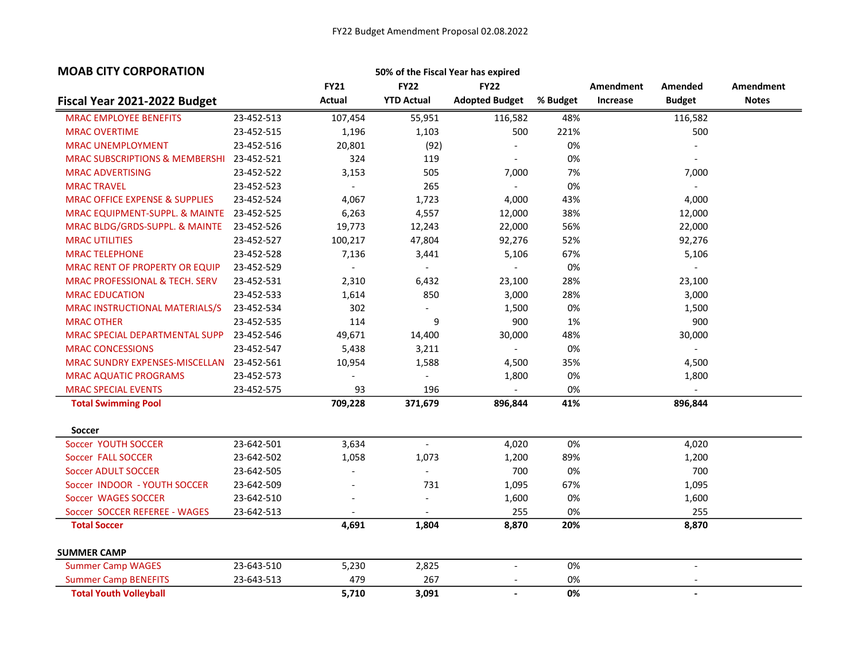| <b>MOAB CITY CORPORATION</b>              |            |                |                          | 50% of the Fiscal Year has expired |          |           |                          |                  |
|-------------------------------------------|------------|----------------|--------------------------|------------------------------------|----------|-----------|--------------------------|------------------|
|                                           |            | <b>FY21</b>    | <b>FY22</b>              | <b>FY22</b>                        |          | Amendment | Amended                  | <b>Amendment</b> |
| Fiscal Year 2021-2022 Budget              |            | Actual         | <b>YTD Actual</b>        | <b>Adopted Budget</b>              | % Budget | Increase  | <b>Budget</b>            | <b>Notes</b>     |
| <b>MRAC EMPLOYEE BENEFITS</b>             | 23-452-513 | 107,454        | 55,951                   | 116,582                            | 48%      |           | 116,582                  |                  |
| <b>MRAC OVERTIME</b>                      | 23-452-515 | 1,196          | 1,103                    | 500                                | 221%     |           | 500                      |                  |
| <b>MRAC UNEMPLOYMENT</b>                  | 23-452-516 | 20,801         | (92)                     |                                    | 0%       |           |                          |                  |
| <b>MRAC SUBSCRIPTIONS &amp; MEMBERSHI</b> | 23-452-521 | 324            | 119                      |                                    | 0%       |           |                          |                  |
| <b>MRAC ADVERTISING</b>                   | 23-452-522 | 3,153          | 505                      | 7,000                              | 7%       |           | 7,000                    |                  |
| <b>MRAC TRAVEL</b>                        | 23-452-523 | $\blacksquare$ | 265                      | $\sim$                             | 0%       |           | $\overline{\phantom{0}}$ |                  |
| <b>MRAC OFFICE EXPENSE &amp; SUPPLIES</b> | 23-452-524 | 4,067          | 1,723                    | 4,000                              | 43%      |           | 4,000                    |                  |
| MRAC EQUIPMENT-SUPPL. & MAINTE            | 23-452-525 | 6,263          | 4,557                    | 12,000                             | 38%      |           | 12,000                   |                  |
| MRAC BLDG/GRDS-SUPPL. & MAINTE            | 23-452-526 | 19,773         | 12,243                   | 22,000                             | 56%      |           | 22,000                   |                  |
| <b>MRAC UTILITIES</b>                     | 23-452-527 | 100,217        | 47,804                   | 92,276                             | 52%      |           | 92,276                   |                  |
| <b>MRAC TELEPHONE</b>                     | 23-452-528 | 7,136          | 3,441                    | 5,106                              | 67%      |           | 5,106                    |                  |
| <b>MRAC RENT OF PROPERTY OR EQUIP</b>     | 23-452-529 | $\blacksquare$ | $\overline{\phantom{a}}$ |                                    | 0%       |           |                          |                  |
| <b>MRAC PROFESSIONAL &amp; TECH. SERV</b> | 23-452-531 | 2,310          | 6,432                    | 23,100                             | 28%      |           | 23,100                   |                  |
| <b>MRAC EDUCATION</b>                     | 23-452-533 | 1,614          | 850                      | 3,000                              | 28%      |           | 3,000                    |                  |
| MRAC INSTRUCTIONAL MATERIALS/S            | 23-452-534 | 302            | $\overline{a}$           | 1,500                              | 0%       |           | 1,500                    |                  |
| <b>MRAC OTHER</b>                         | 23-452-535 | 114            | 9                        | 900                                | 1%       |           | 900                      |                  |
| MRAC SPECIAL DEPARTMENTAL SUPP            | 23-452-546 | 49,671         | 14,400                   | 30,000                             | 48%      |           | 30,000                   |                  |
| <b>MRAC CONCESSIONS</b>                   | 23-452-547 | 5,438          | 3,211                    | $\sim$                             | 0%       |           |                          |                  |
| MRAC SUNDRY EXPENSES-MISCELLAN            | 23-452-561 | 10,954         | 1,588                    | 4,500                              | 35%      |           | 4,500                    |                  |
| <b>MRAC AQUATIC PROGRAMS</b>              | 23-452-573 |                | $\blacksquare$           | 1,800                              | 0%       |           | 1,800                    |                  |
| <b>MRAC SPECIAL EVENTS</b>                | 23-452-575 | 93             | 196                      |                                    | 0%       |           |                          |                  |
| <b>Total Swimming Pool</b>                |            | 709,228        | 371,679                  | 896,844                            | 41%      |           | 896,844                  |                  |
| <b>Soccer</b>                             |            |                |                          |                                    |          |           |                          |                  |
| Soccer YOUTH SOCCER                       | 23-642-501 | 3,634          | $\overline{\phantom{a}}$ | 4,020                              | 0%       |           | 4,020                    |                  |
| Soccer FALL SOCCER                        | 23-642-502 | 1,058          | 1,073                    | 1,200                              | 89%      |           | 1,200                    |                  |
| <b>Soccer ADULT SOCCER</b>                | 23-642-505 |                | $\overline{a}$           | 700                                | 0%       |           | 700                      |                  |
| Soccer INDOOR - YOUTH SOCCER              | 23-642-509 |                | 731                      | 1,095                              | 67%      |           | 1,095                    |                  |
| Soccer WAGES SOCCER                       | 23-642-510 |                | $\overline{a}$           | 1,600                              | 0%       |           | 1,600                    |                  |
| Soccer SOCCER REFEREE - WAGES             | 23-642-513 | $\blacksquare$ | $\overline{\phantom{a}}$ | 255                                | 0%       |           | 255                      |                  |
| <b>Total Soccer</b>                       |            | 4,691          | 1,804                    | 8,870                              | 20%      |           | 8,870                    |                  |
| <b>SUMMER CAMP</b>                        |            |                |                          |                                    |          |           |                          |                  |
| <b>Summer Camp WAGES</b>                  | 23-643-510 | 5,230          | 2,825                    |                                    | 0%       |           |                          |                  |
| <b>Summer Camp BENEFITS</b>               | 23-643-513 | 479            | 267                      |                                    | 0%       |           |                          |                  |
| <b>Total Youth Volleyball</b>             |            | 5,710          | 3,091                    |                                    | 0%       |           | $\blacksquare$           |                  |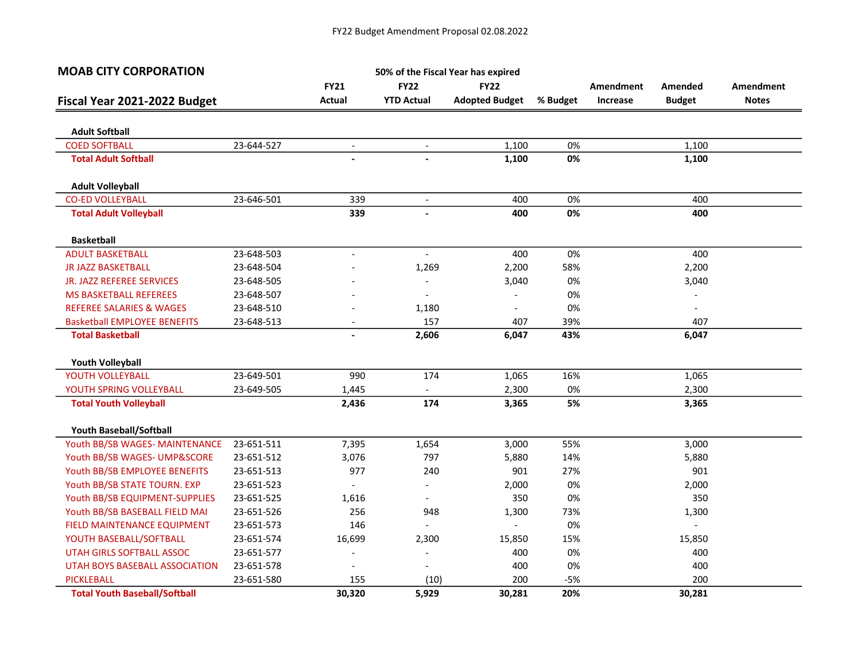| <b>MOAB CITY CORPORATION</b>                        |            |                          |                          | 50% of the Fiscal Year has expired |          |                  |                |                  |
|-----------------------------------------------------|------------|--------------------------|--------------------------|------------------------------------|----------|------------------|----------------|------------------|
|                                                     |            | <b>FY21</b>              | <b>FY22</b>              | <b>FY22</b>                        |          | <b>Amendment</b> | Amended        | <b>Amendment</b> |
| Fiscal Year 2021-2022 Budget                        |            | Actual                   | <b>YTD Actual</b>        | <b>Adopted Budget</b>              | % Budget | Increase         | <b>Budget</b>  | <b>Notes</b>     |
|                                                     |            |                          |                          |                                    |          |                  |                |                  |
| <b>Adult Softball</b>                               |            |                          |                          |                                    | 0%       |                  |                |                  |
| <b>COED SOFTBALL</b><br><b>Total Adult Softball</b> | 23-644-527 | $\blacksquare$           | $\overline{\phantom{a}}$ | 1,100<br>1,100                     | 0%       |                  | 1,100<br>1,100 |                  |
|                                                     |            |                          |                          |                                    |          |                  |                |                  |
| <b>Adult Volleyball</b>                             |            |                          |                          |                                    |          |                  |                |                  |
| <b>CO-ED VOLLEYBALL</b>                             | 23-646-501 | 339                      | $\overline{\phantom{a}}$ | 400                                | 0%       |                  | 400            |                  |
| <b>Total Adult Volleyball</b>                       |            | 339                      | $\overline{a}$           | 400                                | 0%       |                  | 400            |                  |
| <b>Basketball</b>                                   |            |                          |                          |                                    |          |                  |                |                  |
| <b>ADULT BASKETBALL</b>                             | 23-648-503 | $\overline{\phantom{a}}$ | $\overline{\phantom{a}}$ | 400                                | 0%       |                  | 400            |                  |
| <b>JR JAZZ BASKETBALL</b>                           | 23-648-504 |                          | 1,269                    | 2,200                              | 58%      |                  | 2,200          |                  |
| JR. JAZZ REFEREE SERVICES                           | 23-648-505 |                          | $\overline{\phantom{a}}$ | 3,040                              | 0%       |                  | 3,040          |                  |
| <b>MS BASKETBALL REFEREES</b>                       | 23-648-507 |                          | $\overline{\phantom{a}}$ |                                    | 0%       |                  |                |                  |
| <b>REFEREE SALARIES &amp; WAGES</b>                 | 23-648-510 |                          | 1,180                    |                                    | 0%       |                  |                |                  |
| <b>Basketball EMPLOYEE BENEFITS</b>                 | 23-648-513 |                          | 157                      | 407                                | 39%      |                  | 407            |                  |
| <b>Total Basketball</b>                             |            |                          | 2,606                    | 6,047                              | 43%      |                  | 6,047          |                  |
| <b>Youth Volleyball</b>                             |            |                          |                          |                                    |          |                  |                |                  |
| YOUTH VOLLEYBALL                                    | 23-649-501 | 990                      | 174                      | 1,065                              | 16%      |                  | 1,065          |                  |
| YOUTH SPRING VOLLEYBALL                             | 23-649-505 | 1,445                    | $\pm$                    | 2,300                              | 0%       |                  | 2,300          |                  |
| <b>Total Youth Volleyball</b>                       |            | 2,436                    | 174                      | 3,365                              | 5%       |                  | 3,365          |                  |
| Youth Baseball/Softball                             |            |                          |                          |                                    |          |                  |                |                  |
| Youth BB/SB WAGES- MAINTENANCE                      | 23-651-511 | 7,395                    | 1,654                    | 3,000                              | 55%      |                  | 3,000          |                  |
| Youth BB/SB WAGES- UMP&SCORE                        | 23-651-512 | 3,076                    | 797                      | 5,880                              | 14%      |                  | 5,880          |                  |
| Youth BB/SB EMPLOYEE BENEFITS                       | 23-651-513 | 977                      | 240                      | 901                                | 27%      |                  | 901            |                  |
| Youth BB/SB STATE TOURN. EXP                        | 23-651-523 |                          | $\overline{\phantom{a}}$ | 2,000                              | 0%       |                  | 2,000          |                  |
| Youth BB/SB EQUIPMENT-SUPPLIES                      | 23-651-525 | 1,616                    | $\sim$                   | 350                                | 0%       |                  | 350            |                  |
| Youth BB/SB BASEBALL FIELD MAI                      | 23-651-526 | 256                      | 948                      | 1,300                              | 73%      |                  | 1,300          |                  |
| FIELD MAINTENANCE EQUIPMENT                         | 23-651-573 | 146                      | $\blacksquare$           |                                    | 0%       |                  | $\overline{a}$ |                  |
| YOUTH BASEBALL/SOFTBALL                             | 23-651-574 | 16,699                   | 2,300                    | 15,850                             | 15%      |                  | 15,850         |                  |
| UTAH GIRLS SOFTBALL ASSOC                           | 23-651-577 |                          | $\overline{a}$           | 400                                | 0%       |                  | 400            |                  |
| UTAH BOYS BASEBALL ASSOCIATION                      | 23-651-578 | $\overline{\phantom{a}}$ | $\overline{\phantom{a}}$ | 400                                | 0%       |                  | 400            |                  |
| PICKLEBALL                                          | 23-651-580 | 155                      | (10)                     | 200                                | $-5%$    |                  | 200            |                  |
| <b>Total Youth Baseball/Softball</b>                |            | 30,320                   | 5,929                    | 30,281                             | 20%      |                  | 30,281         |                  |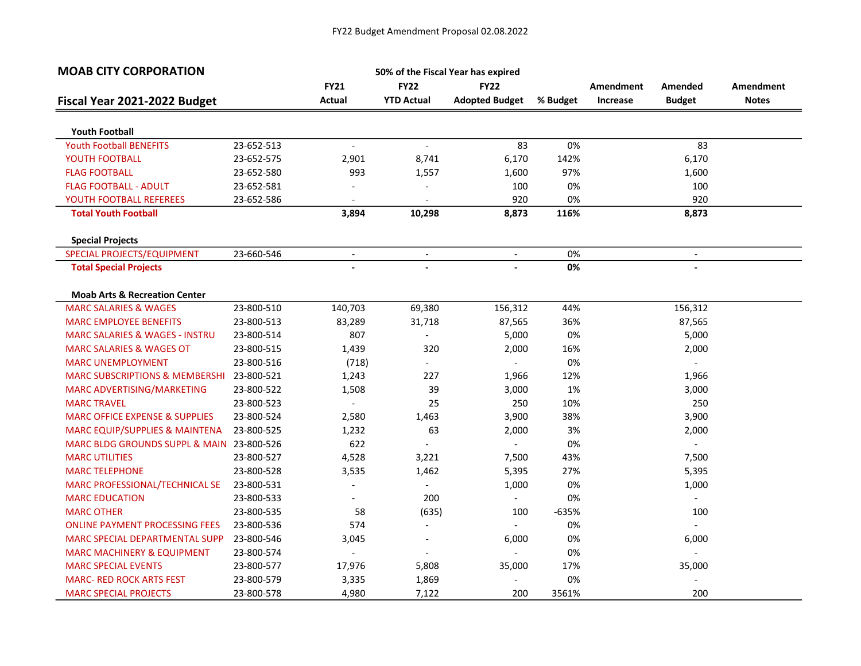| <b>MOAB CITY CORPORATION</b>                           |            |                          |                          | 50% of the Fiscal Year has expired |            |           |                          |              |
|--------------------------------------------------------|------------|--------------------------|--------------------------|------------------------------------|------------|-----------|--------------------------|--------------|
|                                                        |            | <b>FY21</b>              | <b>FY22</b>              | <b>FY22</b>                        |            | Amendment | Amended                  | Amendment    |
| Fiscal Year 2021-2022 Budget                           |            | Actual                   | <b>YTD Actual</b>        | <b>Adopted Budget</b>              | % Budget   | Increase  | <b>Budget</b>            | <b>Notes</b> |
|                                                        |            |                          |                          |                                    |            |           |                          |              |
| <b>Youth Football</b>                                  |            |                          |                          | 83                                 | 0%         |           | 83                       |              |
| <b>Youth Football BENEFITS</b>                         | 23-652-513 | $\overline{\phantom{a}}$ | $\blacksquare$           |                                    |            |           |                          |              |
| YOUTH FOOTBALL                                         | 23-652-575 | 2,901                    | 8,741                    | 6,170                              | 142%       |           | 6,170                    |              |
| <b>FLAG FOOTBALL</b>                                   | 23-652-580 | 993                      | 1,557                    | 1,600                              | 97%        |           | 1,600                    |              |
| <b>FLAG FOOTBALL - ADULT</b>                           | 23-652-581 |                          | $\overline{\phantom{a}}$ | 100                                | 0%         |           | 100                      |              |
| YOUTH FOOTBALL REFEREES<br><b>Total Youth Football</b> | 23-652-586 | 3,894                    | $\blacksquare$<br>10,298 | 920<br>8,873                       | 0%<br>116% |           | 920<br>8,873             |              |
|                                                        |            |                          |                          |                                    |            |           |                          |              |
| <b>Special Projects</b>                                |            |                          |                          |                                    |            |           |                          |              |
| SPECIAL PROJECTS/EQUIPMENT                             | 23-660-546 | $\overline{\phantom{a}}$ | $\overline{\phantom{a}}$ | $\overline{\phantom{a}}$           | 0%         |           | $\overline{\phantom{a}}$ |              |
| <b>Total Special Projects</b>                          |            |                          | $\overline{a}$           |                                    | 0%         |           |                          |              |
| <b>Moab Arts &amp; Recreation Center</b>               |            |                          |                          |                                    |            |           |                          |              |
| <b>MARC SALARIES &amp; WAGES</b>                       | 23-800-510 | 140,703                  | 69,380                   | 156,312                            | 44%        |           | 156,312                  |              |
| <b>MARC EMPLOYEE BENEFITS</b>                          | 23-800-513 | 83,289                   | 31,718                   | 87,565                             | 36%        |           | 87,565                   |              |
| <b>MARC SALARIES &amp; WAGES - INSTRU</b>              | 23-800-514 | 807                      | $\overline{\phantom{a}}$ | 5,000                              | 0%         |           | 5,000                    |              |
| <b>MARC SALARIES &amp; WAGES OT</b>                    | 23-800-515 | 1,439                    | 320                      | 2,000                              | 16%        |           | 2,000                    |              |
| <b>MARC UNEMPLOYMENT</b>                               | 23-800-516 | (718)                    | $\sim$                   |                                    | 0%         |           | $\overline{\phantom{a}}$ |              |
| <b>MARC SUBSCRIPTIONS &amp; MEMBERSHI</b>              | 23-800-521 | 1,243                    | 227                      | 1,966                              | 12%        |           | 1,966                    |              |
| MARC ADVERTISING/MARKETING                             | 23-800-522 | 1,508                    | 39                       | 3,000                              | 1%         |           | 3,000                    |              |
| <b>MARC TRAVEL</b>                                     | 23-800-523 |                          | 25                       | 250                                | 10%        |           | 250                      |              |
| <b>MARC OFFICE EXPENSE &amp; SUPPLIES</b>              | 23-800-524 | 2,580                    | 1,463                    | 3,900                              | 38%        |           | 3,900                    |              |
| MARC EQUIP/SUPPLIES & MAINTENA                         | 23-800-525 | 1,232                    | 63                       | 2,000                              | 3%         |           | 2,000                    |              |
| MARC BLDG GROUNDS SUPPL & MAIN 23-800-526              |            | 622                      | $\overline{\phantom{a}}$ |                                    | 0%         |           | $\blacksquare$           |              |
| <b>MARC UTILITIES</b>                                  | 23-800-527 | 4,528                    | 3,221                    | 7,500                              | 43%        |           | 7,500                    |              |
| <b>MARC TELEPHONE</b>                                  | 23-800-528 | 3,535                    | 1,462                    | 5,395                              | 27%        |           | 5,395                    |              |
| MARC PROFESSIONAL/TECHNICAL SE                         | 23-800-531 | $\overline{a}$           | $\overline{\phantom{a}}$ | 1,000                              | 0%         |           | 1,000                    |              |
| <b>MARC EDUCATION</b>                                  | 23-800-533 |                          | 200                      | $\blacksquare$                     | 0%         |           | $\mathcal{L}^{\pm}$      |              |
| <b>MARC OTHER</b>                                      | 23-800-535 | 58                       | (635)                    | 100                                | $-635%$    |           | 100                      |              |
| <b>ONLINE PAYMENT PROCESSING FEES</b>                  | 23-800-536 | 574                      | $\overline{\phantom{a}}$ | $\overline{\phantom{a}}$           | 0%         |           | $\overline{\phantom{a}}$ |              |
| <b>MARC SPECIAL DEPARTMENTAL SUPP</b>                  | 23-800-546 | 3,045                    | $\overline{\phantom{a}}$ | 6,000                              | 0%         |           | 6,000                    |              |
| <b>MARC MACHINERY &amp; EQUIPMENT</b>                  | 23-800-574 | $\overline{a}$           | $\overline{\phantom{a}}$ |                                    | 0%         |           | $\overline{a}$           |              |
| <b>MARC SPECIAL EVENTS</b>                             | 23-800-577 | 17,976                   | 5,808                    | 35,000                             | 17%        |           | 35,000                   |              |
| <b>MARC- RED ROCK ARTS FEST</b>                        | 23-800-579 | 3,335                    | 1,869                    |                                    | 0%         |           |                          |              |
| <b>MARC SPECIAL PROJECTS</b>                           | 23-800-578 | 4,980                    | 7,122                    | 200                                | 3561%      |           | 200                      |              |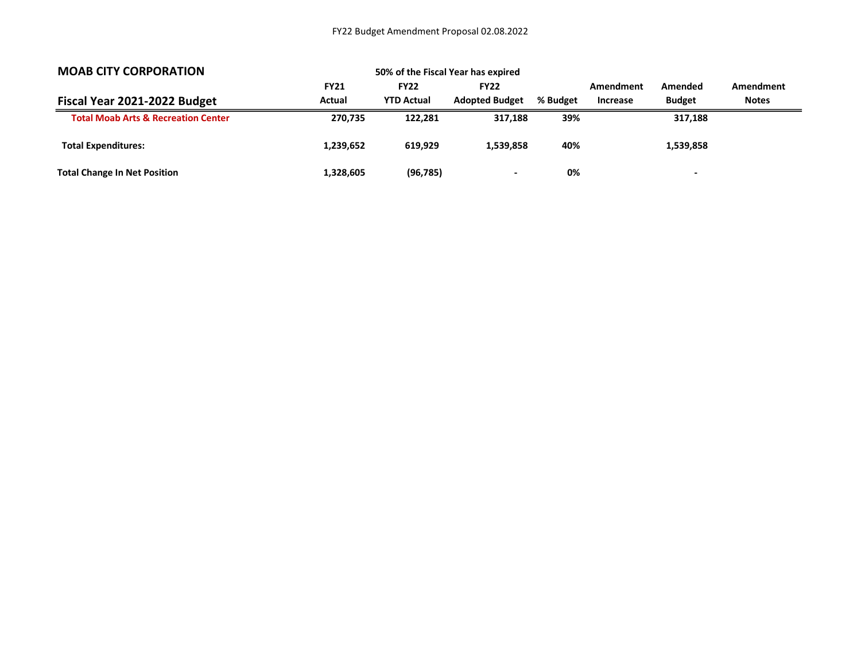| <b>MOAB CITY CORPORATION</b>                   | 50% of the Fiscal Year has expired |                                  |                                      |          |                              |                          |                           |
|------------------------------------------------|------------------------------------|----------------------------------|--------------------------------------|----------|------------------------------|--------------------------|---------------------------|
|                                                | <b>FY21</b><br>Actual              | <b>FY22</b><br><b>YTD Actual</b> | <b>FY22</b><br><b>Adopted Budget</b> | % Budget | Amendment<br><b>Increase</b> | Amended<br><b>Budget</b> | Amendment<br><b>Notes</b> |
| Fiscal Year 2021-2022 Budget                   |                                    |                                  |                                      |          |                              |                          |                           |
| <b>Total Moab Arts &amp; Recreation Center</b> | 270.735                            | 122.281                          | 317.188                              | 39%      |                              | 317,188                  |                           |
| <b>Total Expenditures:</b>                     | 1,239,652                          | 619.929                          | 1.539.858                            | 40%      |                              | 1,539,858                |                           |
| <b>Total Change In Net Position</b>            | 1,328,605                          | (96, 785)                        | $\overline{\phantom{0}}$             | 0%       |                              | -                        |                           |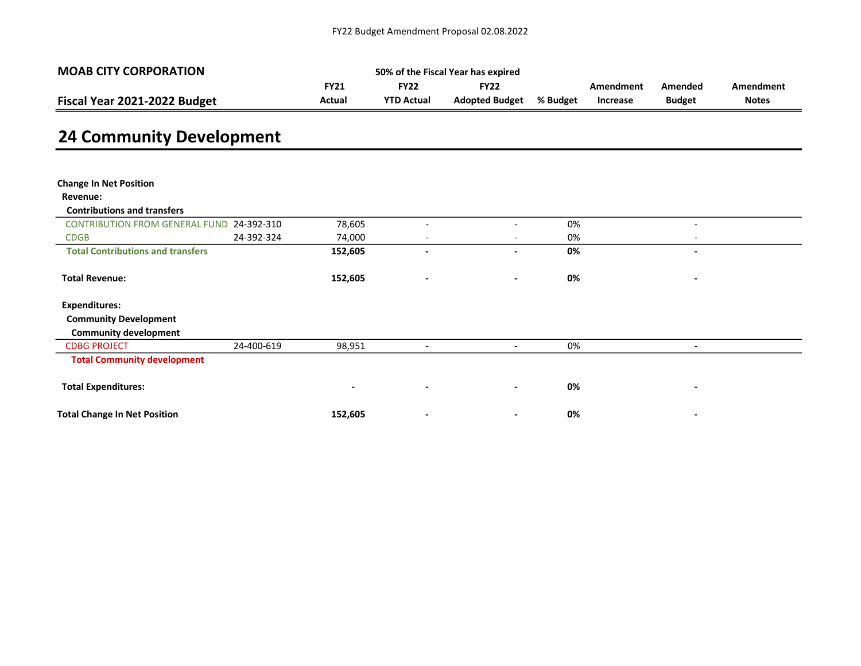| <b>MOAB CITY CORPORATION</b> | 50% of the Fiscal Year has expired |                   |                       |          |           |               |              |  |  |
|------------------------------|------------------------------------|-------------------|-----------------------|----------|-----------|---------------|--------------|--|--|
|                              | FY21                               | 5Y22 -            | <b>FY22</b>           |          | Amendment | Amended       | Amendment    |  |  |
| Fiscal Year 2021-2022 Budget | Actual                             | <b>YTD Actual</b> | <b>Adopted Budget</b> | % Budget | Increase  | <b>Budget</b> | <b>Notes</b> |  |  |

# 24 Community Development

| <b>Change In Net Position</b>            |            |                          |                              |                          |    |                          |
|------------------------------------------|------------|--------------------------|------------------------------|--------------------------|----|--------------------------|
| Revenue:                                 |            |                          |                              |                          |    |                          |
| <b>Contributions and transfers</b>       |            |                          |                              |                          |    |                          |
| <b>CONTRIBUTION FROM GENERAL FUND</b>    | 24-392-310 | 78,605                   | $\overline{\phantom{0}}$     | $\overline{\phantom{a}}$ | 0% | $\overline{\phantom{a}}$ |
| <b>CDGB</b>                              | 24-392-324 | 74,000                   | $\overline{\phantom{a}}$     | $\overline{\phantom{a}}$ | 0% | $\overline{\phantom{0}}$ |
| <b>Total Contributions and transfers</b> |            | 152,605                  | -                            | $\blacksquare$           | 0% | $\blacksquare$           |
|                                          |            |                          |                              |                          |    |                          |
| <b>Total Revenue:</b>                    |            | 152,605                  | $\qquad \qquad \blacksquare$ | $\blacksquare$           | 0% |                          |
|                                          |            |                          |                              |                          |    |                          |
| <b>Expenditures:</b>                     |            |                          |                              |                          |    |                          |
| <b>Community Development</b>             |            |                          |                              |                          |    |                          |
| <b>Community development</b>             |            |                          |                              |                          |    |                          |
| <b>CDBG PROJECT</b>                      | 24-400-619 | 98,951                   | $\overline{\phantom{a}}$     | $\overline{\phantom{a}}$ | 0% | $\overline{\phantom{a}}$ |
| <b>Total Community development</b>       |            |                          |                              |                          |    |                          |
|                                          |            |                          |                              |                          |    |                          |
| <b>Total Expenditures:</b>               |            | $\overline{\phantom{a}}$ | $\overline{\phantom{a}}$     | $\blacksquare$           | 0% | $\overline{\phantom{a}}$ |
|                                          |            |                          |                              |                          |    |                          |
| <b>Total Change In Net Position</b>      |            | 152,605                  | $\qquad \qquad \blacksquare$ | $\blacksquare$           | 0% |                          |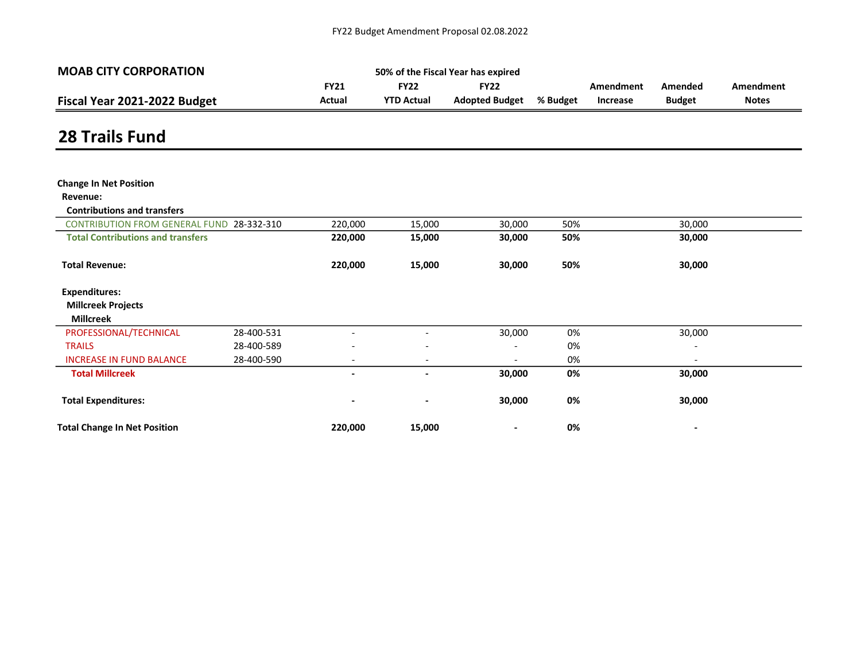| <b>MOAB CITY CORPORATION</b> | 50% of the Fiscal Year has expired |                   |                                |  |           |               |              |  |  |  |
|------------------------------|------------------------------------|-------------------|--------------------------------|--|-----------|---------------|--------------|--|--|--|
|                              | <b>FY21</b>                        | FY22              | FY22                           |  | Amendment | Amended       | Amendment    |  |  |  |
| Fiscal Year 2021-2022 Budget | Actual                             | <b>YTD Actual</b> | <b>Adopted Budget % Budget</b> |  | Increase  | <b>Budget</b> | <b>Notes</b> |  |  |  |

### 28 Trails Fund

| <b>Change In Net Position</b>            |            |                          |                          |                          |     |                          |  |
|------------------------------------------|------------|--------------------------|--------------------------|--------------------------|-----|--------------------------|--|
| Revenue:                                 |            |                          |                          |                          |     |                          |  |
| <b>Contributions and transfers</b>       |            |                          |                          |                          |     |                          |  |
| <b>CONTRIBUTION FROM GENERAL FUND</b>    | 28-332-310 | 220,000                  | 15,000                   | 30,000                   | 50% | 30,000                   |  |
| <b>Total Contributions and transfers</b> |            | 220,000                  | 15,000                   | 30,000                   | 50% | 30,000                   |  |
| <b>Total Revenue:</b>                    |            | 220,000                  | 15,000                   | 30,000                   | 50% | 30,000                   |  |
| <b>Expenditures:</b>                     |            |                          |                          |                          |     |                          |  |
| <b>Millcreek Projects</b>                |            |                          |                          |                          |     |                          |  |
| <b>Millcreek</b>                         |            |                          |                          |                          |     |                          |  |
| PROFESSIONAL/TECHNICAL                   | 28-400-531 |                          | $\overline{\phantom{a}}$ | 30,000                   | 0%  | 30,000                   |  |
| <b>TRAILS</b>                            | 28-400-589 | $\overline{\phantom{0}}$ | $\overline{\phantom{a}}$ | $\overline{\phantom{a}}$ | 0%  | $\overline{\phantom{a}}$ |  |
| <b>INCREASE IN FUND BALANCE</b>          | 28-400-590 | $\overline{\phantom{a}}$ | $\overline{\phantom{a}}$ | $\overline{\phantom{a}}$ | 0%  | $\overline{\phantom{a}}$ |  |
| <b>Total Millcreek</b>                   |            | $\overline{\phantom{0}}$ | $\overline{\phantom{a}}$ | 30,000                   | 0%  | 30,000                   |  |
| <b>Total Expenditures:</b>               |            | $\overline{\phantom{a}}$ |                          | 30,000                   | 0%  | 30,000                   |  |
| <b>Total Change In Net Position</b>      |            | 220,000                  | 15,000                   |                          | 0%  |                          |  |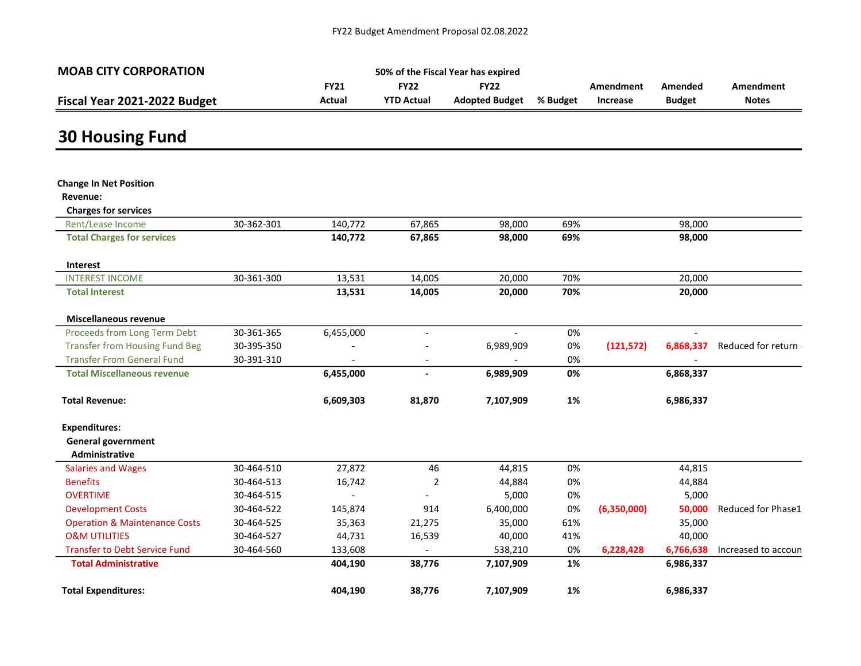| <b>MOAB CITY CORPORATION</b> | 50% of the Fiscal Year has expired |                   |                |          |                 |               |              |  |
|------------------------------|------------------------------------|-------------------|----------------|----------|-----------------|---------------|--------------|--|
|                              | <b>FY21</b>                        | <b>FY22</b>       | <b>FY22</b>    |          | Amendment       | Amended       | Amendment    |  |
| Fiscal Year 2021-2022 Budget | Actual                             | <b>YTD Actual</b> | Adopted Budget | % Budget | <b>Increase</b> | <b>Budget</b> | <b>Notes</b> |  |

and the control of the control of the control of the control of the control of the control of the control of the

# 30 Housing Fund

| <b>Change In Net Position</b>               |            |           |                          |                |     |             |                          |                     |
|---------------------------------------------|------------|-----------|--------------------------|----------------|-----|-------------|--------------------------|---------------------|
| Revenue:                                    |            |           |                          |                |     |             |                          |                     |
| <b>Charges for services</b>                 |            |           |                          |                |     |             |                          |                     |
| Rent/Lease Income                           | 30-362-301 | 140,772   | 67,865                   | 98,000         | 69% |             | 98,000                   |                     |
| <b>Total Charges for services</b>           |            | 140,772   | 67,865                   | 98,000         | 69% |             | 98,000                   |                     |
| Interest                                    |            |           |                          |                |     |             |                          |                     |
| <b>INTEREST INCOME</b>                      | 30-361-300 | 13,531    | 14,005                   | 20,000         | 70% |             | 20,000                   |                     |
| <b>Total Interest</b>                       |            | 13,531    | 14,005                   | 20,000         | 70% |             | 20,000                   |                     |
| <b>Miscellaneous revenue</b>                |            |           |                          |                |     |             |                          |                     |
| Proceeds from Long Term Debt                | 30-361-365 | 6,455,000 |                          | $\blacksquare$ | 0%  |             | $\overline{\phantom{a}}$ |                     |
| <b>Transfer from Housing Fund Beg</b>       | 30-395-350 |           |                          | 6,989,909      | 0%  | (121, 572)  | 6,868,337                | Reduced for return  |
| <b>Transfer From General Fund</b>           | 30-391-310 |           | $\overline{\phantom{a}}$ |                | 0%  |             |                          |                     |
| <b>Total Miscellaneous revenue</b>          |            | 6,455,000 |                          | 6,989,909      | 0%  |             | 6,868,337                |                     |
| <b>Total Revenue:</b>                       |            | 6,609,303 | 81,870                   | 7,107,909      | 1%  |             | 6,986,337                |                     |
| <b>Expenditures:</b>                        |            |           |                          |                |     |             |                          |                     |
| <b>General government</b><br>Administrative |            |           |                          |                |     |             |                          |                     |
| <b>Salaries and Wages</b>                   | 30-464-510 | 27,872    | 46                       | 44,815         | 0%  |             | 44,815                   |                     |
| <b>Benefits</b>                             | 30-464-513 | 16,742    | $\overline{2}$           | 44,884         | 0%  |             | 44,884                   |                     |
| <b>OVERTIME</b>                             | 30-464-515 |           |                          | 5,000          | 0%  |             | 5,000                    |                     |
| <b>Development Costs</b>                    | 30-464-522 | 145,874   | 914                      | 6,400,000      | 0%  | (6,350,000) | 50,000                   | Reduced for Phase1  |
| <b>Operation &amp; Maintenance Costs</b>    | 30-464-525 | 35,363    | 21,275                   | 35,000         | 61% |             | 35,000                   |                     |
| <b>O&amp;M UTILITIES</b>                    | 30-464-527 | 44,731    | 16,539                   | 40,000         | 41% |             | 40,000                   |                     |
| <b>Transfer to Debt Service Fund</b>        | 30-464-560 | 133,608   | $\overline{\phantom{a}}$ | 538,210        | 0%  | 6,228,428   | 6,766,638                | Increased to accoun |
| <b>Total Administrative</b>                 |            | 404,190   | 38,776                   | 7,107,909      | 1%  |             | 6,986,337                |                     |
| <b>Total Expenditures:</b>                  |            | 404,190   | 38,776                   | 7,107,909      | 1%  |             | 6,986,337                |                     |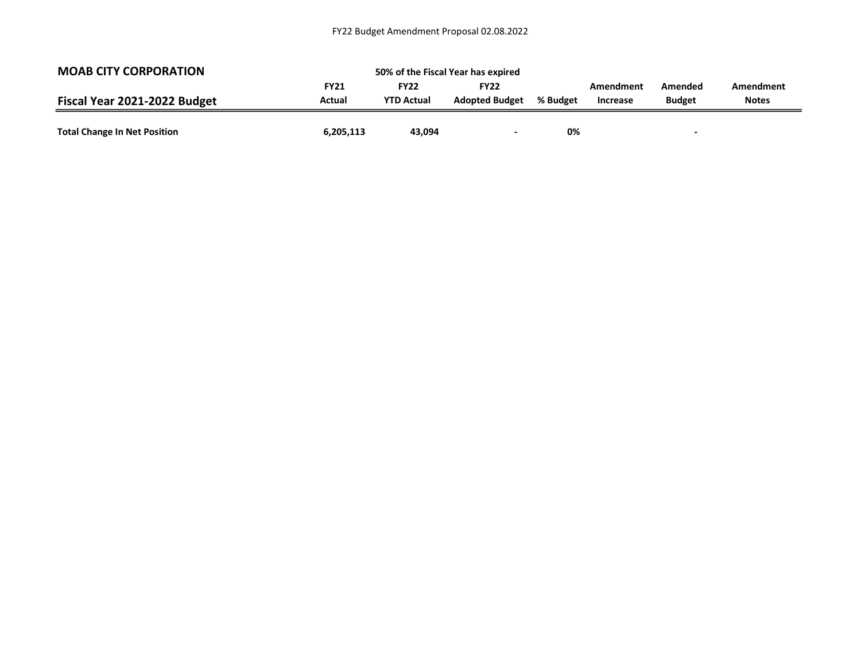| <b>MOAB CITY CORPORATION</b>        | 50% of the Fiscal Year has expired |                   |                       |          |           |               |              |
|-------------------------------------|------------------------------------|-------------------|-----------------------|----------|-----------|---------------|--------------|
|                                     | <b>FY21</b>                        | <b>FY22</b>       | <b>FY22</b>           |          | Amendment | Amended       | Amendment    |
| Fiscal Year 2021-2022 Budget        | Actual                             | <b>YTD Actual</b> | <b>Adopted Budget</b> | % Budget | Increase  | <b>Budget</b> | <b>Notes</b> |
|                                     |                                    |                   |                       |          |           |               |              |
| <b>Total Change In Net Position</b> | 6,205,113                          | 43,094            |                       | 0%       |           |               |              |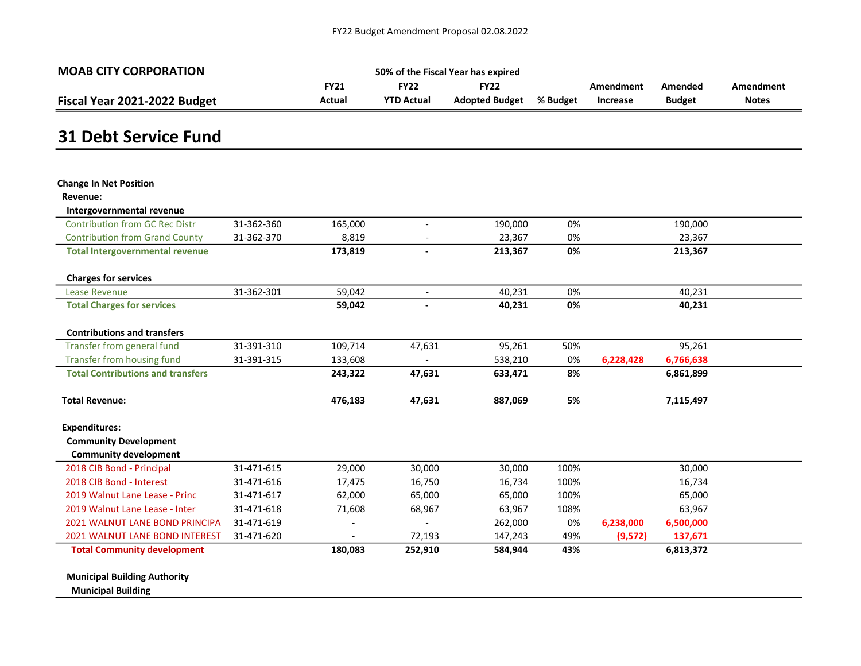| <b>MOAB CITY CORPORATION</b> | 50% of the Fiscal Year has expired |                   |                       |          |                 |               |              |  |
|------------------------------|------------------------------------|-------------------|-----------------------|----------|-----------------|---------------|--------------|--|
|                              | <b>FY21</b>                        | FY22              | <b>FY22</b>           |          | Amendment       | Amended       | Amendment    |  |
| Fiscal Year 2021-2022 Budget | Actual                             | <b>YTD Actual</b> | <b>Adopted Budget</b> | % Budget | <b>Increase</b> | <b>Budget</b> | <b>Notes</b> |  |

#### 31 Debt Service Fund

| <b>Change In Net Position</b>            |            |         |                          |         |      |           |           |  |
|------------------------------------------|------------|---------|--------------------------|---------|------|-----------|-----------|--|
| Revenue:                                 |            |         |                          |         |      |           |           |  |
| Intergovernmental revenue                |            |         |                          |         |      |           |           |  |
| <b>Contribution from GC Rec Distr</b>    | 31-362-360 | 165,000 |                          | 190,000 | 0%   |           | 190,000   |  |
| <b>Contribution from Grand County</b>    | 31-362-370 | 8,819   |                          | 23,367  | 0%   |           | 23,367    |  |
| <b>Total Intergovernmental revenue</b>   |            | 173,819 | $\blacksquare$           | 213,367 | 0%   |           | 213,367   |  |
| <b>Charges for services</b>              |            |         |                          |         |      |           |           |  |
| Lease Revenue                            | 31-362-301 | 59,042  | $\overline{\phantom{a}}$ | 40,231  | 0%   |           | 40,231    |  |
| <b>Total Charges for services</b>        |            | 59,042  |                          | 40,231  | 0%   |           | 40,231    |  |
| <b>Contributions and transfers</b>       |            |         |                          |         |      |           |           |  |
| Transfer from general fund               | 31-391-310 | 109,714 | 47,631                   | 95,261  | 50%  |           | 95,261    |  |
| Transfer from housing fund               | 31-391-315 | 133,608 |                          | 538,210 | 0%   | 6,228,428 | 6,766,638 |  |
| <b>Total Contributions and transfers</b> |            | 243,322 | 47,631                   | 633,471 | 8%   |           | 6,861,899 |  |
| <b>Total Revenue:</b>                    |            | 476,183 | 47,631                   | 887,069 | 5%   |           | 7,115,497 |  |
| <b>Expenditures:</b>                     |            |         |                          |         |      |           |           |  |
| <b>Community Development</b>             |            |         |                          |         |      |           |           |  |
| <b>Community development</b>             |            |         |                          |         |      |           |           |  |
| 2018 CIB Bond - Principal                | 31-471-615 | 29,000  | 30,000                   | 30,000  | 100% |           | 30,000    |  |
| 2018 CIB Bond - Interest                 | 31-471-616 | 17,475  | 16,750                   | 16,734  | 100% |           | 16,734    |  |
| 2019 Walnut Lane Lease - Princ           | 31-471-617 | 62,000  | 65,000                   | 65,000  | 100% |           | 65,000    |  |
| 2019 Walnut Lane Lease - Inter           | 31-471-618 | 71,608  | 68,967                   | 63,967  | 108% |           | 63,967    |  |
| <b>2021 WALNUT LANE BOND PRINCIPA</b>    | 31-471-619 |         |                          | 262,000 | 0%   | 6,238,000 | 6,500,000 |  |
| 2021 WALNUT LANE BOND INTEREST           | 31-471-620 |         | 72,193                   | 147,243 | 49%  | (9,572)   | 137,671   |  |
| <b>Total Community development</b>       |            | 180,083 | 252,910                  | 584,944 | 43%  |           | 6,813,372 |  |

Municipal Building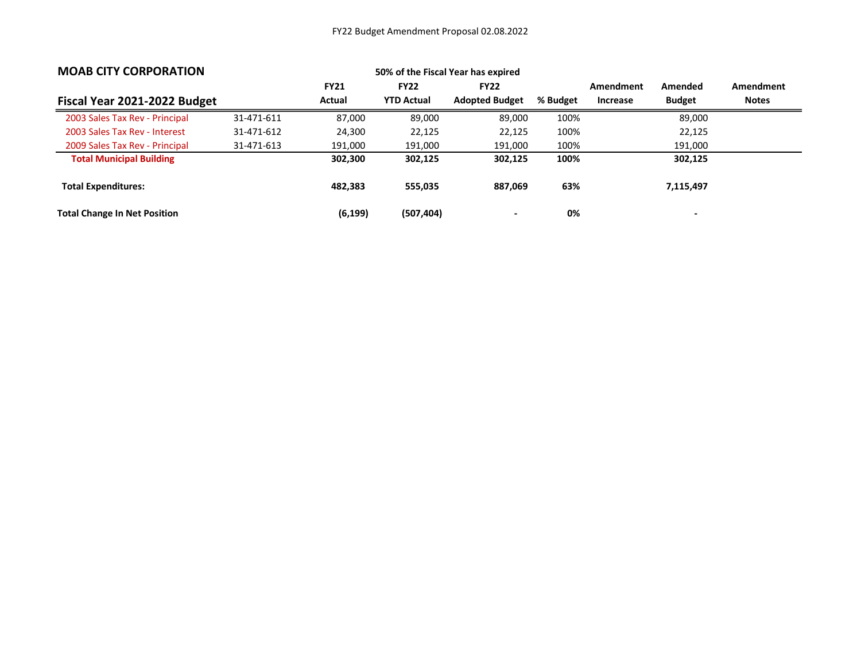| <b>MOAB CITY CORPORATION</b>        |            |             |                   | 50% of the Fiscal Year has expired |          |           |               |              |
|-------------------------------------|------------|-------------|-------------------|------------------------------------|----------|-----------|---------------|--------------|
|                                     |            | <b>FY21</b> | <b>FY22</b>       | <b>FY22</b>                        |          | Amendment | Amended       | Amendment    |
| Fiscal Year 2021-2022 Budget        |            | Actual      | <b>YTD Actual</b> | <b>Adopted Budget</b>              | % Budget | Increase  | <b>Budget</b> | <b>Notes</b> |
| 2003 Sales Tax Rev - Principal      | 31-471-611 | 87,000      | 89,000            | 89,000                             | 100%     |           | 89,000        |              |
| 2003 Sales Tax Rev - Interest       | 31-471-612 | 24,300      | 22,125            | 22,125                             | 100%     |           | 22,125        |              |
| 2009 Sales Tax Rev - Principal      | 31-471-613 | 191,000     | 191,000           | 191,000                            | 100%     |           | 191,000       |              |
| <b>Total Municipal Building</b>     |            | 302,300     | 302,125           | 302,125                            | 100%     |           | 302,125       |              |
| <b>Total Expenditures:</b>          |            | 482.383     | 555,035           | 887,069                            | 63%      |           | 7,115,497     |              |
| <b>Total Change In Net Position</b> |            | (6, 199)    | (507, 404)        |                                    | 0%       |           |               |              |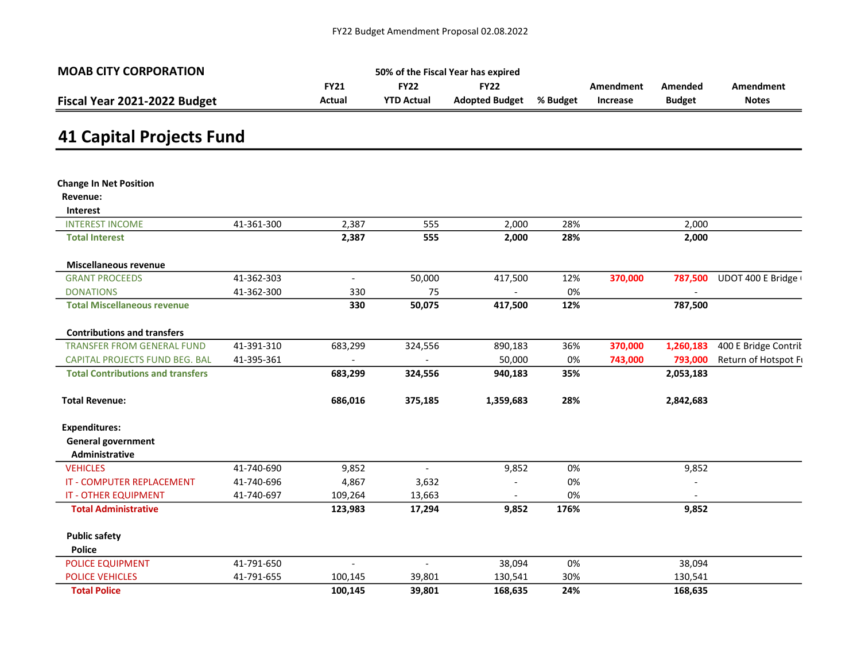| <b>MOAB CITY CORPORATION</b> | 50% of the Fiscal Year has expired |                   |                |          |                 |               |              |  |  |  |
|------------------------------|------------------------------------|-------------------|----------------|----------|-----------------|---------------|--------------|--|--|--|
|                              | <b>FY21</b>                        | FY22              | <b>FY22</b>    |          | Amendment       | Amended       | Amendment    |  |  |  |
| Fiscal Year 2021-2022 Budget | Actual                             | <b>YTD Actual</b> | Adopted Budget | % Budget | <b>Increase</b> | <b>Budget</b> | <b>Notes</b> |  |  |  |

# 41 Capital Projects Fund

| <b>Change In Net Position</b>            |            |         |         |           |      |         |           |                      |
|------------------------------------------|------------|---------|---------|-----------|------|---------|-----------|----------------------|
| Revenue:                                 |            |         |         |           |      |         |           |                      |
| Interest                                 |            |         |         |           |      |         |           |                      |
| <b>INTEREST INCOME</b>                   | 41-361-300 | 2,387   | 555     | 2,000     | 28%  |         | 2,000     |                      |
| <b>Total Interest</b>                    |            | 2,387   | 555     | 2,000     | 28%  |         | 2,000     |                      |
| <b>Miscellaneous revenue</b>             |            |         |         |           |      |         |           |                      |
| <b>GRANT PROCEEDS</b>                    | 41-362-303 | $\sim$  | 50,000  | 417,500   | 12%  | 370,000 | 787,500   | UDOT 400 E Bridge (  |
| <b>DONATIONS</b>                         | 41-362-300 | 330     | 75      |           | 0%   |         |           |                      |
| <b>Total Miscellaneous revenue</b>       |            | 330     | 50,075  | 417,500   | 12%  |         | 787,500   |                      |
| <b>Contributions and transfers</b>       |            |         |         |           |      |         |           |                      |
| <b>TRANSFER FROM GENERAL FUND</b>        | 41-391-310 | 683,299 | 324,556 | 890,183   | 36%  | 370,000 | 1,260,183 | 400 E Bridge Contril |
| CAPITAL PROJECTS FUND BEG. BAL           | 41-395-361 |         |         | 50,000    | 0%   | 743,000 | 793,000   | Return of Hotspot Fi |
| <b>Total Contributions and transfers</b> |            | 683,299 | 324,556 | 940,183   | 35%  |         | 2,053,183 |                      |
| <b>Total Revenue:</b>                    |            | 686,016 | 375,185 | 1,359,683 | 28%  |         | 2,842,683 |                      |
| <b>Expenditures:</b>                     |            |         |         |           |      |         |           |                      |
| <b>General government</b>                |            |         |         |           |      |         |           |                      |
| Administrative                           |            |         |         |           |      |         |           |                      |
| <b>VEHICLES</b>                          | 41-740-690 | 9,852   |         | 9,852     | 0%   |         | 9,852     |                      |
| <b>IT - COMPUTER REPLACEMENT</b>         | 41-740-696 | 4,867   | 3,632   |           | 0%   |         |           |                      |
| <b>IT - OTHER EQUIPMENT</b>              | 41-740-697 | 109,264 | 13,663  |           | 0%   |         |           |                      |
| <b>Total Administrative</b>              |            | 123,983 | 17,294  | 9,852     | 176% |         | 9,852     |                      |
| <b>Public safety</b>                     |            |         |         |           |      |         |           |                      |
| <b>Police</b>                            |            |         |         |           |      |         |           |                      |
| POLICE EQUIPMENT                         | 41-791-650 |         |         | 38,094    | 0%   |         | 38,094    |                      |
| <b>POLICE VEHICLES</b>                   | 41-791-655 | 100,145 | 39,801  | 130,541   | 30%  |         | 130,541   |                      |
| <b>Total Police</b>                      |            | 100,145 | 39,801  | 168,635   | 24%  |         | 168,635   |                      |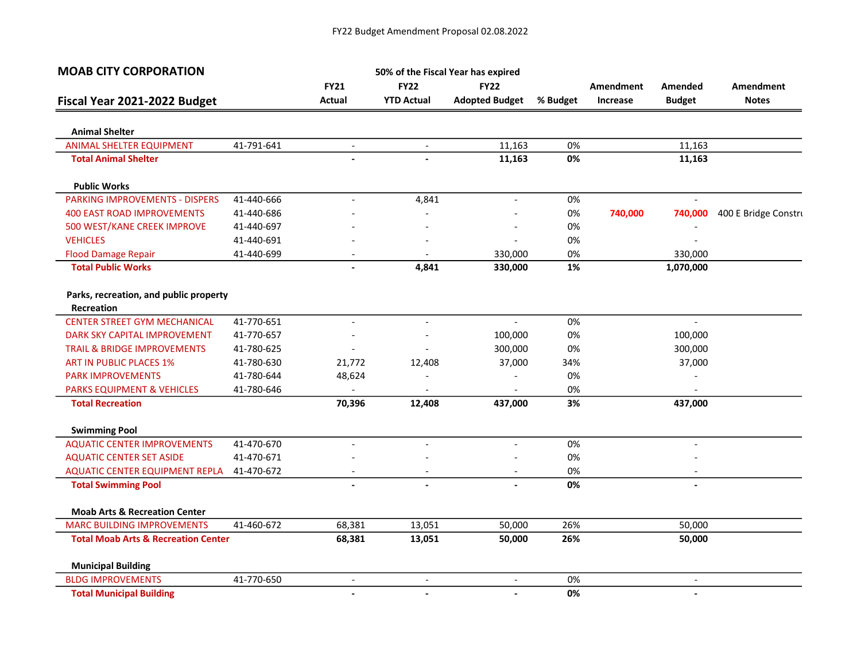| <b>MOAB CITY CORPORATION</b>                         |            |                          |                          | 50% of the Fiscal Year has expired |          |                  |                          |                      |
|------------------------------------------------------|------------|--------------------------|--------------------------|------------------------------------|----------|------------------|--------------------------|----------------------|
|                                                      |            | <b>FY21</b>              | <b>FY22</b>              | <b>FY22</b>                        |          | <b>Amendment</b> | Amended                  | <b>Amendment</b>     |
| Fiscal Year 2021-2022 Budget                         |            | Actual                   | <b>YTD Actual</b>        | <b>Adopted Budget</b>              | % Budget | Increase         | <b>Budget</b>            | <b>Notes</b>         |
| <b>Animal Shelter</b>                                |            |                          |                          |                                    |          |                  |                          |                      |
| <b>ANIMAL SHELTER EQUIPMENT</b>                      | 41-791-641 | $\overline{\phantom{a}}$ | $\blacksquare$           | 11,163                             | 0%       |                  | 11,163                   |                      |
| <b>Total Animal Shelter</b>                          |            |                          |                          | 11,163                             | 0%       |                  | 11,163                   |                      |
| <b>Public Works</b>                                  |            |                          |                          |                                    |          |                  |                          |                      |
| <b>PARKING IMPROVEMENTS - DISPERS</b>                | 41-440-666 | $\overline{a}$           | 4,841                    | $\sim$                             | 0%       |                  | $\overline{a}$           |                      |
| <b>400 EAST ROAD IMPROVEMENTS</b>                    | 41-440-686 |                          |                          |                                    | 0%       | 740,000          | 740,000                  | 400 E Bridge Constru |
| 500 WEST/KANE CREEK IMPROVE                          | 41-440-697 |                          |                          |                                    | 0%       |                  |                          |                      |
| <b>VEHICLES</b>                                      | 41-440-691 |                          |                          |                                    | 0%       |                  |                          |                      |
| <b>Flood Damage Repair</b>                           | 41-440-699 |                          |                          | 330,000                            | 0%       |                  | 330,000                  |                      |
| <b>Total Public Works</b>                            |            |                          | 4,841                    | 330,000                            | 1%       |                  | 1,070,000                |                      |
| Parks, recreation, and public property<br>Recreation |            |                          |                          |                                    |          |                  |                          |                      |
| <b>CENTER STREET GYM MECHANICAL</b>                  | 41-770-651 | $\sim$                   | $\overline{\phantom{0}}$ | $\sim$                             | 0%       |                  | $\overline{a}$           |                      |
| DARK SKY CAPITAL IMPROVEMENT                         | 41-770-657 |                          |                          | 100,000                            | 0%       |                  | 100,000                  |                      |
| <b>TRAIL &amp; BRIDGE IMPROVEMENTS</b>               | 41-780-625 |                          |                          | 300,000                            | 0%       |                  | 300,000                  |                      |
| <b>ART IN PUBLIC PLACES 1%</b>                       | 41-780-630 | 21,772                   | 12,408                   | 37,000                             | 34%      |                  | 37,000                   |                      |
| <b>PARK IMPROVEMENTS</b>                             | 41-780-644 | 48,624                   |                          |                                    | 0%       |                  |                          |                      |
| <b>PARKS EQUIPMENT &amp; VEHICLES</b>                | 41-780-646 |                          |                          |                                    | 0%       |                  |                          |                      |
| <b>Total Recreation</b>                              |            | 70,396                   | 12,408                   | 437,000                            | 3%       |                  | 437,000                  |                      |
| <b>Swimming Pool</b>                                 |            |                          |                          |                                    |          |                  |                          |                      |
| <b>AQUATIC CENTER IMPROVEMENTS</b>                   | 41-470-670 |                          |                          |                                    | 0%       |                  |                          |                      |
| <b>AQUATIC CENTER SET ASIDE</b>                      | 41-470-671 |                          |                          |                                    | 0%       |                  |                          |                      |
| AQUATIC CENTER EQUIPMENT REPLA                       | 41-470-672 |                          |                          |                                    | 0%       |                  |                          |                      |
| <b>Total Swimming Pool</b>                           |            |                          |                          |                                    | 0%       |                  |                          |                      |
| <b>Moab Arts &amp; Recreation Center</b>             |            |                          |                          |                                    |          |                  |                          |                      |
| <b>MARC BUILDING IMPROVEMENTS</b>                    | 41-460-672 | 68,381                   | 13,051                   | 50,000                             | 26%      |                  | 50,000                   |                      |
| <b>Total Moab Arts &amp; Recreation Center</b>       |            | 68,381                   | 13,051                   | 50,000                             | 26%      |                  | 50,000                   |                      |
| <b>Municipal Building</b>                            |            |                          |                          |                                    |          |                  |                          |                      |
| <b>BLDG IMPROVEMENTS</b>                             | 41-770-650 | $\overline{a}$           | $\overline{\phantom{a}}$ |                                    | 0%       |                  | $\overline{\phantom{0}}$ |                      |
| <b>Total Municipal Building</b>                      |            | $\overline{\phantom{a}}$ | $\blacksquare$           |                                    | 0%       |                  | $\overline{\phantom{0}}$ |                      |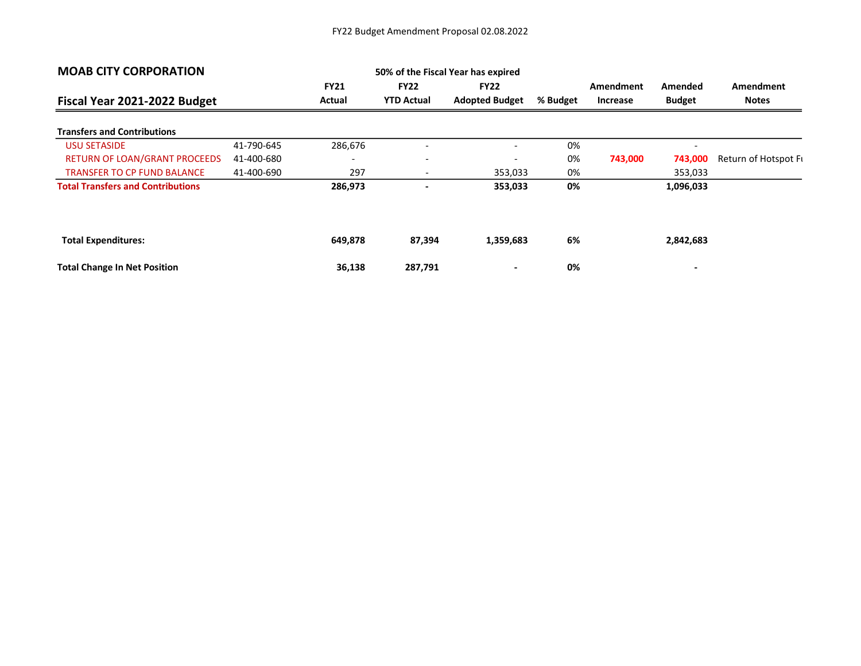| <b>MOAB CITY CORPORATION</b>             |            |                          | 50% of the Fiscal Year has expired |                                      |          |                       |                          |                           |
|------------------------------------------|------------|--------------------------|------------------------------------|--------------------------------------|----------|-----------------------|--------------------------|---------------------------|
| Fiscal Year 2021-2022 Budget             |            | <b>FY21</b><br>Actual    | <b>FY22</b><br><b>YTD Actual</b>   | <b>FY22</b><br><b>Adopted Budget</b> | % Budget | Amendment<br>Increase | Amended<br><b>Budget</b> | Amendment<br><b>Notes</b> |
| <b>Transfers and Contributions</b>       |            |                          |                                    |                                      |          |                       |                          |                           |
| <b>USU SETASIDE</b>                      | 41-790-645 | 286,676                  | $\overline{\phantom{0}}$           | $\overline{\phantom{0}}$             | 0%       |                       | $\overline{\phantom{a}}$ |                           |
| RETURN OF LOAN/GRANT PROCEEDS            | 41-400-680 | $\overline{\phantom{0}}$ | $\overline{\phantom{a}}$           | $\overline{\phantom{a}}$             | 0%       | 743,000               | 743,000                  | Return of Hotspot Fi      |
| <b>TRANSFER TO CP FUND BALANCE</b>       | 41-400-690 | 297                      | $\overline{\phantom{a}}$           | 353,033                              | 0%       |                       | 353,033                  |                           |
| <b>Total Transfers and Contributions</b> |            | 286,973                  | $\overline{\phantom{a}}$           | 353,033                              | 0%       |                       | 1,096,033                |                           |
|                                          |            |                          |                                    |                                      |          |                       |                          |                           |
| <b>Total Expenditures:</b>               |            | 649,878                  | 87,394                             | 1,359,683                            | 6%       |                       | 2,842,683                |                           |
| <b>Total Change In Net Position</b>      |            | 36,138                   | 287,791                            | $\blacksquare$                       | 0%       |                       | $\blacksquare$           |                           |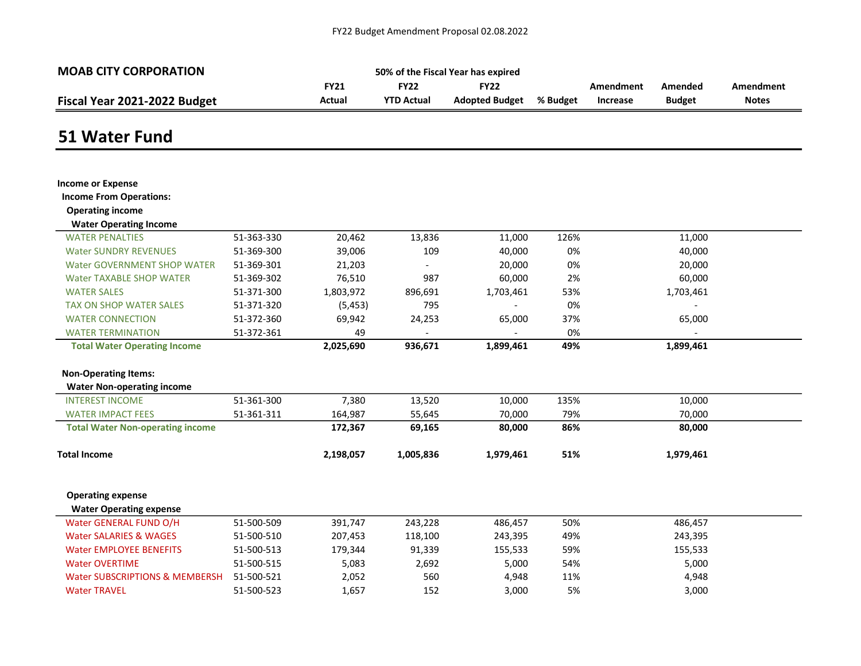| <b>MOAB CITY CORPORATION</b>                               |            |             |                   | 50% of the Fiscal Year has expired |          |           |               |                  |
|------------------------------------------------------------|------------|-------------|-------------------|------------------------------------|----------|-----------|---------------|------------------|
|                                                            |            | <b>FY21</b> | <b>FY22</b>       | <b>FY22</b>                        |          | Amendment | Amended       | <b>Amendment</b> |
| Fiscal Year 2021-2022 Budget                               |            | Actual      | <b>YTD Actual</b> | <b>Adopted Budget</b>              | % Budget | Increase  | <b>Budget</b> | <b>Notes</b>     |
|                                                            |            |             |                   |                                    |          |           |               |                  |
| 51 Water Fund                                              |            |             |                   |                                    |          |           |               |                  |
|                                                            |            |             |                   |                                    |          |           |               |                  |
| <b>Income or Expense</b><br><b>Income From Operations:</b> |            |             |                   |                                    |          |           |               |                  |
| <b>Operating income</b>                                    |            |             |                   |                                    |          |           |               |                  |
| <b>Water Operating Income</b>                              |            |             |                   |                                    |          |           |               |                  |
| <b>WATER PENALTIES</b>                                     | 51-363-330 | 20,462      | 13,836            | 11,000                             | 126%     |           | 11,000        |                  |
| <b>Water SUNDRY REVENUES</b>                               | 51-369-300 | 39,006      | 109               | 40,000                             | 0%       |           | 40,000        |                  |
| <b>Water GOVERNMENT SHOP WATER</b>                         | 51-369-301 | 21,203      | $\overline{a}$    | 20,000                             | 0%       |           | 20,000        |                  |
| <b>Water TAXABLE SHOP WATER</b>                            | 51-369-302 | 76,510      | 987               | 60,000                             | 2%       |           | 60,000        |                  |
| <b>WATER SALES</b>                                         | 51-371-300 | 1,803,972   | 896,691           | 1,703,461                          | 53%      |           | 1,703,461     |                  |
| <b>TAX ON SHOP WATER SALES</b>                             | 51-371-320 | (5, 453)    | 795               |                                    | 0%       |           |               |                  |
| <b>WATER CONNECTION</b>                                    | 51-372-360 | 69,942      | 24,253            | 65,000                             | 37%      |           | 65,000        |                  |
| <b>WATER TERMINATION</b>                                   | 51-372-361 | 49          |                   |                                    | 0%       |           |               |                  |
| <b>Total Water Operating Income</b>                        |            | 2,025,690   | 936,671           | 1,899,461                          | 49%      |           | 1,899,461     |                  |
| <b>Non-Operating Items:</b>                                |            |             |                   |                                    |          |           |               |                  |
| <b>Water Non-operating income</b>                          |            |             |                   |                                    |          |           |               |                  |
| <b>INTEREST INCOME</b>                                     | 51-361-300 | 7,380       | 13,520            | 10,000                             | 135%     |           | 10,000        |                  |
| <b>WATER IMPACT FEES</b>                                   | 51-361-311 | 164,987     | 55,645            | 70,000                             | 79%      |           | 70,000        |                  |
| <b>Total Water Non-operating income</b>                    |            | 172,367     | 69,165            | 80,000                             | 86%      |           | 80,000        |                  |
| <b>Total Income</b>                                        |            | 2,198,057   | 1,005,836         | 1,979,461                          | 51%      |           | 1,979,461     |                  |
| <b>Operating expense</b>                                   |            |             |                   |                                    |          |           |               |                  |
| <b>Water Operating expense</b>                             |            |             |                   |                                    |          |           |               |                  |
| Water GENERAL FUND O/H                                     | 51-500-509 | 391,747     | 243,228           | 486,457                            | 50%      |           | 486,457       |                  |
| <b>Water SALARIES &amp; WAGES</b>                          | 51-500-510 | 207,453     | 118,100           | 243,395                            | 49%      |           | 243,395       |                  |
| <b>Water EMPLOYEE BENEFITS</b>                             | 51-500-513 | 179,344     | 91,339            | 155,533                            | 59%      |           | 155,533       |                  |
| <b>Water OVERTIME</b>                                      | 51-500-515 | 5,083       | 2,692             | 5,000                              | 54%      |           | 5,000         |                  |
| <b>Water SUBSCRIPTIONS &amp; MEMBERSH</b>                  | 51-500-521 | 2,052       | 560               | 4,948                              | 11%      |           | 4,948         |                  |
| <b>Water TRAVEL</b>                                        | 51-500-523 | 1,657       | 152               | 3,000                              | 5%       |           | 3,000         |                  |
|                                                            |            |             |                   |                                    |          |           |               |                  |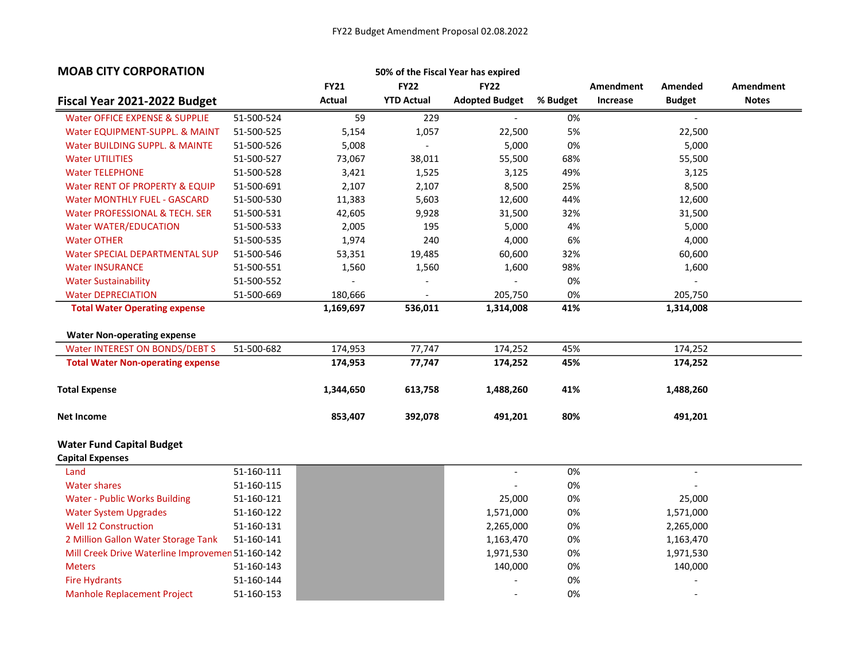| <b>MOAB CITY CORPORATION</b>                     |            |               |                          | 50% of the Fiscal Year has expired |          |           |                          |              |
|--------------------------------------------------|------------|---------------|--------------------------|------------------------------------|----------|-----------|--------------------------|--------------|
|                                                  |            | <b>FY21</b>   | <b>FY22</b>              | <b>FY22</b>                        |          | Amendment | Amended                  | Amendment    |
| Fiscal Year 2021-2022 Budget                     |            | <b>Actual</b> | <b>YTD Actual</b>        | <b>Adopted Budget</b>              | % Budget | Increase  | <b>Budget</b>            | <b>Notes</b> |
| Water OFFICE EXPENSE & SUPPLIE                   | 51-500-524 | 59            | 229                      |                                    | 0%       |           |                          |              |
| Water EQUIPMENT-SUPPL. & MAINT                   | 51-500-525 | 5,154         | 1,057                    | 22,500                             | 5%       |           | 22,500                   |              |
| Water BUILDING SUPPL. & MAINTE                   | 51-500-526 | 5,008         | $\mathbb{L}$             | 5,000                              | 0%       |           | 5,000                    |              |
| <b>Water UTILITIES</b>                           | 51-500-527 | 73,067        | 38,011                   | 55,500                             | 68%      |           | 55,500                   |              |
| <b>Water TELEPHONE</b>                           | 51-500-528 | 3,421         | 1,525                    | 3,125                              | 49%      |           | 3,125                    |              |
| Water RENT OF PROPERTY & EQUIP                   | 51-500-691 | 2,107         | 2,107                    | 8,500                              | 25%      |           | 8,500                    |              |
| <b>Water MONTHLY FUEL - GASCARD</b>              | 51-500-530 | 11,383        | 5,603                    | 12,600                             | 44%      |           | 12,600                   |              |
| Water PROFESSIONAL & TECH. SER                   | 51-500-531 | 42,605        | 9,928                    | 31,500                             | 32%      |           | 31,500                   |              |
| <b>Water WATER/EDUCATION</b>                     | 51-500-533 | 2,005         | 195                      | 5,000                              | 4%       |           | 5,000                    |              |
| <b>Water OTHER</b>                               | 51-500-535 | 1,974         | 240                      | 4,000                              | 6%       |           | 4,000                    |              |
| <b>Water SPECIAL DEPARTMENTAL SUP</b>            | 51-500-546 | 53,351        | 19,485                   | 60,600                             | 32%      |           | 60,600                   |              |
| <b>Water INSURANCE</b>                           | 51-500-551 | 1,560         | 1,560                    | 1,600                              | 98%      |           | 1,600                    |              |
| <b>Water Sustainability</b>                      | 51-500-552 |               | $\overline{\phantom{m}}$ |                                    | 0%       |           |                          |              |
| <b>Water DEPRECIATION</b>                        | 51-500-669 | 180,666       |                          | 205,750                            | 0%       |           | 205,750                  |              |
| <b>Total Water Operating expense</b>             |            | 1,169,697     | 536,011                  | 1,314,008                          | 41%      |           | 1,314,008                |              |
|                                                  |            |               |                          |                                    |          |           |                          |              |
| <b>Water Non-operating expense</b>               |            |               |                          |                                    |          |           |                          |              |
| Water INTEREST ON BONDS/DEBT S                   | 51-500-682 | 174,953       | 77,747                   | 174,252                            | 45%      |           | 174,252                  |              |
| <b>Total Water Non-operating expense</b>         |            | 174,953       | 77,747                   | 174,252                            | 45%      |           | 174,252                  |              |
| <b>Total Expense</b>                             |            | 1,344,650     | 613,758                  | 1,488,260                          | 41%      |           | 1,488,260                |              |
| <b>Net Income</b>                                |            | 853,407       | 392,078                  | 491,201                            | 80%      |           | 491,201                  |              |
| <b>Water Fund Capital Budget</b>                 |            |               |                          |                                    |          |           |                          |              |
| <b>Capital Expenses</b>                          |            |               |                          |                                    |          |           |                          |              |
| Land                                             | 51-160-111 |               |                          |                                    | 0%       |           |                          |              |
| <b>Water shares</b>                              | 51-160-115 |               |                          |                                    | 0%       |           |                          |              |
| <b>Water - Public Works Building</b>             | 51-160-121 |               |                          | 25,000                             | 0%       |           | 25,000                   |              |
| <b>Water System Upgrades</b>                     | 51-160-122 |               |                          | 1,571,000                          | 0%       |           | 1,571,000                |              |
| <b>Well 12 Construction</b>                      | 51-160-131 |               |                          | 2,265,000                          | 0%       |           | 2,265,000                |              |
| 2 Million Gallon Water Storage Tank              | 51-160-141 |               |                          | 1,163,470                          | 0%       |           | 1,163,470                |              |
| Mill Creek Drive Waterline Improvemen 51-160-142 |            |               |                          | 1,971,530                          | 0%       |           | 1,971,530                |              |
| <b>Meters</b>                                    | 51-160-143 |               |                          | 140,000                            | 0%       |           | 140,000                  |              |
| <b>Fire Hydrants</b>                             | 51-160-144 |               |                          |                                    | 0%       |           |                          |              |
| <b>Manhole Replacement Project</b>               | 51-160-153 |               |                          | $\blacksquare$                     | 0%       |           | $\overline{\phantom{a}}$ |              |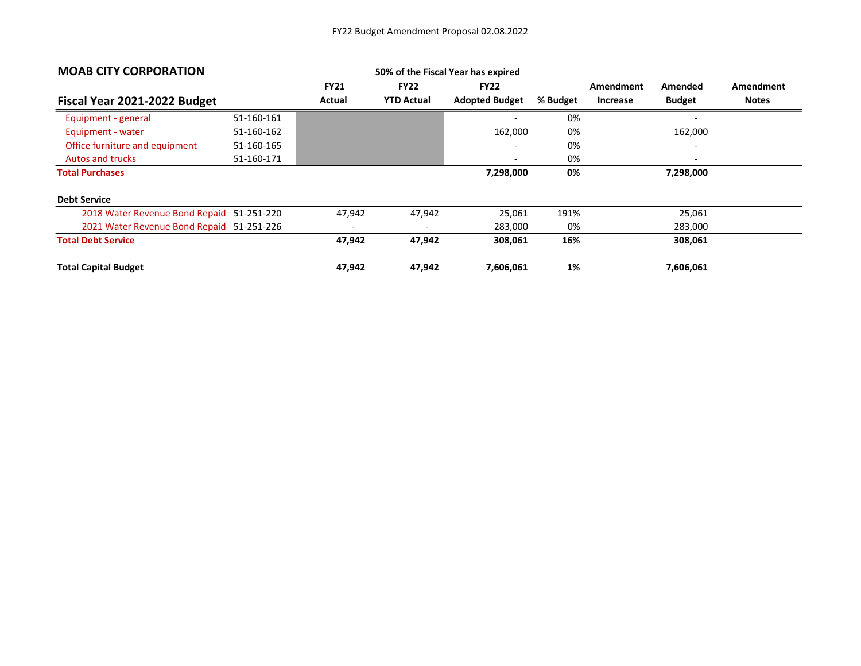| <b>MOAB CITY CORPORATION</b>              |            |             |                          | 50% of the Fiscal Year has expired |          |                 |               |                  |
|-------------------------------------------|------------|-------------|--------------------------|------------------------------------|----------|-----------------|---------------|------------------|
|                                           |            | <b>FY21</b> | <b>FY22</b>              | <b>FY22</b>                        |          | Amendment       | Amended       | <b>Amendment</b> |
| Fiscal Year 2021-2022 Budget              |            | Actual      | <b>YTD Actual</b>        | <b>Adopted Budget</b>              | % Budget | <b>Increase</b> | <b>Budget</b> | <b>Notes</b>     |
| Equipment - general                       | 51-160-161 |             |                          |                                    | 0%       |                 |               |                  |
| Equipment - water                         | 51-160-162 |             |                          | 162,000                            | 0%       |                 | 162,000       |                  |
| Office furniture and equipment            | 51-160-165 |             |                          |                                    | 0%       |                 |               |                  |
| <b>Autos and trucks</b>                   | 51-160-171 |             |                          | $\overline{\phantom{a}}$           | 0%       |                 |               |                  |
| <b>Total Purchases</b>                    |            |             |                          | 7,298,000                          | 0%       |                 | 7,298,000     |                  |
| <b>Debt Service</b>                       |            |             |                          |                                    |          |                 |               |                  |
| 2018 Water Revenue Bond Repaid 51-251-220 |            | 47,942      | 47,942                   | 25,061                             | 191%     |                 | 25,061        |                  |
| 2021 Water Revenue Bond Repaid 51-251-226 |            |             | $\overline{\phantom{0}}$ | 283,000                            | 0%       |                 | 283,000       |                  |
| <b>Total Debt Service</b>                 |            | 47,942      | 47,942                   | 308,061                            | 16%      |                 | 308,061       |                  |
| <b>Total Capital Budget</b>               |            | 47,942      | 47,942                   | 7,606,061                          | 1%       |                 | 7,606,061     |                  |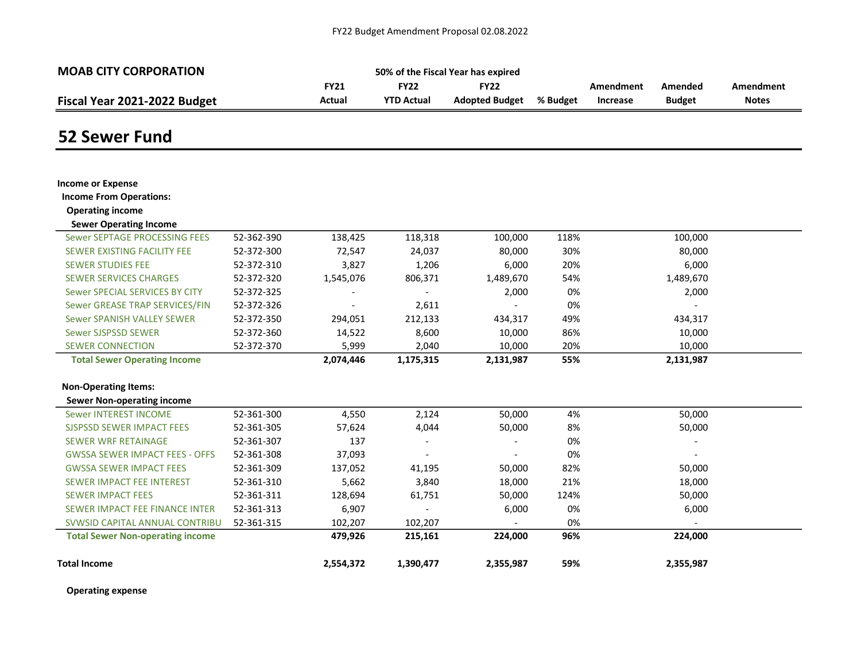| <b>MOAB CITY CORPORATION</b> | 50% of the Fiscal Year has expired       |                   |                       |          |          |               |              |  |  |
|------------------------------|------------------------------------------|-------------------|-----------------------|----------|----------|---------------|--------------|--|--|
|                              | <b>FY21</b><br>FY22<br>FY22<br>Amendment |                   |                       |          |          | Amended       | Amendment    |  |  |
| Fiscal Year 2021-2022 Budget | Actual                                   | <b>YTD Actual</b> | <b>Adopted Budget</b> | % Budget | Increase | <b>Budget</b> | <b>Notes</b> |  |  |

#### 52 Sewer Fund

| <b>Income or Expense</b>                |            |           |           |           |      |           |  |
|-----------------------------------------|------------|-----------|-----------|-----------|------|-----------|--|
| <b>Income From Operations:</b>          |            |           |           |           |      |           |  |
| <b>Operating income</b>                 |            |           |           |           |      |           |  |
| <b>Sewer Operating Income</b>           |            |           |           |           |      |           |  |
| Sewer SEPTAGE PROCESSING FEES           | 52-362-390 | 138,425   | 118,318   | 100,000   | 118% | 100,000   |  |
| SEWER EXISTING FACILITY FEE             | 52-372-300 | 72,547    | 24,037    | 80,000    | 30%  | 80,000    |  |
| <b>SEWER STUDIES FEE</b>                | 52-372-310 | 3,827     | 1,206     | 6,000     | 20%  | 6,000     |  |
| <b>SEWER SERVICES CHARGES</b>           | 52-372-320 | 1,545,076 | 806,371   | 1,489,670 | 54%  | 1,489,670 |  |
| Sewer SPECIAL SERVICES BY CITY          | 52-372-325 |           |           | 2,000     | 0%   | 2,000     |  |
| Sewer GREASE TRAP SERVICES/FIN          | 52-372-326 |           | 2,611     |           | 0%   |           |  |
| Sewer SPANISH VALLEY SEWER              | 52-372-350 | 294,051   | 212,133   | 434,317   | 49%  | 434,317   |  |
| Sewer SJSPSSD SEWER                     | 52-372-360 | 14,522    | 8,600     | 10,000    | 86%  | 10,000    |  |
| <b>SEWER CONNECTION</b>                 | 52-372-370 | 5,999     | 2,040     | 10,000    | 20%  | 10,000    |  |
| <b>Total Sewer Operating Income</b>     |            | 2,074,446 | 1,175,315 | 2,131,987 | 55%  | 2,131,987 |  |
| <b>Non-Operating Items:</b>             |            |           |           |           |      |           |  |
| <b>Sewer Non-operating income</b>       |            |           |           |           |      |           |  |
| <b>Sewer INTEREST INCOME</b>            | 52-361-300 | 4,550     | 2,124     | 50,000    | 4%   | 50,000    |  |
| <b>SJSPSSD SEWER IMPACT FEES</b>        | 52-361-305 | 57,624    | 4,044     | 50,000    | 8%   | 50,000    |  |
| <b>SEWER WRF RETAINAGE</b>              | 52-361-307 | 137       |           |           | 0%   |           |  |
| <b>GWSSA SEWER IMPACT FEES - OFFS</b>   | 52-361-308 | 37,093    |           |           | 0%   |           |  |
| <b>GWSSA SEWER IMPACT FEES</b>          | 52-361-309 | 137,052   | 41,195    | 50,000    | 82%  | 50,000    |  |
| <b>SEWER IMPACT FEE INTEREST</b>        | 52-361-310 | 5,662     | 3,840     | 18,000    | 21%  | 18,000    |  |
| <b>SEWER IMPACT FEES</b>                | 52-361-311 | 128,694   | 61,751    | 50,000    | 124% | 50,000    |  |
| SEWER IMPACT FEE FINANCE INTER          | 52-361-313 | 6,907     |           | 6,000     | 0%   | 6,000     |  |
| SVWSID CAPITAL ANNUAL CONTRIBU          | 52-361-315 | 102,207   | 102,207   |           | 0%   |           |  |
| <b>Total Sewer Non-operating income</b> |            | 479,926   | 215,161   | 224,000   | 96%  | 224,000   |  |
| <b>Total Income</b>                     |            | 2,554,372 | 1,390,477 | 2,355,987 | 59%  | 2,355,987 |  |

Operating expense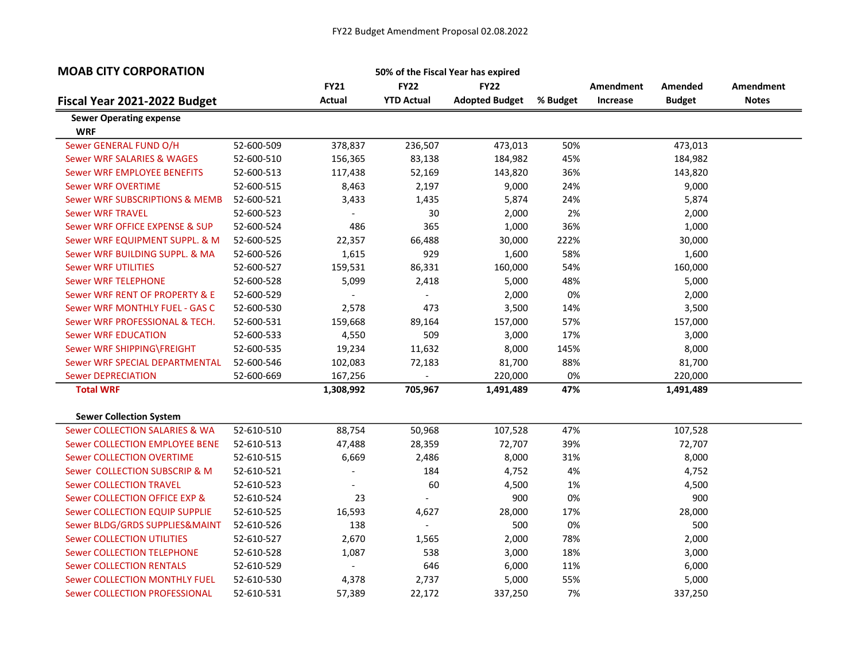| <b>MOAB CITY CORPORATION</b>                 |            |                |                          | 50% of the Fiscal Year has expired |          |           |               |              |
|----------------------------------------------|------------|----------------|--------------------------|------------------------------------|----------|-----------|---------------|--------------|
|                                              |            | <b>FY21</b>    | <b>FY22</b>              | <b>FY22</b>                        |          | Amendment | Amended       | Amendment    |
| Fiscal Year 2021-2022 Budget                 |            | Actual         | <b>YTD Actual</b>        | <b>Adopted Budget</b>              | % Budget | Increase  | <b>Budget</b> | <b>Notes</b> |
| <b>Sewer Operating expense</b><br><b>WRF</b> |            |                |                          |                                    |          |           |               |              |
| Sewer GENERAL FUND O/H                       | 52-600-509 | 378,837        | 236,507                  | 473,013                            | 50%      |           | 473,013       |              |
| <b>Sewer WRF SALARIES &amp; WAGES</b>        | 52-600-510 | 156,365        | 83,138                   | 184,982                            | 45%      |           | 184,982       |              |
| Sewer WRF EMPLOYEE BENEFITS                  | 52-600-513 | 117,438        | 52,169                   | 143,820                            | 36%      |           | 143,820       |              |
| <b>Sewer WRF OVERTIME</b>                    | 52-600-515 | 8,463          | 2,197                    | 9,000                              | 24%      |           | 9,000         |              |
| Sewer WRF SUBSCRIPTIONS & MEMB               | 52-600-521 | 3,433          | 1,435                    | 5,874                              | 24%      |           | 5,874         |              |
| <b>Sewer WRF TRAVEL</b>                      | 52-600-523 |                | 30                       | 2,000                              | 2%       |           | 2,000         |              |
| Sewer WRF OFFICE EXPENSE & SUP               | 52-600-524 | 486            | 365                      | 1,000                              | 36%      |           | 1,000         |              |
| Sewer WRF EQUIPMENT SUPPL. & M               | 52-600-525 | 22,357         | 66,488                   | 30,000                             | 222%     |           | 30,000        |              |
| Sewer WRF BUILDING SUPPL. & MA               | 52-600-526 | 1,615          | 929                      | 1,600                              | 58%      |           | 1,600         |              |
| <b>Sewer WRF UTILITIES</b>                   | 52-600-527 | 159,531        | 86,331                   | 160,000                            | 54%      |           | 160,000       |              |
| <b>Sewer WRF TELEPHONE</b>                   | 52-600-528 | 5,099          | 2,418                    | 5,000                              | 48%      |           | 5,000         |              |
| Sewer WRF RENT OF PROPERTY & E               | 52-600-529 | $\blacksquare$ | $\blacksquare$           | 2,000                              | 0%       |           | 2,000         |              |
| Sewer WRF MONTHLY FUEL - GAS C               | 52-600-530 | 2,578          | 473                      | 3,500                              | 14%      |           | 3,500         |              |
| Sewer WRF PROFESSIONAL & TECH.               | 52-600-531 | 159,668        | 89,164                   | 157,000                            | 57%      |           | 157,000       |              |
| <b>Sewer WRF EDUCATION</b>                   | 52-600-533 | 4,550          | 509                      | 3,000                              | 17%      |           | 3,000         |              |
| Sewer WRF SHIPPING\FREIGHT                   | 52-600-535 | 19,234         | 11,632                   | 8,000                              | 145%     |           | 8,000         |              |
| Sewer WRF SPECIAL DEPARTMENTAL               | 52-600-546 | 102,083        | 72,183                   | 81,700                             | 88%      |           | 81,700        |              |
| <b>Sewer DEPRECIATION</b>                    | 52-600-669 | 167,256        | $\overline{\phantom{a}}$ | 220,000                            | 0%       |           | 220,000       |              |
| <b>Total WRF</b>                             |            | 1,308,992      | 705,967                  | 1,491,489                          | 47%      |           | 1,491,489     |              |
| <b>Sewer Collection System</b>               |            |                |                          |                                    |          |           |               |              |
| Sewer COLLECTION SALARIES & WA               | 52-610-510 | 88,754         | 50,968                   | 107,528                            | 47%      |           | 107,528       |              |
| Sewer COLLECTION EMPLOYEE BENE               | 52-610-513 | 47,488         | 28,359                   | 72,707                             | 39%      |           | 72,707        |              |
| <b>Sewer COLLECTION OVERTIME</b>             | 52-610-515 | 6,669          | 2,486                    | 8,000                              | 31%      |           | 8,000         |              |
| Sewer COLLECTION SUBSCRIP & M                | 52-610-521 |                | 184                      | 4,752                              | 4%       |           | 4,752         |              |
| <b>Sewer COLLECTION TRAVEL</b>               | 52-610-523 |                | 60                       | 4,500                              | 1%       |           | 4,500         |              |
| Sewer COLLECTION OFFICE EXP &                | 52-610-524 | 23             | $\overline{\phantom{a}}$ | 900                                | 0%       |           | 900           |              |
| Sewer COLLECTION EQUIP SUPPLIE               | 52-610-525 | 16,593         | 4,627                    | 28,000                             | 17%      |           | 28,000        |              |
| Sewer BLDG/GRDS SUPPLIES&MAINT               | 52-610-526 | 138            | $\blacksquare$           | 500                                | 0%       |           | 500           |              |
| <b>Sewer COLLECTION UTILITIES</b>            | 52-610-527 | 2,670          | 1,565                    | 2,000                              | 78%      |           | 2,000         |              |
| <b>Sewer COLLECTION TELEPHONE</b>            | 52-610-528 | 1,087          | 538                      | 3,000                              | 18%      |           | 3,000         |              |
| <b>Sewer COLLECTION RENTALS</b>              | 52-610-529 | $\blacksquare$ | 646                      | 6,000                              | 11%      |           | 6,000         |              |
| <b>Sewer COLLECTION MONTHLY FUEL</b>         | 52-610-530 | 4,378          | 2,737                    | 5,000                              | 55%      |           | 5,000         |              |
| Sewer COLLECTION PROFESSIONAL                | 52-610-531 | 57,389         | 22,172                   | 337,250                            | 7%       |           | 337,250       |              |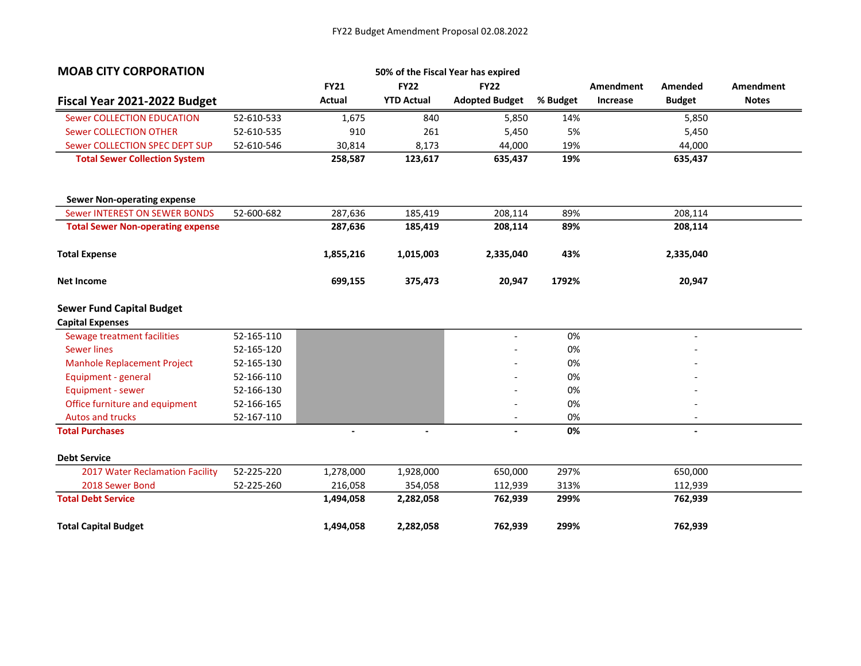| <b>MOAB CITY CORPORATION</b>             |            |             |                   | 50% of the Fiscal Year has expired |          |                  |                          |              |
|------------------------------------------|------------|-------------|-------------------|------------------------------------|----------|------------------|--------------------------|--------------|
|                                          |            | <b>FY21</b> | <b>FY22</b>       | <b>FY22</b>                        |          | <b>Amendment</b> | Amended                  | Amendment    |
| Fiscal Year 2021-2022 Budget             |            | Actual      | <b>YTD Actual</b> | <b>Adopted Budget</b>              | % Budget | Increase         | <b>Budget</b>            | <b>Notes</b> |
| <b>Sewer COLLECTION EDUCATION</b>        | 52-610-533 | 1,675       | 840               | 5,850                              | 14%      |                  | 5,850                    |              |
| <b>Sewer COLLECTION OTHER</b>            | 52-610-535 | 910         | 261               | 5,450                              | 5%       |                  | 5,450                    |              |
| Sewer COLLECTION SPEC DEPT SUP           | 52-610-546 | 30,814      | 8,173             | 44,000                             | 19%      |                  | 44,000                   |              |
| <b>Total Sewer Collection System</b>     |            | 258,587     | 123,617           | 635,437                            | 19%      |                  | 635,437                  |              |
| <b>Sewer Non-operating expense</b>       |            |             |                   |                                    |          |                  |                          |              |
| <b>Sewer INTEREST ON SEWER BONDS</b>     | 52-600-682 | 287,636     | 185,419           | 208,114                            | 89%      |                  | 208,114                  |              |
| <b>Total Sewer Non-operating expense</b> |            | 287,636     | 185,419           | 208,114                            | 89%      |                  | 208,114                  |              |
| <b>Total Expense</b>                     |            | 1,855,216   | 1,015,003         | 2,335,040                          | 43%      |                  | 2,335,040                |              |
| <b>Net Income</b>                        |            | 699,155     | 375,473           | 20,947                             | 1792%    |                  | 20,947                   |              |
| <b>Sewer Fund Capital Budget</b>         |            |             |                   |                                    |          |                  |                          |              |
| <b>Capital Expenses</b>                  |            |             |                   |                                    |          |                  |                          |              |
| Sewage treatment facilities              | 52-165-110 |             |                   | $\blacksquare$                     | 0%       |                  |                          |              |
| <b>Sewer lines</b>                       | 52-165-120 |             |                   |                                    | 0%       |                  |                          |              |
| Manhole Replacement Project              | 52-165-130 |             |                   |                                    | 0%       |                  |                          |              |
| Equipment - general                      | 52-166-110 |             |                   |                                    | 0%       |                  |                          |              |
| Equipment - sewer                        | 52-166-130 |             |                   |                                    | 0%       |                  |                          |              |
| Office furniture and equipment           | 52-166-165 |             |                   |                                    | 0%       |                  |                          |              |
| <b>Autos and trucks</b>                  | 52-167-110 |             |                   | $\overline{\phantom{a}}$           | 0%       |                  | $\overline{\phantom{a}}$ |              |
| <b>Total Purchases</b>                   |            |             | $\blacksquare$    | $\blacksquare$                     | 0%       |                  | $\blacksquare$           |              |
| <b>Debt Service</b>                      |            |             |                   |                                    |          |                  |                          |              |
| 2017 Water Reclamation Facility          | 52-225-220 | 1,278,000   | 1,928,000         | 650,000                            | 297%     |                  | 650,000                  |              |
| 2018 Sewer Bond                          | 52-225-260 | 216,058     | 354,058           | 112,939                            | 313%     |                  | 112,939                  |              |
| <b>Total Debt Service</b>                |            | 1,494,058   | 2,282,058         | 762,939                            | 299%     |                  | 762,939                  |              |
| <b>Total Capital Budget</b>              |            | 1,494,058   | 2,282,058         | 762,939                            | 299%     |                  | 762,939                  |              |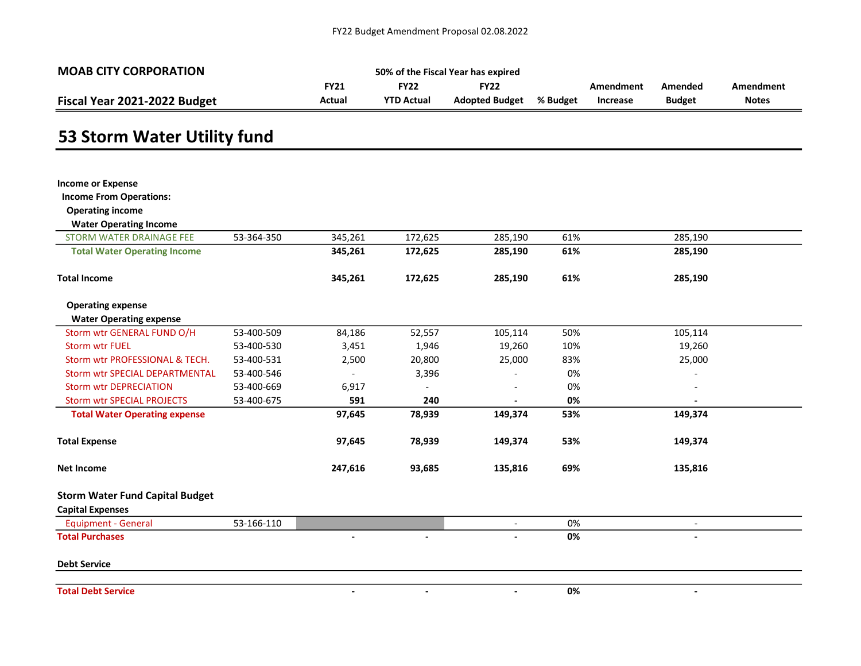| <b>MOAB CITY CORPORATION</b> | 50% of the Fiscal Year has expired |                   |                |          |           |               |              |  |  |  |
|------------------------------|------------------------------------|-------------------|----------------|----------|-----------|---------------|--------------|--|--|--|
|                              | TY21.                              | FY22              | <b>FY22</b>    |          | Amendment | Amended       | Amendment    |  |  |  |
| Fiscal Year 2021-2022 Budget | Actual                             | <b>YTD Actual</b> | Adopted Budget | % Budget | Increase  | <b>Budget</b> | <b>Notes</b> |  |  |  |

# 53 Storm Water Utility fund

| <b>Income or Expense</b>               |            |         |                          |                          |     |                |  |
|----------------------------------------|------------|---------|--------------------------|--------------------------|-----|----------------|--|
| <b>Income From Operations:</b>         |            |         |                          |                          |     |                |  |
| <b>Operating income</b>                |            |         |                          |                          |     |                |  |
| <b>Water Operating Income</b>          |            |         |                          |                          |     |                |  |
| <b>STORM WATER DRAINAGE FEE</b>        | 53-364-350 | 345,261 | 172,625                  | 285,190                  | 61% | 285,190        |  |
| <b>Total Water Operating Income</b>    |            | 345,261 | 172,625                  | 285,190                  | 61% | 285,190        |  |
| <b>Total Income</b>                    |            | 345,261 | 172,625                  | 285,190                  | 61% | 285,190        |  |
| <b>Operating expense</b>               |            |         |                          |                          |     |                |  |
| <b>Water Operating expense</b>         |            |         |                          |                          |     |                |  |
| Storm wtr GENERAL FUND O/H             | 53-400-509 | 84,186  | 52,557                   | 105,114                  | 50% | 105,114        |  |
| <b>Storm wtr FUEL</b>                  | 53-400-530 | 3,451   | 1,946                    | 19,260                   | 10% | 19,260         |  |
| Storm wtr PROFESSIONAL & TECH.         | 53-400-531 | 2,500   | 20,800                   | 25,000                   | 83% | 25,000         |  |
| <b>Storm wtr SPECIAL DEPARTMENTAL</b>  | 53-400-546 |         | 3,396                    |                          | 0%  |                |  |
| <b>Storm wtr DEPRECIATION</b>          | 53-400-669 | 6,917   |                          |                          | 0%  |                |  |
| <b>Storm wtr SPECIAL PROJECTS</b>      | 53-400-675 | 591     | 240                      |                          | 0%  |                |  |
| <b>Total Water Operating expense</b>   |            | 97,645  | 78,939                   | 149,374                  | 53% | 149,374        |  |
| <b>Total Expense</b>                   |            | 97,645  | 78,939                   | 149,374                  | 53% | 149,374        |  |
| <b>Net Income</b>                      |            | 247,616 | 93,685                   | 135,816                  | 69% | 135,816        |  |
| <b>Storm Water Fund Capital Budget</b> |            |         |                          |                          |     |                |  |
| <b>Capital Expenses</b>                |            |         |                          |                          |     |                |  |
| <b>Equipment - General</b>             | 53-166-110 |         |                          | $\blacksquare$           | 0%  |                |  |
| <b>Total Purchases</b>                 |            |         | $\overline{\phantom{a}}$ | $\overline{\phantom{a}}$ | 0%  | $\blacksquare$ |  |
| <b>Debt Service</b>                    |            |         |                          |                          |     |                |  |
| <b>Total Debt Service</b>              |            |         | $\overline{\phantom{a}}$ |                          | 0%  |                |  |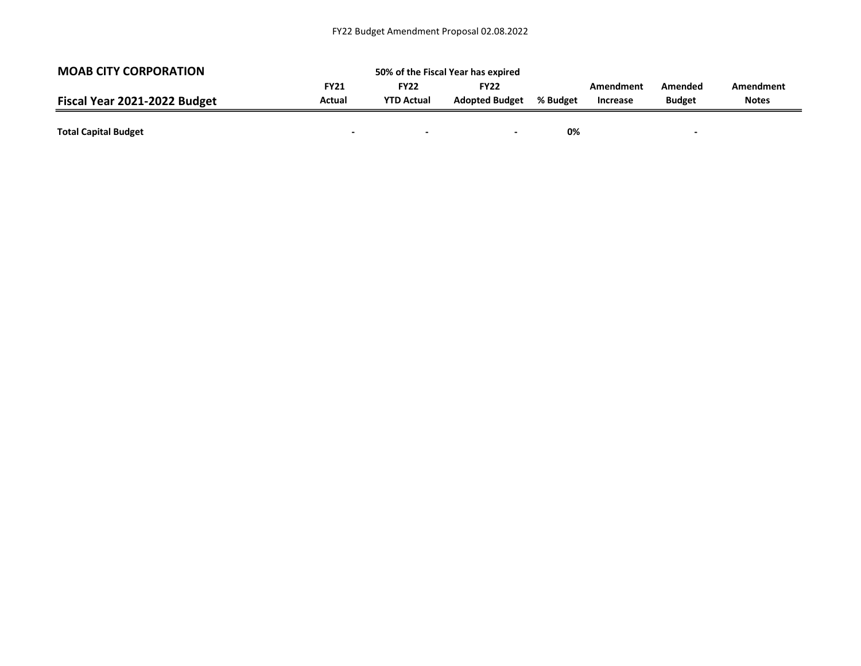| <b>MOAB CITY CORPORATION</b> |             | 50% of the Fiscal Year has expired |                       |          |                              |                          |              |
|------------------------------|-------------|------------------------------------|-----------------------|----------|------------------------------|--------------------------|--------------|
|                              | <b>FY21</b> | FY22                               | <b>FY22</b>           |          | Amendment<br><b>Increase</b> | Amended<br><b>Budget</b> | Amendment    |
| Fiscal Year 2021-2022 Budget | Actual      | <b>YTD Actual</b>                  | <b>Adopted Budget</b> | % Budget |                              |                          | <b>Notes</b> |
|                              |             |                                    |                       |          |                              |                          |              |
| <b>Total Capital Budget</b>  |             |                                    | -                     | 0%       |                              |                          |              |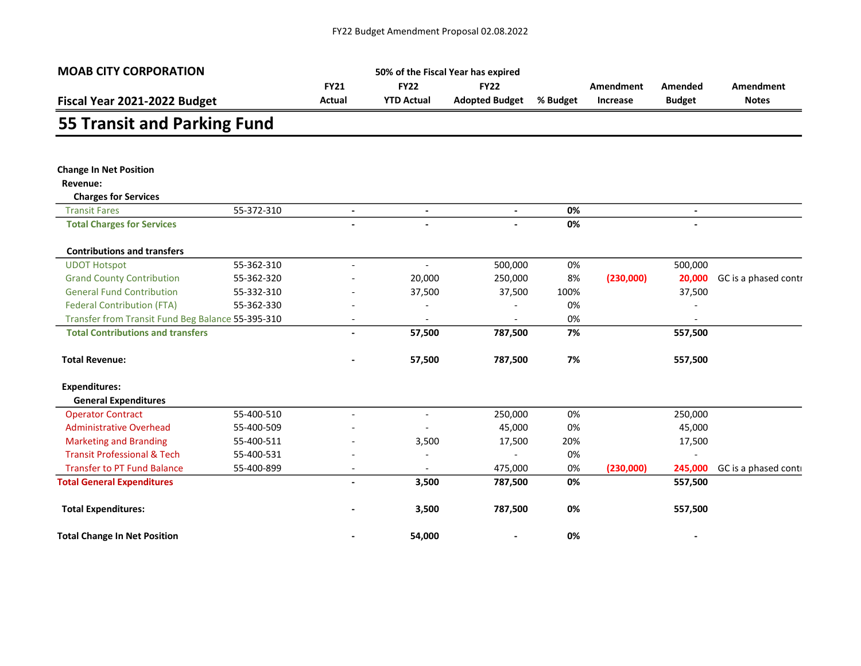| <b>MOAB CITY CORPORATION</b>                                       |            |                          |                          | 50% of the Fiscal Year has expired |          |                  |                |                      |  |
|--------------------------------------------------------------------|------------|--------------------------|--------------------------|------------------------------------|----------|------------------|----------------|----------------------|--|
| Fiscal Year 2021-2022 Budget<br><b>55 Transit and Parking Fund</b> |            | <b>FY21</b>              | <b>FY22</b>              | <b>FY22</b>                        |          | <b>Amendment</b> | Amended        | Amendment            |  |
|                                                                    |            | Actual                   | <b>YTD Actual</b>        | <b>Adopted Budget</b>              | % Budget | Increase         | <b>Budget</b>  | <b>Notes</b>         |  |
|                                                                    |            |                          |                          |                                    |          |                  |                |                      |  |
|                                                                    |            |                          |                          |                                    |          |                  |                |                      |  |
| <b>Change In Net Position</b>                                      |            |                          |                          |                                    |          |                  |                |                      |  |
| Revenue:                                                           |            |                          |                          |                                    |          |                  |                |                      |  |
| <b>Charges for Services</b>                                        |            |                          |                          |                                    |          |                  |                |                      |  |
| <b>Transit Fares</b>                                               | 55-372-310 | $\overline{\phantom{a}}$ | $\overline{\phantom{a}}$ | $\blacksquare$                     | 0%       |                  | $\blacksquare$ |                      |  |
| <b>Total Charges for Services</b>                                  |            |                          |                          |                                    | 0%       |                  |                |                      |  |
| <b>Contributions and transfers</b>                                 |            |                          |                          |                                    |          |                  |                |                      |  |
| <b>UDOT Hotspot</b>                                                | 55-362-310 | $\overline{\phantom{a}}$ | $\overline{\phantom{a}}$ | 500,000                            | 0%       |                  | 500,000        |                      |  |
| <b>Grand County Contribution</b>                                   | 55-362-320 |                          | 20,000                   | 250,000                            | 8%       | (230,000)        | 20,000         | GC is a phased contr |  |
| <b>General Fund Contribution</b>                                   | 55-332-310 |                          | 37,500                   | 37,500                             | 100%     |                  | 37,500         |                      |  |
| <b>Federal Contribution (FTA)</b>                                  | 55-362-330 |                          |                          |                                    | 0%       |                  |                |                      |  |
| Transfer from Transit Fund Beg Balance 55-395-310                  |            | $\overline{\phantom{a}}$ |                          |                                    | 0%       |                  |                |                      |  |
| <b>Total Contributions and transfers</b>                           |            |                          | 57,500                   | 787,500                            | 7%       |                  | 557,500        |                      |  |
| <b>Total Revenue:</b>                                              |            |                          | 57,500                   | 787,500                            | 7%       |                  | 557,500        |                      |  |
| <b>Expenditures:</b>                                               |            |                          |                          |                                    |          |                  |                |                      |  |
| <b>General Expenditures</b>                                        |            |                          |                          |                                    |          |                  |                |                      |  |
| <b>Operator Contract</b>                                           | 55-400-510 | $\blacksquare$           | $\overline{\phantom{a}}$ | 250,000                            | 0%       |                  | 250,000        |                      |  |
| <b>Administrative Overhead</b>                                     | 55-400-509 |                          |                          | 45,000                             | 0%       |                  | 45,000         |                      |  |
| <b>Marketing and Branding</b>                                      | 55-400-511 |                          | 3,500                    | 17,500                             | 20%      |                  | 17,500         |                      |  |
| <b>Transit Professional &amp; Tech</b>                             | 55-400-531 |                          |                          |                                    | 0%       |                  |                |                      |  |
| <b>Transfer to PT Fund Balance</b>                                 | 55-400-899 |                          |                          | 475,000                            | 0%       | (230,000)        | 245,000        | GC is a phased conti |  |
| <b>Total General Expenditures</b>                                  |            | $\overline{\phantom{a}}$ | 3,500                    | 787,500                            | 0%       |                  | 557,500        |                      |  |
| <b>Total Expenditures:</b>                                         |            |                          | 3,500                    | 787,500                            | 0%       |                  | 557,500        |                      |  |
| <b>Total Change In Net Position</b>                                |            |                          | 54,000                   | $\overline{\phantom{0}}$           | 0%       |                  | $\blacksquare$ |                      |  |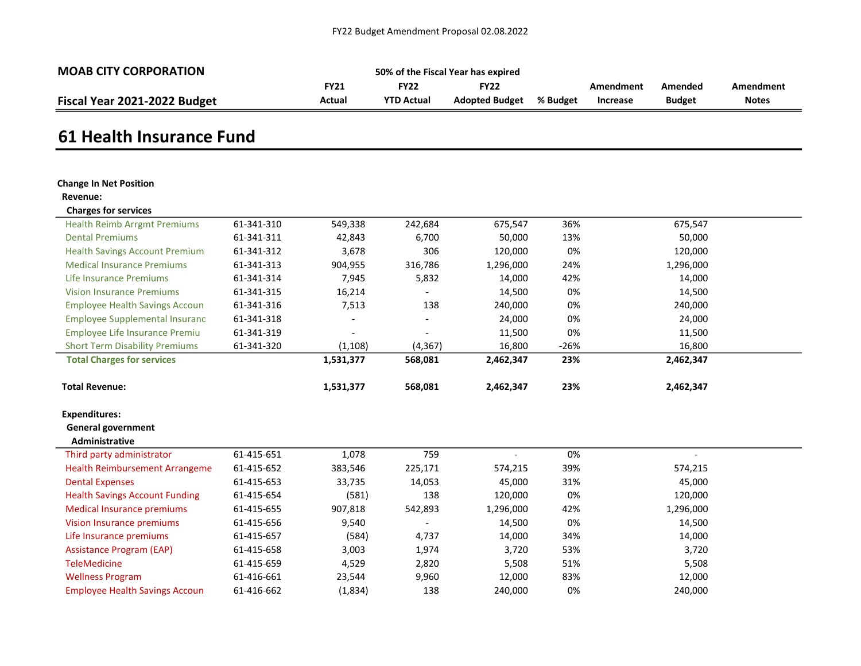| <b>MOAB CITY CORPORATION</b> | 50% of the Fiscal Year has expired |                   |                |          |           |               |              |  |  |
|------------------------------|------------------------------------|-------------------|----------------|----------|-----------|---------------|--------------|--|--|
|                              | <b>FY21</b>                        | FY22              | FY22           |          | Amendment | Amended       | Amendment    |  |  |
| Fiscal Year 2021-2022 Budget | Actual                             | <b>YTD Actual</b> | Adopted Budget | % Budget | Increase  | <b>Budget</b> | <b>Notes</b> |  |  |

## 61 Health Insurance Fund

#### Change In Net Position

#### Revenue:

| <b>Charges for services</b>           |            |           |                          |           |        |           |  |
|---------------------------------------|------------|-----------|--------------------------|-----------|--------|-----------|--|
| <b>Health Reimb Arrgmt Premiums</b>   | 61-341-310 | 549,338   | 242,684                  | 675,547   | 36%    | 675,547   |  |
| <b>Dental Premiums</b>                | 61-341-311 | 42,843    | 6,700                    | 50,000    | 13%    | 50,000    |  |
| <b>Health Savings Account Premium</b> | 61-341-312 | 3,678     | 306                      | 120,000   | 0%     | 120,000   |  |
| <b>Medical Insurance Premiums</b>     | 61-341-313 | 904,955   | 316,786                  | 1,296,000 | 24%    | 1,296,000 |  |
| Life Insurance Premiums               | 61-341-314 | 7,945     | 5,832                    | 14,000    | 42%    | 14,000    |  |
| <b>Vision Insurance Premiums</b>      | 61-341-315 | 16,214    |                          | 14,500    | 0%     | 14,500    |  |
| <b>Employee Health Savings Accoun</b> | 61-341-316 | 7,513     | 138                      | 240,000   | 0%     | 240,000   |  |
| Employee Supplemental Insuranc        | 61-341-318 |           | $\overline{\phantom{a}}$ | 24,000    | 0%     | 24,000    |  |
| <b>Employee Life Insurance Premiu</b> | 61-341-319 |           | $\overline{\phantom{a}}$ | 11,500    | 0%     | 11,500    |  |
| <b>Short Term Disability Premiums</b> | 61-341-320 | (1,108)   | (4, 367)                 | 16,800    | $-26%$ | 16,800    |  |
| <b>Total Charges for services</b>     |            | 1,531,377 | 568,081                  | 2,462,347 | 23%    | 2,462,347 |  |
| <b>Total Revenue:</b>                 |            | 1,531,377 | 568,081                  | 2,462,347 | 23%    | 2,462,347 |  |
| <b>Expenditures:</b>                  |            |           |                          |           |        |           |  |
| <b>General government</b>             |            |           |                          |           |        |           |  |
| Administrative                        |            |           |                          |           |        |           |  |

| Third party administrator             | 61-415-651 | 1,078   | 759     |           | 0%  |           |
|---------------------------------------|------------|---------|---------|-----------|-----|-----------|
| <b>Health Reimbursement Arrangeme</b> | 61-415-652 | 383,546 | 225,171 | 574,215   | 39% | 574,215   |
| <b>Dental Expenses</b>                | 61-415-653 | 33,735  | 14,053  | 45,000    | 31% | 45,000    |
| <b>Health Savings Account Funding</b> | 61-415-654 | (581)   | 138     | 120,000   | 0%  | 120,000   |
| Medical Insurance premiums            | 61-415-655 | 907,818 | 542,893 | 1,296,000 | 42% | 1,296,000 |
| Vision Insurance premiums             | 61-415-656 | 9,540   |         | 14,500    | 0%  | 14,500    |
| Life Insurance premiums               | 61-415-657 | (584)   | 4,737   | 14,000    | 34% | 14,000    |
| <b>Assistance Program (EAP)</b>       | 61-415-658 | 3,003   | 1,974   | 3,720     | 53% | 3.720     |
| <b>TeleMedicine</b>                   | 61-415-659 | 4,529   | 2,820   | 5,508     | 51% | 5.508     |
| <b>Wellness Program</b>               | 61-416-661 | 23,544  | 9,960   | 12,000    | 83% | 12.000    |
| <b>Employee Health Savings Accoun</b> | 61-416-662 | (1,834) | 138     | 240,000   | 0%  | 240.000   |